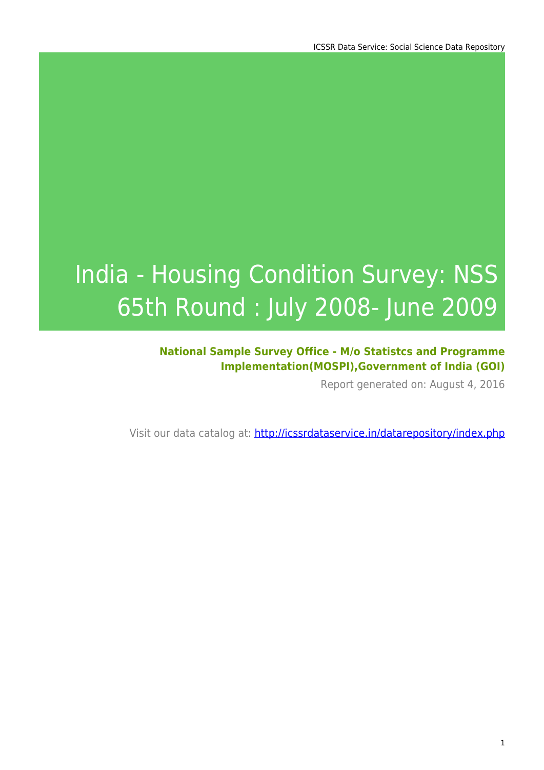# India - Housing Condition Survey: NSS 65th Round : July 2008- June 2009

### **National Sample Survey Office - M/o Statistcs and Programme Implementation(MOSPI),Government of India (GOI)**

Report generated on: August 4, 2016

Visit our data catalog at: http://icssrdataservice.in/datarepository/index.php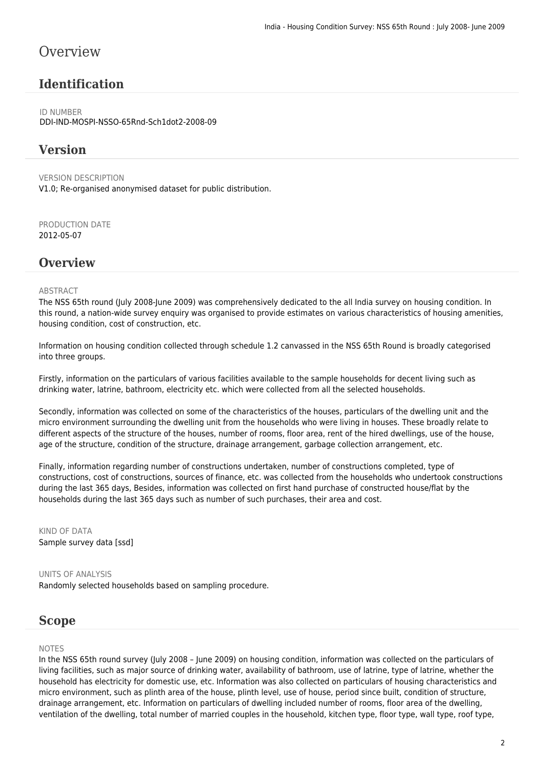### **Overview**

### **Identification**

ID NUMBER DDI-IND-MOSPI-NSSO-65Rnd-Sch1dot2-2008-09

### **Version**

VERSION DESCRIPTION V1.0; Re-organised anonymised dataset for public distribution.

PRODUCTION DATE 2012-05-07

### **Overview**

#### **ABSTRACT**

The NSS 65th round (July 2008-June 2009) was comprehensively dedicated to the all India survey on housing condition. In this round, a nation-wide survey enquiry was organised to provide estimates on various characteristics of housing amenities, housing condition, cost of construction, etc.

Information on housing condition collected through schedule 1.2 canvassed in the NSS 65th Round is broadly categorised into three groups.

Firstly, information on the particulars of various facilities available to the sample households for decent living such as drinking water, latrine, bathroom, electricity etc. which were collected from all the selected households.

Secondly, information was collected on some of the characteristics of the houses, particulars of the dwelling unit and the micro environment surrounding the dwelling unit from the households who were living in houses. These broadly relate to different aspects of the structure of the houses, number of rooms, floor area, rent of the hired dwellings, use of the house, age of the structure, condition of the structure, drainage arrangement, garbage collection arrangement, etc.

Finally, information regarding number of constructions undertaken, number of constructions completed, type of constructions, cost of constructions, sources of finance, etc. was collected from the households who undertook constructions during the last 365 days, Besides, information was collected on first hand purchase of constructed house/flat by the households during the last 365 days such as number of such purchases, their area and cost.

KIND OF DATA Sample survey data [ssd]

UNITS OF ANALYSIS Randomly selected households based on sampling procedure.

### **Scope**

#### **NOTES**

In the NSS 65th round survey (July 2008 – June 2009) on housing condition, information was collected on the particulars of living facilities, such as major source of drinking water, availability of bathroom, use of latrine, type of latrine, whether the household has electricity for domestic use, etc. Information was also collected on particulars of housing characteristics and micro environment, such as plinth area of the house, plinth level, use of house, period since built, condition of structure, drainage arrangement, etc. Information on particulars of dwelling included number of rooms, floor area of the dwelling, ventilation of the dwelling, total number of married couples in the household, kitchen type, floor type, wall type, roof type,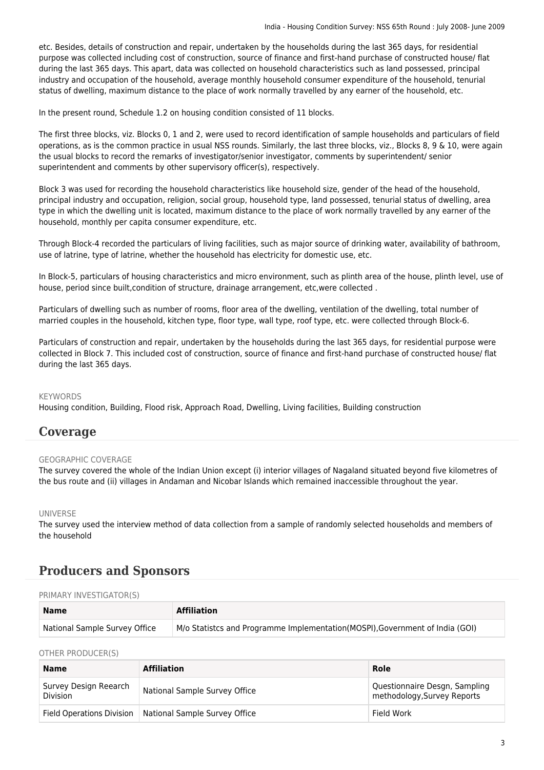etc. Besides, details of construction and repair, undertaken by the households during the last 365 days, for residential purpose was collected including cost of construction, source of finance and first-hand purchase of constructed house/ flat during the last 365 days. This apart, data was collected on household characteristics such as land possessed, principal industry and occupation of the household, average monthly household consumer expenditure of the household, tenurial status of dwelling, maximum distance to the place of work normally travelled by any earner of the household, etc.

In the present round, Schedule 1.2 on housing condition consisted of 11 blocks.

The first three blocks, viz. Blocks 0, 1 and 2, were used to record identification of sample households and particulars of field operations, as is the common practice in usual NSS rounds. Similarly, the last three blocks, viz., Blocks 8, 9 & 10, were again the usual blocks to record the remarks of investigator/senior investigator, comments by superintendent/ senior superintendent and comments by other supervisory officer(s), respectively.

Block 3 was used for recording the household characteristics like household size, gender of the head of the household, principal industry and occupation, religion, social group, household type, land possessed, tenurial status of dwelling, area type in which the dwelling unit is located, maximum distance to the place of work normally travelled by any earner of the household, monthly per capita consumer expenditure, etc.

Through Block-4 recorded the particulars of living facilities, such as major source of drinking water, availability of bathroom, use of latrine, type of latrine, whether the household has electricity for domestic use, etc.

In Block-5, particulars of housing characteristics and micro environment, such as plinth area of the house, plinth level, use of house, period since built,condition of structure, drainage arrangement, etc,were collected .

Particulars of dwelling such as number of rooms, floor area of the dwelling, ventilation of the dwelling, total number of married couples in the household, kitchen type, floor type, wall type, roof type, etc. were collected through Block-6.

Particulars of construction and repair, undertaken by the households during the last 365 days, for residential purpose were collected in Block 7. This included cost of construction, source of finance and first-hand purchase of constructed house/ flat during the last 365 days.

### **KEYWORDS**

Housing condition, Building, Flood risk, Approach Road, Dwelling, Living facilities, Building construction

### **Coverage**

#### GEOGRAPHIC COVERAGE

The survey covered the whole of the Indian Union except (i) interior villages of Nagaland situated beyond five kilometres of the bus route and (ii) villages in Andaman and Nicobar Islands which remained inaccessible throughout the year.

UNIVERSE

The survey used the interview method of data collection from a sample of randomly selected households and members of the household

### **Producers and Sponsors**

#### PRIMARY INVESTIGATOR(S)

| <b>Name</b>                   | <b>Affiliation</b>                                                           |
|-------------------------------|------------------------------------------------------------------------------|
| National Sample Survey Office | M/o Statistcs and Programme Implementation(MOSPI), Government of India (GOI) |

OTHER PRODUCER(S)

| <b>Name</b>                              | <b>Affiliation</b>            | Role                                                         |
|------------------------------------------|-------------------------------|--------------------------------------------------------------|
| Survey Design Reearch<br><b>Division</b> | National Sample Survey Office | Questionnaire Desgn, Sampling<br>methodology, Survey Reports |
| Field Operations Division                | National Sample Survey Office | Field Work                                                   |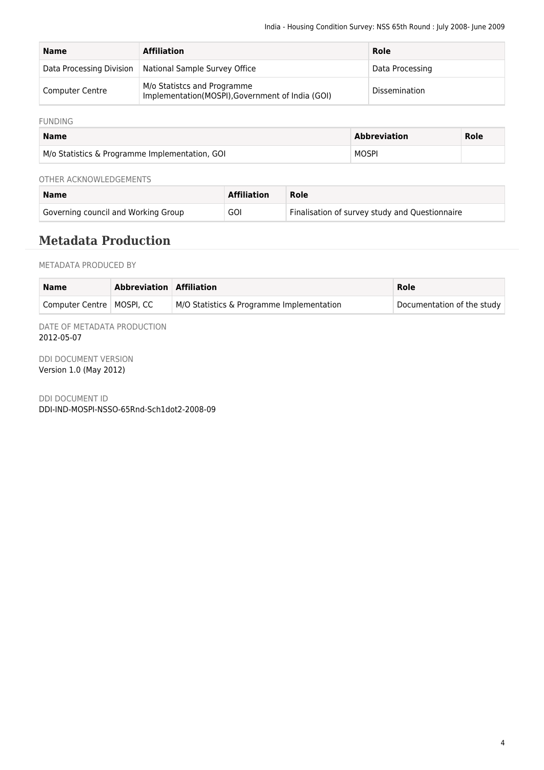| <b>Name</b>              | <b>Affiliation</b>                                                              | Role            |
|--------------------------|---------------------------------------------------------------------------------|-----------------|
| Data Processing Division | National Sample Survey Office                                                   | Data Processing |
| <b>Computer Centre</b>   | M/o Statistcs and Programme<br>Implementation(MOSPI), Government of India (GOI) | Dissemination   |

#### FUNDING

| <b>Name</b>                                    | <b>Abbreviation</b> | Role |
|------------------------------------------------|---------------------|------|
| M/o Statistics & Programme Implementation, GOI | <b>MOSPI</b>        |      |

OTHER ACKNOWLEDGEMENTS

| <b>Name</b>                         | <b>Affiliation</b> | Role                                           |
|-------------------------------------|--------------------|------------------------------------------------|
| Governing council and Working Group | GOI                | Finalisation of survey study and Questionnaire |

### **Metadata Production**

METADATA PRODUCED BY

| <b>Name</b>                 | Abbreviation Affiliation |                                           | Role                       |
|-----------------------------|--------------------------|-------------------------------------------|----------------------------|
| Computer Centre   MOSPI, CC |                          | M/O Statistics & Programme Implementation | Documentation of the study |

DATE OF METADATA PRODUCTION 2012-05-07

DDI DOCUMENT VERSION Version 1.0 (May 2012)

DDI DOCUMENT ID DDI-IND-MOSPI-NSSO-65Rnd-Sch1dot2-2008-09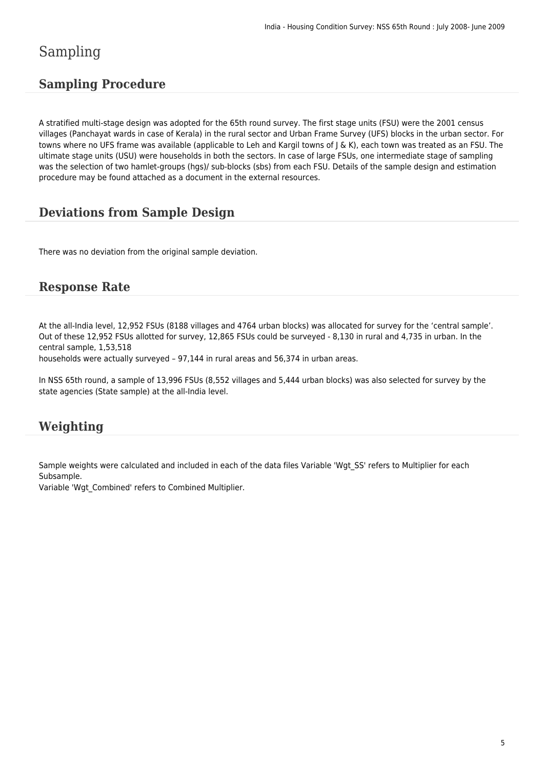# Sampling

### **Sampling Procedure**

A stratified multi-stage design was adopted for the 65th round survey. The first stage units (FSU) were the 2001 census villages (Panchayat wards in case of Kerala) in the rural sector and Urban Frame Survey (UFS) blocks in the urban sector. For towns where no UFS frame was available (applicable to Leh and Kargil towns of J & K), each town was treated as an FSU. The ultimate stage units (USU) were households in both the sectors. In case of large FSUs, one intermediate stage of sampling was the selection of two hamlet-groups (hgs)/ sub-blocks (sbs) from each FSU. Details of the sample design and estimation procedure may be found attached as a document in the external resources.

### **Deviations from Sample Design**

There was no deviation from the original sample deviation.

### **Response Rate**

At the all-India level, 12,952 FSUs (8188 villages and 4764 urban blocks) was allocated for survey for the 'central sample'. Out of these 12,952 FSUs allotted for survey, 12,865 FSUs could be surveyed - 8,130 in rural and 4,735 in urban. In the central sample, 1,53,518

households were actually surveyed – 97,144 in rural areas and 56,374 in urban areas.

In NSS 65th round, a sample of 13,996 FSUs (8,552 villages and 5,444 urban blocks) was also selected for survey by the state agencies (State sample) at the all-India level.

### **Weighting**

Sample weights were calculated and included in each of the data files Variable 'Wgt\_SS' refers to Multiplier for each Subsample.

Variable 'Wgt\_Combined' refers to Combined Multiplier.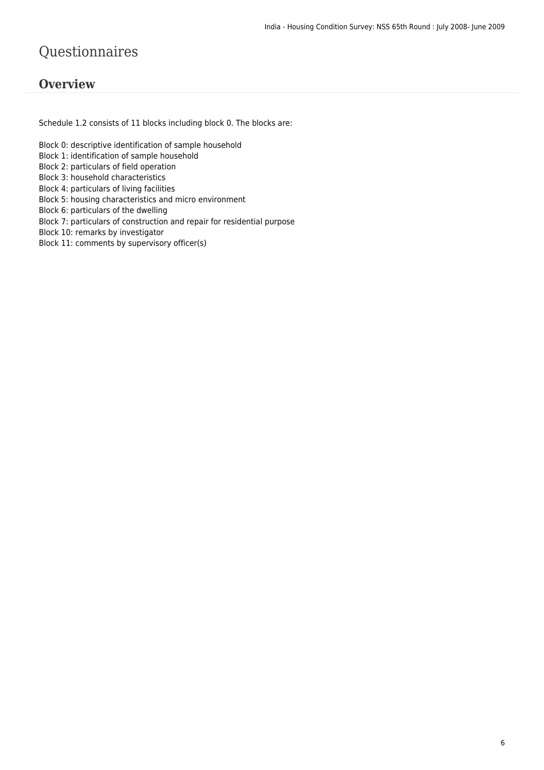# Questionnaires

### **Overview**

Schedule 1.2 consists of 11 blocks including block 0. The blocks are:

- Block 0: descriptive identification of sample household
- Block 1: identification of sample household
- Block 2: particulars of field operation
- Block 3: household characteristics
- Block 4: particulars of living facilities
- Block 5: housing characteristics and micro environment
- Block 6: particulars of the dwelling
- Block 7: particulars of construction and repair for residential purpose
- Block 10: remarks by investigator
- Block 11: comments by supervisory officer(s)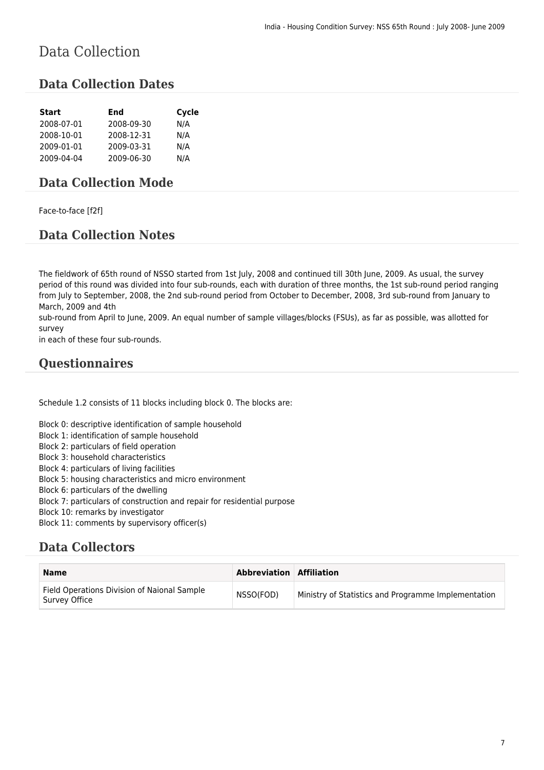# Data Collection

### **Data Collection Dates**

| End        | Cycle |
|------------|-------|
| 2008-09-30 | N/A   |
| 2008-12-31 | N/A   |
| 2009-03-31 | N/A   |
| 2009-06-30 | N/A   |
|            |       |

### **Data Collection Mode**

Face-to-face [f2f]

### **Data Collection Notes**

The fieldwork of 65th round of NSSO started from 1st July, 2008 and continued till 30th June, 2009. As usual, the survey period of this round was divided into four sub-rounds, each with duration of three months, the 1st sub-round period ranging from July to September, 2008, the 2nd sub-round period from October to December, 2008, 3rd sub-round from January to March, 2009 and 4th

sub-round from April to June, 2009. An equal number of sample villages/blocks (FSUs), as far as possible, was allotted for survey

in each of these four sub-rounds.

### **Questionnaires**

Schedule 1.2 consists of 11 blocks including block 0. The blocks are:

Block 0: descriptive identification of sample household

- Block 1: identification of sample household
- Block 2: particulars of field operation
- Block 3: household characteristics

Block 4: particulars of living facilities

Block 5: housing characteristics and micro environment

Block 6: particulars of the dwelling

Block 7: particulars of construction and repair for residential purpose

Block 10: remarks by investigator

Block 11: comments by supervisory officer(s)

### **Data Collectors**

| <b>Name</b>                                                  | <b>Abbreviation   Affiliation</b> |                                                     |
|--------------------------------------------------------------|-----------------------------------|-----------------------------------------------------|
| Field Operations Division of Naional Sample<br>Survey Office | NSSO(FOD)                         | Ministry of Statistics and Programme Implementation |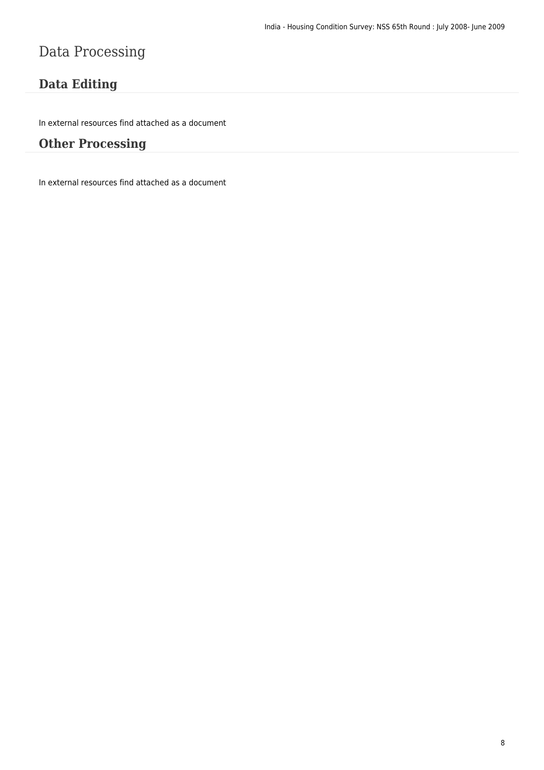# Data Processing

### **Data Editing**

In external resources find attached as a document

# **Other Processing**

In external resources find attached as a document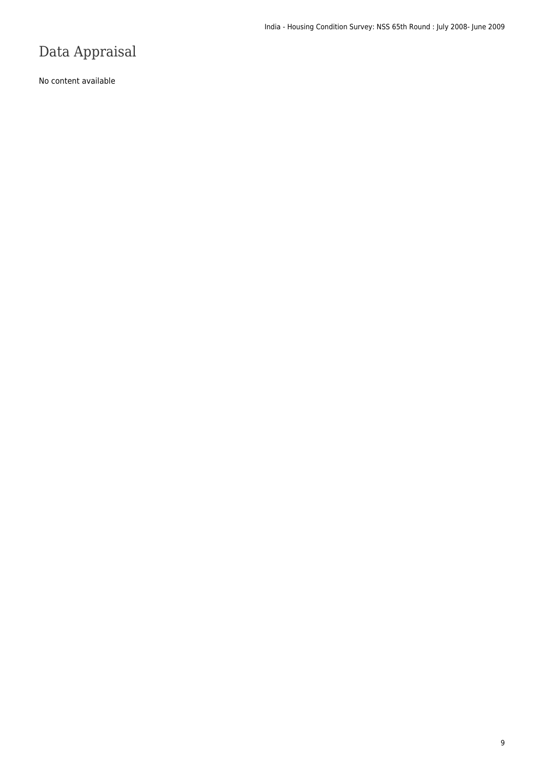# Data Appraisal

No content available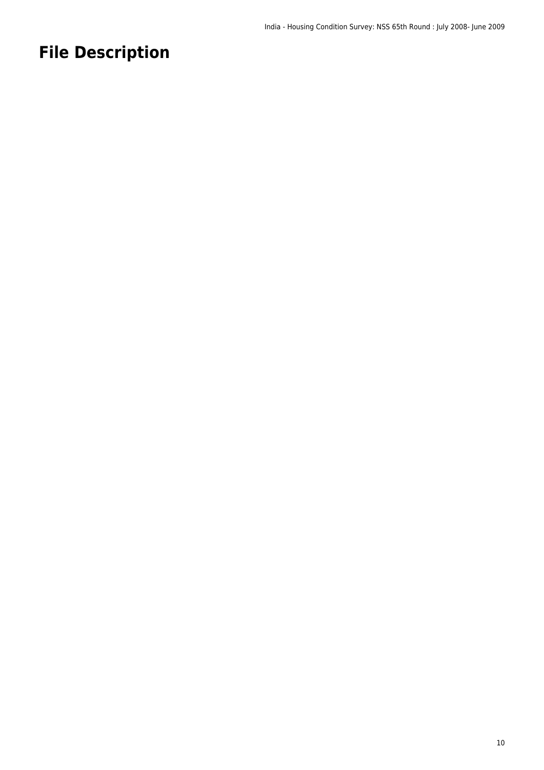# **File Description**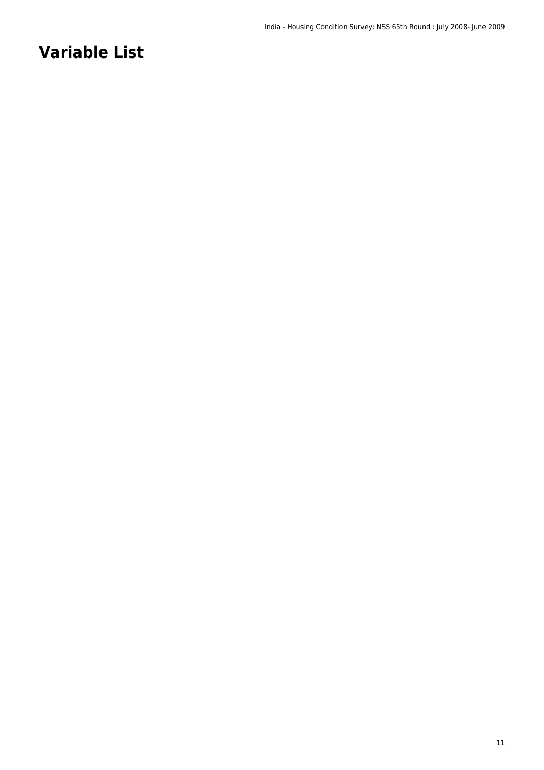# **Variable List**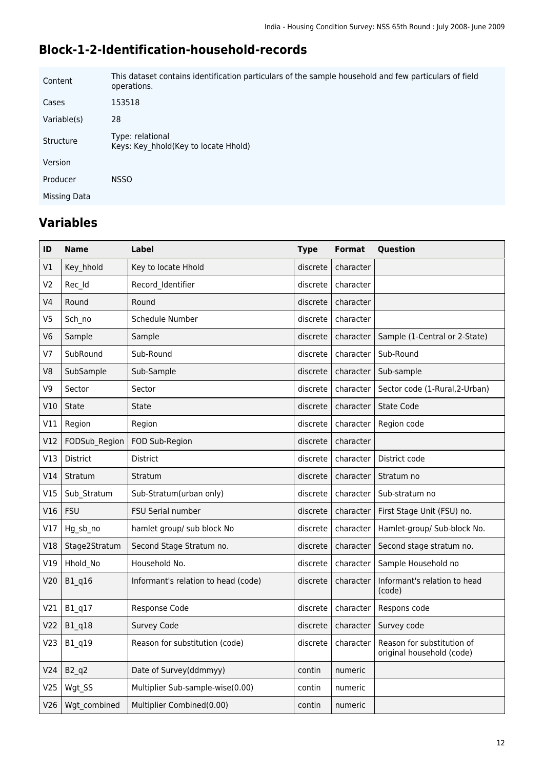### **Block-1-2-Identification-household-records**

Content This dataset contains identification particulars of the sample household and few particulars of field operations. Cases 153518 Variable(s) 28 Structure Type: relational Keys: Key\_hhold(Key to locate Hhold) Version Producer NSSO Missing Data

| ID              | <b>Name</b>     | Label                               | <b>Type</b> | Format    | Question                                                |
|-----------------|-----------------|-------------------------------------|-------------|-----------|---------------------------------------------------------|
| V1              | Key hhold       | Key to locate Hhold                 | discrete    | character |                                                         |
| V <sub>2</sub>  | Rec Id          | Record Identifier                   | discrete    | character |                                                         |
| V <sub>4</sub>  | Round           | Round                               | discrete    | character |                                                         |
| V <sub>5</sub>  | Sch_no          | Schedule Number                     | discrete    | character |                                                         |
| V <sub>6</sub>  | Sample          | Sample                              | discrete    | character | Sample (1-Central or 2-State)                           |
| V <sub>7</sub>  | SubRound        | Sub-Round                           | discrete    | character | Sub-Round                                               |
| V <sub>8</sub>  | SubSample       | Sub-Sample                          | discrete    | character | Sub-sample                                              |
| V <sub>9</sub>  | Sector          | Sector                              | discrete    | character | Sector code (1-Rural, 2-Urban)                          |
| V10             | <b>State</b>    | State                               | discrete    | character | <b>State Code</b>                                       |
| V11             | Region          | Region                              | discrete    | character | Region code                                             |
| V12             | FODSub Region   | FOD Sub-Region                      | discrete    | character |                                                         |
| V13             | <b>District</b> | <b>District</b>                     | discrete    | character | District code                                           |
| V14             | Stratum         | Stratum                             | discrete    | character | Stratum no                                              |
| V15             | Sub Stratum     | Sub-Stratum(urban only)             | discrete    | character | Sub-stratum no                                          |
| V16             | <b>FSU</b>      | FSU Serial number                   | discrete    | character | First Stage Unit (FSU) no.                              |
| V17             | Hg_sb_no        | hamlet group/ sub block No          | discrete    | character | Hamlet-group/ Sub-block No.                             |
| V18             | Stage2Stratum   | Second Stage Stratum no.            | discrete    | character | Second stage stratum no.                                |
| V19             | Hhold No        | Household No.                       | discrete    | character | Sample Household no                                     |
| V20             | B1 q16          | Informant's relation to head (code) | discrete    | character | Informant's relation to head<br>(code)                  |
| V <sub>21</sub> | B1 q17          | Response Code                       | discrete    | character | Respons code                                            |
| V <sub>22</sub> | B1q18           | Survey Code                         | discrete    | character | Survey code                                             |
| V <sub>23</sub> | B1 q19          | Reason for substitution (code)      | discrete    | character | Reason for substitution of<br>original household (code) |
| V24             | $B2_q$          | Date of Survey(ddmmyy)              | contin      | numeric   |                                                         |
| V <sub>25</sub> | Wgt SS          | Multiplier Sub-sample-wise(0.00)    | contin      | numeric   |                                                         |
| V26             | Wgt combined    | Multiplier Combined(0.00)           | contin      | numeric   |                                                         |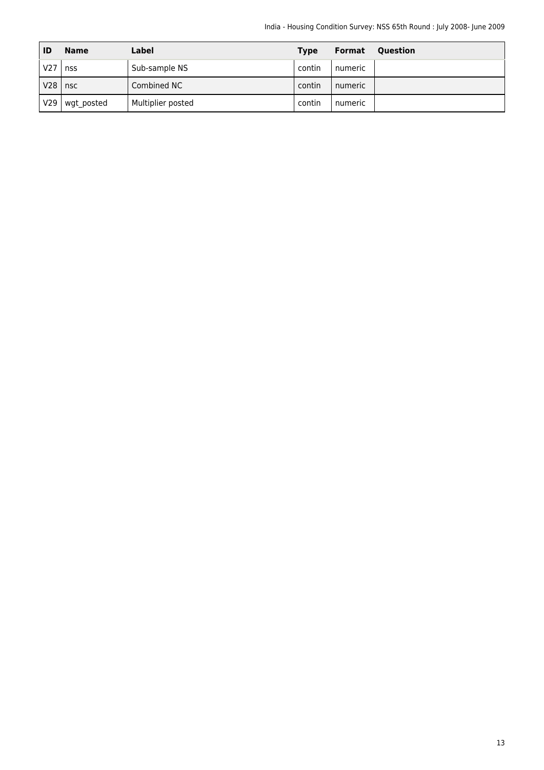| ID              | <b>Name</b> | Label             | <b>Type</b> | Format  | <b>Ouestion</b> |
|-----------------|-------------|-------------------|-------------|---------|-----------------|
| V <sub>27</sub> | nss         | Sub-sample NS     | contin      | numeric |                 |
| V28             | nsc         | Combined NC       | contin      | numeric |                 |
| V29             | wgt posted  | Multiplier posted | contin      | numeric |                 |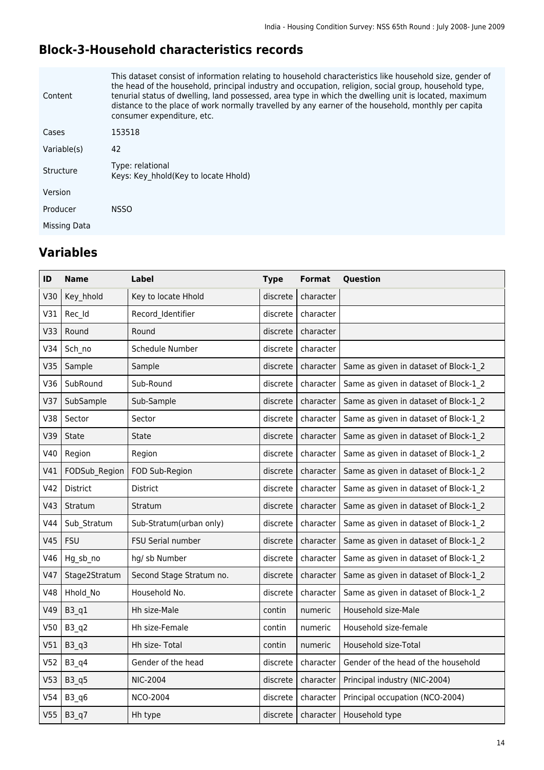### **Block-3-Household characteristics records**

| Content      | This dataset consist of information relating to household characteristics like household size, gender of<br>the head of the household, principal industry and occupation, religion, social group, household type,<br>tenurial status of dwelling, land possessed, area type in which the dwelling unit is located, maximum<br>distance to the place of work normally travelled by any earner of the household, monthly per capita<br>consumer expenditure, etc. |
|--------------|-----------------------------------------------------------------------------------------------------------------------------------------------------------------------------------------------------------------------------------------------------------------------------------------------------------------------------------------------------------------------------------------------------------------------------------------------------------------|
| Cases        | 153518                                                                                                                                                                                                                                                                                                                                                                                                                                                          |
| Variable(s)  | 42                                                                                                                                                                                                                                                                                                                                                                                                                                                              |
| Structure    | Type: relational<br>Keys: Key hhold (Key to locate Hhold)                                                                                                                                                                                                                                                                                                                                                                                                       |
| Version      |                                                                                                                                                                                                                                                                                                                                                                                                                                                                 |
| Producer     | <b>NSSO</b>                                                                                                                                                                                                                                                                                                                                                                                                                                                     |
| Missing Data |                                                                                                                                                                                                                                                                                                                                                                                                                                                                 |

| ID              | <b>Name</b>   | Label                    | <b>Type</b> | <b>Format</b>        | Question                              |
|-----------------|---------------|--------------------------|-------------|----------------------|---------------------------------------|
| V30             | Key hhold     | Key to locate Hhold      | discrete    | character            |                                       |
| V31             | Rec_Id        | Record_Identifier        | discrete    | character            |                                       |
| V33             | Round         | Round                    | discrete    | character            |                                       |
| V34             | Sch_no        | Schedule Number          | discrete    | character            |                                       |
| V35             | Sample        | Sample                   | discrete    | character            | Same as given in dataset of Block-1_2 |
| V36             | SubRound      | Sub-Round                | discrete    | character            | Same as given in dataset of Block-1 2 |
| V37             | SubSample     | Sub-Sample               | discrete    | character            | Same as given in dataset of Block-1 2 |
| V38             | Sector        | Sector                   | discrete    | character            | Same as given in dataset of Block-1_2 |
| V39             | State         | State                    | discrete    | character            | Same as given in dataset of Block-1 2 |
| V40             | Region        | Region                   | discrete    | character            | Same as given in dataset of Block-1 2 |
| V41             | FODSub Region | FOD Sub-Region           | discrete    | character            | Same as given in dataset of Block-1 2 |
| V42             | District      | District                 | discrete    | character            | Same as given in dataset of Block-1 2 |
| V43             | Stratum       | Stratum                  | discrete    | character            | Same as given in dataset of Block-1 2 |
| V44             | Sub Stratum   | Sub-Stratum(urban only)  | discrete    | character            | Same as given in dataset of Block-1 2 |
| V <sub>45</sub> | <b>FSU</b>    | FSU Serial number        | discrete    | character            | Same as given in dataset of Block-1 2 |
| V46             | Hg_sb_no      | hg/ sb Number            | discrete    | character            | Same as given in dataset of Block-1 2 |
| V47             | Stage2Stratum | Second Stage Stratum no. | discrete    | character            | Same as given in dataset of Block-1 2 |
| V48             | Hhold_No      | Household No.            | discrete    | character            | Same as given in dataset of Block-1_2 |
| V49             | $B3_q1$       | Hh size-Male             | contin      | numeric              | Household size-Male                   |
| V50             | $B3_q2$       | Hh size-Female           | contin      | numeric              | Household size-female                 |
| V51             | $B3_q3$       | Hh size- Total           | contin      | numeric              | Household size-Total                  |
| V <sub>52</sub> | $B3_q4$       | Gender of the head       | discrete    | character            | Gender of the head of the household   |
| V <sub>53</sub> | $B3_q5$       | <b>NIC-2004</b>          | discrete    | character            | Principal industry (NIC-2004)         |
| V54             | $B3_q6$       | <b>NCO-2004</b>          | discrete    | character            | Principal occupation (NCO-2004)       |
| V <sub>55</sub> | B3q7          | Hh type                  |             | discrete   character | Household type                        |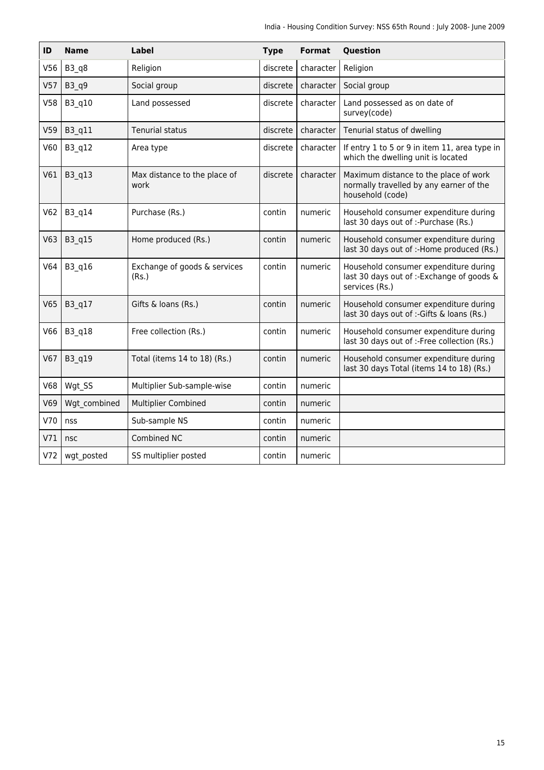| ID              | <b>Name</b>  | Label                                 | <b>Type</b> | <b>Format</b> | Question                                                                                             |
|-----------------|--------------|---------------------------------------|-------------|---------------|------------------------------------------------------------------------------------------------------|
| V56             | B3 q8        | Religion                              | discrete    | character     | Religion                                                                                             |
| V <sub>57</sub> | B3 q9        | Social group                          | discrete    | character     | Social group                                                                                         |
| V58             | B3 q10       | Land possessed                        | discrete    | character     | Land possessed as on date of<br>survey(code)                                                         |
| V59             | B3 q11       | <b>Tenurial status</b>                | discrete    | character     | Tenurial status of dwelling                                                                          |
| V60             | B3_q12       | Area type                             | discrete    | character     | If entry 1 to 5 or 9 in item 11, area type in<br>which the dwelling unit is located                  |
| V61             | B3 q13       | Max distance to the place of<br>work  | discrete    | character     | Maximum distance to the place of work<br>normally travelled by any earner of the<br>household (code) |
| V62             | B3 q14       | Purchase (Rs.)                        | contin      | numeric       | Household consumer expenditure during<br>last 30 days out of :- Purchase (Rs.)                       |
| V63             | B3 q15       | Home produced (Rs.)                   | contin      | numeric       | Household consumer expenditure during<br>last 30 days out of :-Home produced (Rs.)                   |
| V64             | B3_q16       | Exchange of goods & services<br>(Rs.) | contin      | numeric       | Household consumer expenditure during<br>last 30 days out of :-Exchange of goods &<br>services (Rs.) |
| V65             | B3 q17       | Gifts & loans (Rs.)                   | contin      | numeric       | Household consumer expenditure during<br>last 30 days out of :- Gifts & loans (Rs.)                  |
| V66             | B3 q18       | Free collection (Rs.)                 | contin      | numeric       | Household consumer expenditure during<br>last 30 days out of :-Free collection (Rs.)                 |
| V67             | B3 q19       | Total (items 14 to 18) (Rs.)          | contin      | numeric       | Household consumer expenditure during<br>last 30 days Total (items 14 to 18) (Rs.)                   |
| V68             | Wgt SS       | Multiplier Sub-sample-wise            | contin      | numeric       |                                                                                                      |
| V69             | Wgt combined | <b>Multiplier Combined</b>            | contin      | numeric       |                                                                                                      |
| V70             | nss          | Sub-sample NS                         | contin      | numeric       |                                                                                                      |
| V71             | nsc          | Combined NC                           | contin      | numeric       |                                                                                                      |
| V72             | wgt posted   | SS multiplier posted                  | contin      | numeric       |                                                                                                      |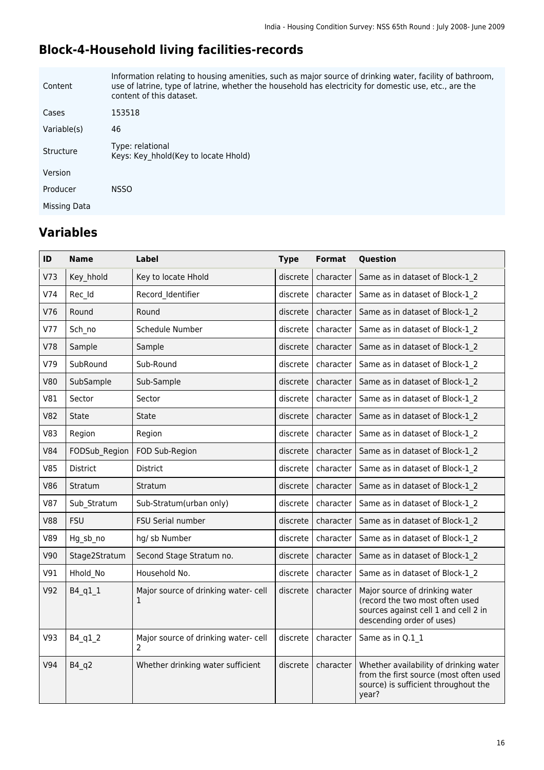# **Block-4-Household living facilities-records**

| Content      | Information relating to housing amenities, such as major source of drinking water, facility of bathroom,<br>use of latrine, type of latrine, whether the household has electricity for domestic use, etc., are the<br>content of this dataset. |
|--------------|------------------------------------------------------------------------------------------------------------------------------------------------------------------------------------------------------------------------------------------------|
| Cases        | 153518                                                                                                                                                                                                                                         |
| Variable(s)  | 46                                                                                                                                                                                                                                             |
| Structure    | Type: relational<br>Keys: Key hhold (Key to locate Hhold)                                                                                                                                                                                      |
| Version      |                                                                                                                                                                                                                                                |
| Producer     | <b>NSSO</b>                                                                                                                                                                                                                                    |
| Missing Data |                                                                                                                                                                                                                                                |

| ID              | <b>Name</b>   | <b>Label</b>                              | <b>Type</b> | Format    | Question                                                                                                                               |
|-----------------|---------------|-------------------------------------------|-------------|-----------|----------------------------------------------------------------------------------------------------------------------------------------|
| V <sub>73</sub> | Key hhold     | Key to locate Hhold                       | discrete    | character | Same as in dataset of Block-1 2                                                                                                        |
| V74             | Rec_Id        | Record_Identifier                         | discrete    | character | Same as in dataset of Block-1 2                                                                                                        |
| V76             | Round         | Round                                     | discrete    | character | Same as in dataset of Block-1 2                                                                                                        |
| <b>V77</b>      | Sch_no        | Schedule Number                           | discrete    | character | Same as in dataset of Block-1 2                                                                                                        |
| V78             | Sample        | Sample                                    | discrete    | character | Same as in dataset of Block-1 2                                                                                                        |
| V79             | SubRound      | Sub-Round                                 | discrete    | character | Same as in dataset of Block-1 2                                                                                                        |
| <b>V80</b>      | SubSample     | Sub-Sample                                | discrete    | character | Same as in dataset of Block-1 2                                                                                                        |
| V81             | Sector        | Sector                                    | discrete    | character | Same as in dataset of Block-1 2                                                                                                        |
| <b>V82</b>      | <b>State</b>  | <b>State</b>                              | discrete    | character | Same as in dataset of Block-1_2                                                                                                        |
| V83             | Region        | Region                                    | discrete    | character | Same as in dataset of Block-1 2                                                                                                        |
| <b>V84</b>      | FODSub Region | FOD Sub-Region                            | discrete    | character | Same as in dataset of Block-1 2                                                                                                        |
| V85             | District      | District                                  | discrete    | character | Same as in dataset of Block-1 2                                                                                                        |
| <b>V86</b>      | Stratum       | Stratum                                   | discrete    | character | Same as in dataset of Block-1_2                                                                                                        |
| <b>V87</b>      | Sub Stratum   | Sub-Stratum(urban only)                   | discrete    | character | Same as in dataset of Block-1_2                                                                                                        |
| <b>V88</b>      | <b>FSU</b>    | FSU Serial number                         | discrete    | character | Same as in dataset of Block-1 2                                                                                                        |
| V89             | Hg_sb_no      | hg/ sb Number                             | discrete    | character | Same as in dataset of Block-1 2                                                                                                        |
| V90             | Stage2Stratum | Second Stage Stratum no.                  | discrete    | character | Same as in dataset of Block-1 2                                                                                                        |
| V91             | Hhold No      | Household No.                             | discrete    | character | Same as in dataset of Block-1 2                                                                                                        |
| V92             | B4_q1_1       | Major source of drinking water- cell<br>1 | discrete    | character | Major source of drinking water<br>(record the two most often used<br>sources against cell 1 and cell 2 in<br>descending order of uses) |
| V93             | $B4q_12$      | Major source of drinking water- cell<br>2 | discrete    | character | Same as in Q.1 1                                                                                                                       |
| V94             | $B4_q2$       | Whether drinking water sufficient         | discrete    | character | Whether availability of drinking water<br>from the first source (most often used<br>source) is sufficient throughout the<br>year?      |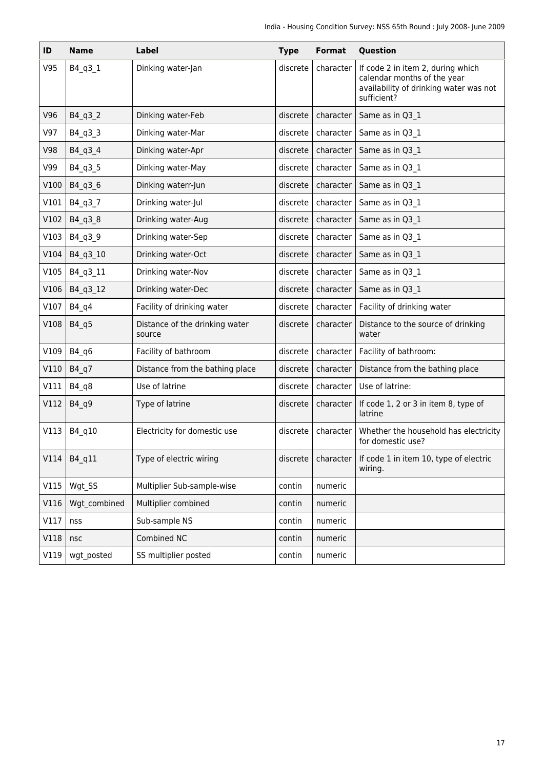| ID   | <b>Name</b>  | <b>Label</b>                             | <b>Type</b> | Format    | Question                                                                                                                  |
|------|--------------|------------------------------------------|-------------|-----------|---------------------------------------------------------------------------------------------------------------------------|
| V95  | B4_q3_1      | Dinking water-Jan                        | discrete    | character | If code 2 in item 2, during which<br>calendar months of the year<br>availability of drinking water was not<br>sufficient? |
| V96  | $B4_q3_2$    | Dinking water-Feb                        | discrete    | character | Same as in Q3_1                                                                                                           |
| V97  | B4_q3_3      | Dinking water-Mar                        | discrete    | character | Same as in Q3_1                                                                                                           |
| V98  | B4_q3_4      | Dinking water-Apr                        | discrete    | character | Same as in Q3_1                                                                                                           |
| V99  | B4_q3_5      | Dinking water-May                        | discrete    | character | Same as in Q3_1                                                                                                           |
| V100 | B4_q3_6      | Dinking waterr-Jun                       | discrete    | character | Same as in Q3 1                                                                                                           |
| V101 | B4_q3_7      | Drinking water-Jul                       | discrete    | character | Same as in Q3_1                                                                                                           |
| V102 | B4_q3_8      | Drinking water-Aug                       | discrete    | character | Same as in Q3 1                                                                                                           |
| V103 | B4_q3_9      | Drinking water-Sep                       | discrete    | character | Same as in Q3_1                                                                                                           |
| V104 | B4_q3_10     | Drinking water-Oct                       | discrete    | character | Same as in Q3 1                                                                                                           |
| V105 | B4_q3_11     | Drinking water-Nov                       | discrete    | character | Same as in Q3 1                                                                                                           |
| V106 | B4 q3 12     | Drinking water-Dec                       | discrete    | character | Same as in Q3 1                                                                                                           |
| V107 | $B4_q$       | Facility of drinking water               | discrete    | character | Facility of drinking water                                                                                                |
| V108 | $B4_q5$      | Distance of the drinking water<br>source | discrete    | character | Distance to the source of drinking<br>water                                                                               |
| V109 | $B4_q6$      | Facility of bathroom                     | discrete    | character | Facility of bathroom:                                                                                                     |
| V110 | $B4_q7$      | Distance from the bathing place          | discrete    | character | Distance from the bathing place                                                                                           |
| V111 | $B4_q8$      | Use of latrine                           | discrete    | character | Use of latrine:                                                                                                           |
| V112 | B4qq9        | Type of latrine                          | discrete    | character | If code 1, 2 or 3 in item 8, type of<br>latrine                                                                           |
| V113 | B4_q10       | Electricity for domestic use             | discrete    | character | Whether the household has electricity<br>for domestic use?                                                                |
| V114 | B4 q11       | Type of electric wiring                  | discrete    | character | If code 1 in item 10, type of electric<br>wiring.                                                                         |
| V115 | Wgt SS       | Multiplier Sub-sample-wise               | contin      | numeric   |                                                                                                                           |
| V116 | Wgt combined | Multiplier combined                      | contin      | numeric   |                                                                                                                           |
| V117 | nss          | Sub-sample NS                            | contin      | numeric   |                                                                                                                           |
| V118 | nsc          | Combined NC                              | contin      | numeric   |                                                                                                                           |
| V119 | wgt posted   | SS multiplier posted                     | contin      | numeric   |                                                                                                                           |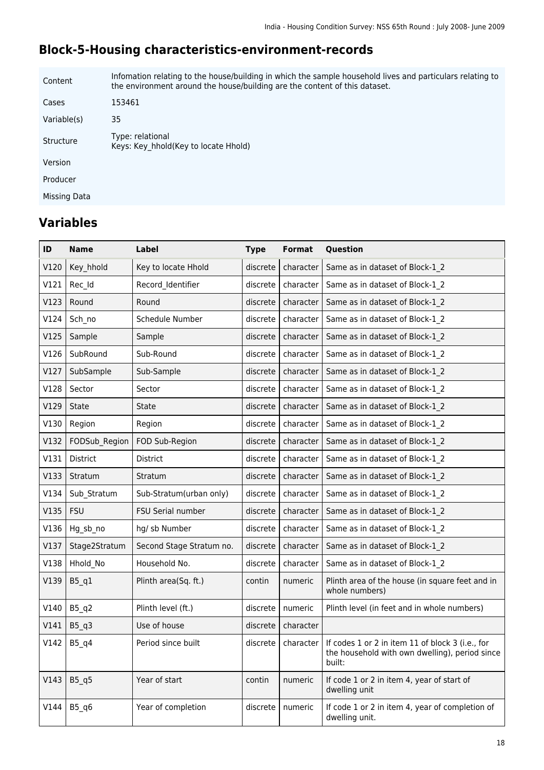# **Block-5-Housing characteristics-environment-records**

| Content      | Infomation relating to the house/building in which the sample household lives and particulars relating to<br>the environment around the house/building are the content of this dataset. |
|--------------|-----------------------------------------------------------------------------------------------------------------------------------------------------------------------------------------|
| Cases        | 153461                                                                                                                                                                                  |
| Variable(s)  | 35                                                                                                                                                                                      |
| Structure    | Type: relational<br>Keys: Key hhold (Key to locate Hhold)                                                                                                                               |
| Version      |                                                                                                                                                                                         |
| Producer     |                                                                                                                                                                                         |
| Missing Data |                                                                                                                                                                                         |
|              |                                                                                                                                                                                         |

| ID   | <b>Name</b>   | <b>Label</b>             | <b>Type</b> | <b>Format</b> | Question                                                                                                     |
|------|---------------|--------------------------|-------------|---------------|--------------------------------------------------------------------------------------------------------------|
| V120 | Key hhold     | Key to locate Hhold      | discrete    | character     | Same as in dataset of Block-1_2                                                                              |
| V121 | Rec_Id        | Record_Identifier        | discrete    | character     | Same as in dataset of Block-1 2                                                                              |
| V123 | Round         | Round                    | discrete    | character     | Same as in dataset of Block-1 2                                                                              |
| V124 | Sch no        | Schedule Number          | discrete    | character     | Same as in dataset of Block-1 2                                                                              |
| V125 | Sample        | Sample                   | discrete    | character     | Same as in dataset of Block-1_2                                                                              |
| V126 | SubRound      | Sub-Round                | discrete    | character     | Same as in dataset of Block-1_2                                                                              |
| V127 | SubSample     | Sub-Sample               | discrete    | character     | Same as in dataset of Block-1 2                                                                              |
| V128 | Sector        | Sector                   | discrete    | character     | Same as in dataset of Block-1 2                                                                              |
| V129 | State         | State                    | discrete    | character     | Same as in dataset of Block-1 2                                                                              |
| V130 | Region        | Region                   | discrete    | character     | Same as in dataset of Block-1 2                                                                              |
| V132 | FODSub_Region | FOD Sub-Region           | discrete    | character     | Same as in dataset of Block-1 2                                                                              |
| V131 | District      | District                 | discrete    | character     | Same as in dataset of Block-1_2                                                                              |
| V133 | Stratum       | Stratum                  | discrete    | character     | Same as in dataset of Block-1 2                                                                              |
| V134 | Sub_Stratum   | Sub-Stratum(urban only)  | discrete    | character     | Same as in dataset of Block-1 2                                                                              |
| V135 | <b>FSU</b>    | FSU Serial number        | discrete    | character     | Same as in dataset of Block-1 2                                                                              |
| V136 | Hg_sb_no      | hg/ sb Number            | discrete    | character     | Same as in dataset of Block-1 2                                                                              |
| V137 | Stage2Stratum | Second Stage Stratum no. | discrete    | character     | Same as in dataset of Block-1_2                                                                              |
| V138 | Hhold_No      | Household No.            | discrete    | character     | Same as in dataset of Block-1 2                                                                              |
| V139 | $B5_q1$       | Plinth area(Sq. ft.)     | contin      | numeric       | Plinth area of the house (in square feet and in<br>whole numbers)                                            |
| V140 | $B5_q2$       | Plinth level (ft.)       | discrete    | numeric       | Plinth level (in feet and in whole numbers)                                                                  |
| V141 | $B5_q3$       | Use of house             | discrete    | character     |                                                                                                              |
| V142 | $B5_q4$       | Period since built       | discrete    | character     | If codes 1 or 2 in item 11 of block 3 (i.e., for<br>the household with own dwelling), period since<br>built: |
| V143 | $B5_q5$       | Year of start            | contin      | numeric       | If code 1 or 2 in item 4, year of start of<br>dwelling unit                                                  |
| V144 | B5 q6         | Year of completion       | discrete    | numeric       | If code 1 or 2 in item 4, year of completion of<br>dwelling unit.                                            |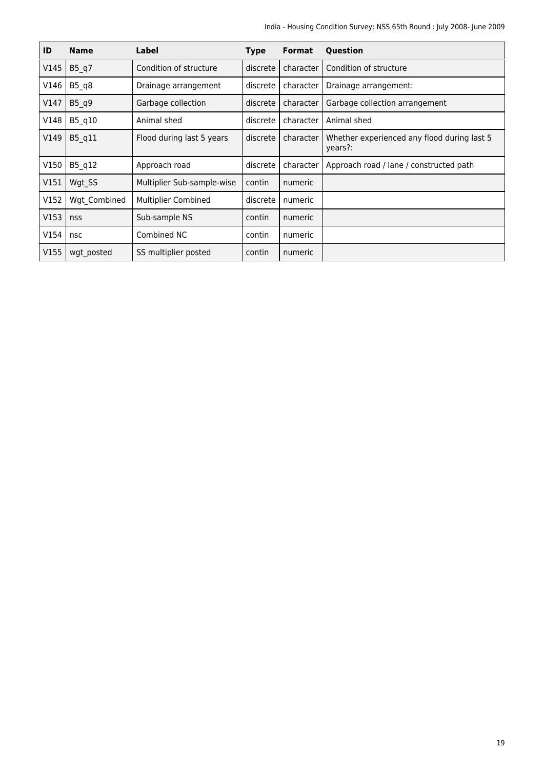| ID   | <b>Name</b>  | Label                      | <b>Type</b> | <b>Format</b> | Question                                               |
|------|--------------|----------------------------|-------------|---------------|--------------------------------------------------------|
| V145 | B5 q7        | Condition of structure     | discrete    | character     | Condition of structure                                 |
| V146 | B5 q8        | Drainage arrangement       | discrete    | character     | Drainage arrangement:                                  |
| V147 | $B5_q9$      | Garbage collection         | discrete    | character     | Garbage collection arrangement                         |
| V148 | B5 q10       | Animal shed                | discrete    | character     | Animal shed                                            |
| V149 | B5 q11       | Flood during last 5 years  | discrete    | character     | Whether experienced any flood during last 5<br>years?: |
| V150 | B5 q12       | Approach road              | discrete    | character     | Approach road / lane / constructed path                |
| V151 | Wgt SS       | Multiplier Sub-sample-wise | contin      | numeric       |                                                        |
| V152 | Wgt Combined | Multiplier Combined        | discrete    | numeric       |                                                        |
| V153 | nss          | Sub-sample NS              | contin      | numeric       |                                                        |
| V154 | <b>nsc</b>   | Combined NC                | contin      | numeric       |                                                        |
| V155 | wgt posted   | SS multiplier posted       | contin      | numeric       |                                                        |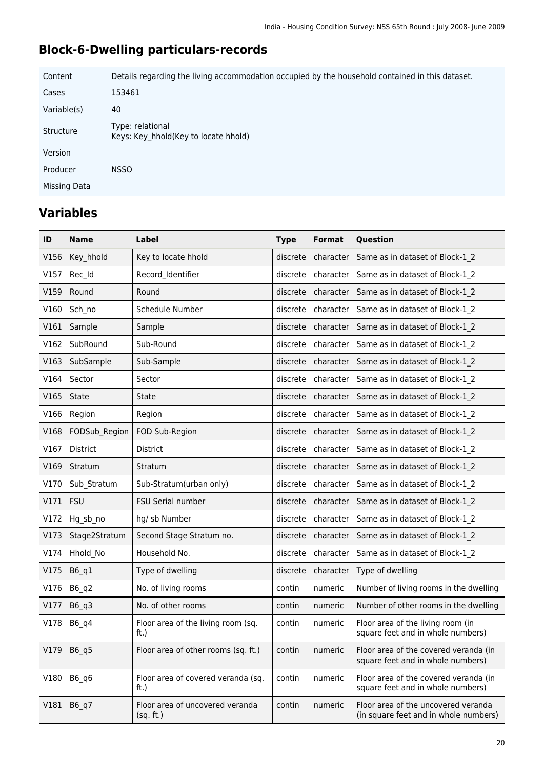### **Block-6-Dwelling particulars-records**

Content Details regarding the living accommodation occupied by the household contained in this dataset. Cases 153461

| Variable(s)  | 40                                                       |
|--------------|----------------------------------------------------------|
| Structure    | Type: relational<br>Keys: Key hhold(Key to locate hhold) |
| Version      |                                                          |
| Producer     | <b>NSSO</b>                                              |
| Missing Data |                                                          |
|              |                                                          |

| ID   | <b>Name</b>   | Label                                        | <b>Type</b> | <b>Format</b> | Question                                                                     |
|------|---------------|----------------------------------------------|-------------|---------------|------------------------------------------------------------------------------|
| V156 | Key_hhold     | Key to locate hhold                          | discrete    | character     | Same as in dataset of Block-1 2                                              |
| V157 | Rec_Id        | Record_Identifier                            | discrete    | character     | Same as in dataset of Block-1 2                                              |
| V159 | Round         | Round                                        | discrete    | character     | Same as in dataset of Block-1 2                                              |
| V160 | Sch_no        | Schedule Number                              | discrete    | character     | Same as in dataset of Block-1 2                                              |
| V161 | Sample        | Sample                                       | discrete    | character     | Same as in dataset of Block-1 2                                              |
| V162 | SubRound      | Sub-Round                                    | discrete    | character     | Same as in dataset of Block-1 2                                              |
| V163 | SubSample     | Sub-Sample                                   | discrete    | character     | Same as in dataset of Block-1 2                                              |
| V164 | Sector        | Sector                                       | discrete    | character     | Same as in dataset of Block-1_2                                              |
| V165 | State         | State                                        | discrete    | character     | Same as in dataset of Block-1 2                                              |
| V166 | Region        | Region                                       | discrete    | character     | Same as in dataset of Block-1_2                                              |
| V168 | FODSub_Region | FOD Sub-Region                               | discrete    | character     | Same as in dataset of Block-1_2                                              |
| V167 | District      | District                                     | discrete    | character     | Same as in dataset of Block-1 2                                              |
| V169 | Stratum       | Stratum                                      | discrete    | character     | Same as in dataset of Block-1 2                                              |
| V170 | Sub Stratum   | Sub-Stratum(urban only)                      | discrete    | character     | Same as in dataset of Block-1 2                                              |
| V171 | <b>FSU</b>    | FSU Serial number                            | discrete    | character     | Same as in dataset of Block-1 2                                              |
| V172 | Hg_sb_no      | hg/ sb Number                                | discrete    | character     | Same as in dataset of Block-1 2                                              |
| V173 | Stage2Stratum | Second Stage Stratum no.                     | discrete    | character     | Same as in dataset of Block-1 2                                              |
| V174 | Hhold_No      | Household No.                                | discrete    | character     | Same as in dataset of Block-1 2                                              |
| V175 | $B6_q1$       | Type of dwelling                             | discrete    | character     | Type of dwelling                                                             |
| V176 | $B6_q2$       | No. of living rooms                          | contin      | numeric       | Number of living rooms in the dwelling                                       |
| V177 | $B6_q3$       | No. of other rooms                           | contin      | numeric       | Number of other rooms in the dwelling                                        |
| V178 | $B6_q4$       | Floor area of the living room (sq.<br>ft.)   | contin      | numeric       | Floor area of the living room (in<br>square feet and in whole numbers)       |
| V179 | $B6_q5$       | Floor area of other rooms (sq. ft.)          | contin      | numeric       | Floor area of the covered veranda (in<br>square feet and in whole numbers)   |
| V180 | B6 q6         | Floor area of covered veranda (sq.<br>ft.)   | contin      | numeric       | Floor area of the covered veranda (in<br>square feet and in whole numbers)   |
| V181 | B6 q7         | Floor area of uncovered veranda<br>(sq. ft.) | contin      | numeric       | Floor area of the uncovered veranda<br>(in square feet and in whole numbers) |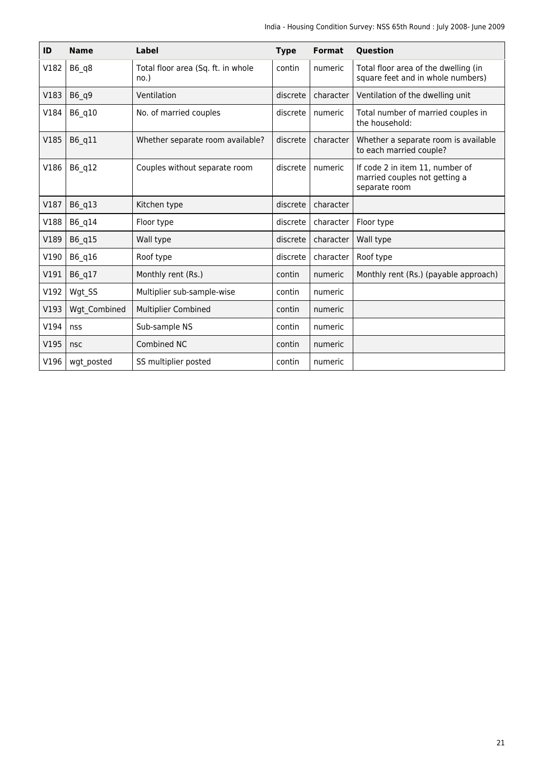| ID   | <b>Name</b>  | Label                                      | <b>Type</b> | <b>Format</b> | <b>Ouestion</b>                                                                   |
|------|--------------|--------------------------------------------|-------------|---------------|-----------------------------------------------------------------------------------|
| V182 | B6_q8        | Total floor area (Sq. ft. in whole<br>no.) | contin      | numeric       | Total floor area of the dwelling (in<br>square feet and in whole numbers)         |
| V183 | B6 q9        | Ventilation                                | discrete    | character     | Ventilation of the dwelling unit                                                  |
| V184 | B6 q10       | No. of married couples                     | discrete    | numeric       | Total number of married couples in<br>the household:                              |
| V185 | B6_q11       | Whether separate room available?           | discrete    | character     | Whether a separate room is available<br>to each married couple?                   |
| V186 | B6_q12       | Couples without separate room              | discrete    | numeric       | If code 2 in item 11, number of<br>married couples not getting a<br>separate room |
| V187 | B6 q13       | Kitchen type                               | discrete    | character     |                                                                                   |
| V188 | B6_q14       | Floor type                                 | discrete    | character     | Floor type                                                                        |
| V189 | B6_q15       | Wall type                                  | discrete    | character     | Wall type                                                                         |
| V190 | B6_q16       | Roof type                                  | discrete    | character     | Roof type                                                                         |
| V191 | B6_q17       | Monthly rent (Rs.)                         | contin      | numeric       | Monthly rent (Rs.) (payable approach)                                             |
| V192 | Wgt_SS       | Multiplier sub-sample-wise                 | contin      | numeric       |                                                                                   |
| V193 | Wgt Combined | <b>Multiplier Combined</b>                 | contin      | numeric       |                                                                                   |
| V194 | nss          | Sub-sample NS                              | contin      | numeric       |                                                                                   |
| V195 | nsc          | Combined NC                                | contin      | numeric       |                                                                                   |
| V196 | wgt_posted   | SS multiplier posted                       | contin      | numeric       |                                                                                   |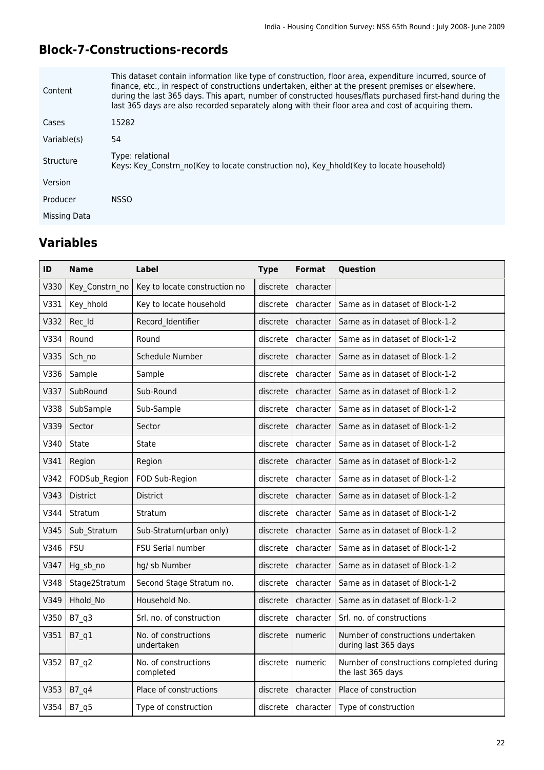### **Block-7-Constructions-records**

| Content      | This dataset contain information like type of construction, floor area, expenditure incurred, source of<br>finance, etc., in respect of constructions undertaken, either at the present premises or elsewhere,<br>during the last 365 days. This apart, number of constructed houses/flats purchased first-hand during the<br>last 365 days are also recorded separately along with their floor area and cost of acquiring them. |
|--------------|----------------------------------------------------------------------------------------------------------------------------------------------------------------------------------------------------------------------------------------------------------------------------------------------------------------------------------------------------------------------------------------------------------------------------------|
| Cases        | 15282                                                                                                                                                                                                                                                                                                                                                                                                                            |
| Variable(s)  | 54                                                                                                                                                                                                                                                                                                                                                                                                                               |
| Structure    | Type: relational<br>Keys: Key Constrn no(Key to locate construction no), Key hhold(Key to locate household)                                                                                                                                                                                                                                                                                                                      |
| Version      |                                                                                                                                                                                                                                                                                                                                                                                                                                  |
| Producer     | <b>NSSO</b>                                                                                                                                                                                                                                                                                                                                                                                                                      |
| Missing Data |                                                                                                                                                                                                                                                                                                                                                                                                                                  |

| ID   | <b>Name</b>    | <b>Label</b>                       | <b>Type</b> | <b>Format</b> | Question                                                      |
|------|----------------|------------------------------------|-------------|---------------|---------------------------------------------------------------|
| V330 | Key Constrn no | Key to locate construction no      | discrete    | character     |                                                               |
| V331 | Key hhold      | Key to locate household            | discrete    | character     | Same as in dataset of Block-1-2                               |
| V332 | Rec Id         | Record Identifier                  | discrete    | character     | Same as in dataset of Block-1-2                               |
| V334 | Round          | Round                              | discrete    | character     | Same as in dataset of Block-1-2                               |
| V335 | Sch no         | Schedule Number                    | discrete    | character     | Same as in dataset of Block-1-2                               |
| V336 | Sample         | Sample                             | discrete    | character     | Same as in dataset of Block-1-2                               |
| V337 | SubRound       | Sub-Round                          | discrete    | character     | Same as in dataset of Block-1-2                               |
| V338 | SubSample      | Sub-Sample                         | discrete    | character     | Same as in dataset of Block-1-2                               |
| V339 | Sector         | Sector                             | discrete    | character     | Same as in dataset of Block-1-2                               |
| V340 | <b>State</b>   | <b>State</b>                       | discrete    | character     | Same as in dataset of Block-1-2                               |
| V341 | Region         | Region                             | discrete    | character     | Same as in dataset of Block-1-2                               |
| V342 | FODSub Region  | FOD Sub-Region                     | discrete    | character     | Same as in dataset of Block-1-2                               |
| V343 | District       | District                           | discrete    | character     | Same as in dataset of Block-1-2                               |
| V344 | Stratum        | Stratum                            | discrete    | character     | Same as in dataset of Block-1-2                               |
| V345 | Sub Stratum    | Sub-Stratum(urban only)            | discrete    | character     | Same as in dataset of Block-1-2                               |
| V346 | <b>FSU</b>     | FSU Serial number                  | discrete    | character     | Same as in dataset of Block-1-2                               |
| V347 | Hg_sb_no       | hg/ sb Number                      | discrete    | character     | Same as in dataset of Block-1-2                               |
| V348 | Stage2Stratum  | Second Stage Stratum no.           | discrete    | character     | Same as in dataset of Block-1-2                               |
| V349 | Hhold No       | Household No.                      | discrete    | character     | Same as in dataset of Block-1-2                               |
| V350 | $B7_q3$        | Srl. no. of construction           | discrete    | character     | Srl. no. of constructions                                     |
| V351 | B7 q1          | No. of constructions<br>undertaken | discrete    | numeric       | Number of constructions undertaken<br>during last 365 days    |
| V352 | $B7_q2$        | No. of constructions<br>completed  | discrete    | numeric       | Number of constructions completed during<br>the last 365 days |
| V353 | $B7_q4$        | Place of constructions             | discrete    | character     | Place of construction                                         |
| V354 | $B7_q5$        | Type of construction               | discrete    | character     | Type of construction                                          |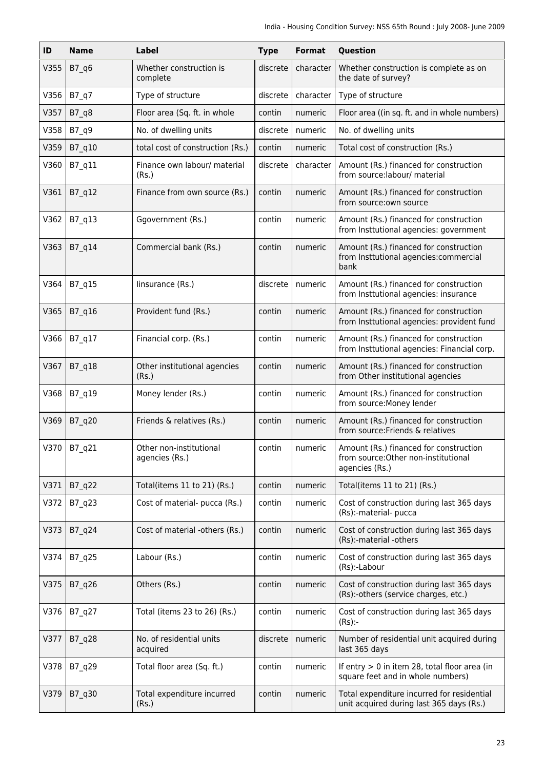| ID   | <b>Name</b> | <b>Label</b>                              | <b>Type</b> | Format    | Question                                                                                         |
|------|-------------|-------------------------------------------|-------------|-----------|--------------------------------------------------------------------------------------------------|
| V355 | $B7_q6$     | Whether construction is<br>complete       | discrete    | character | Whether construction is complete as on<br>the date of survey?                                    |
| V356 | $B7_q7$     | Type of structure                         | discrete    | character | Type of structure                                                                                |
| V357 | $B7_q8$     | Floor area (Sq. ft. in whole              | contin      | numeric   | Floor area ((in sq. ft. and in whole numbers)                                                    |
| V358 | $B7_q9$     | No. of dwelling units                     | discrete    | numeric   | No. of dwelling units                                                                            |
| V359 | B7_q10      | total cost of construction (Rs.)          | contin      | numeric   | Total cost of construction (Rs.)                                                                 |
| V360 | $B7_q11$    | Finance own labour/ material<br>(Rs.)     | discrete    | character | Amount (Rs.) financed for construction<br>from source:labour/ material                           |
| V361 | B7_q12      | Finance from own source (Rs.)             | contin      | numeric   | Amount (Rs.) financed for construction<br>from source: own source                                |
| V362 | $B7_q13$    | Ggovernment (Rs.)                         | contin      | numeric   | Amount (Rs.) financed for construction<br>from Insttutional agencies: government                 |
| V363 | B7_q14      | Commercial bank (Rs.)                     | contin      | numeric   | Amount (Rs.) financed for construction<br>from Insttutional agencies:commercial<br>bank          |
| V364 | B7 q15      | linsurance (Rs.)                          | discrete    | numeric   | Amount (Rs.) financed for construction<br>from Insttutional agencies: insurance                  |
| V365 | B7_q16      | Provident fund (Rs.)                      | contin      | numeric   | Amount (Rs.) financed for construction<br>from Insttutional agencies: provident fund             |
| V366 | B7 q17      | Financial corp. (Rs.)                     | contin      | numeric   | Amount (Rs.) financed for construction<br>from Insttutional agencies: Financial corp.            |
| V367 | B7_q18      | Other institutional agencies<br>(Rs.)     | contin      | numeric   | Amount (Rs.) financed for construction<br>from Other institutional agencies                      |
| V368 | B7_q19      | Money lender (Rs.)                        | contin      | numeric   | Amount (Rs.) financed for construction<br>from source: Money lender                              |
| V369 | B7 q20      | Friends & relatives (Rs.)                 | contin      | numeric   | Amount (Rs.) financed for construction<br>from source: Friends & relatives                       |
| V370 | B7 q21      | Other non-institutional<br>agencies (Rs.) | contin      | numeric   | Amount (Rs.) financed for construction<br>from source: Other non-institutional<br>agencies (Rs.) |
| V371 | B7_q22      | Total(items 11 to 21) (Rs.)               | contin      | numeric   | Total(items 11 to 21) (Rs.)                                                                      |
| V372 | $B7_q23$    | Cost of material- pucca (Rs.)             | contin      | numeric   | Cost of construction during last 365 days<br>(Rs):-material- pucca                               |
| V373 | B7 q24      | Cost of material -others (Rs.)            | contin      | numeric   | Cost of construction during last 365 days<br>(Rs):-material -others                              |
| V374 | B7_q25      | Labour (Rs.)                              | contin      | numeric   | Cost of construction during last 365 days<br>(Rs):-Labour                                        |
| V375 | B7 q26      | Others (Rs.)                              | contin      | numeric   | Cost of construction during last 365 days<br>(Rs):-others (service charges, etc.)                |
| V376 | B7_q27      | Total (items 23 to 26) (Rs.)              | contin      | numeric   | Cost of construction during last 365 days<br>$(Rs)$ :-                                           |
| V377 | B7 q28      | No. of residential units<br>acquired      | discrete    | numeric   | Number of residential unit acquired during<br>last 365 days                                      |
| V378 | B7 q29      | Total floor area (Sq. ft.)                | contin      | numeric   | If entry $> 0$ in item 28, total floor area (in<br>square feet and in whole numbers)             |
| V379 | B7 q30      | Total expenditure incurred<br>(Rs.)       | contin      | numeric   | Total expenditure incurred for residential<br>unit acquired during last 365 days (Rs.)           |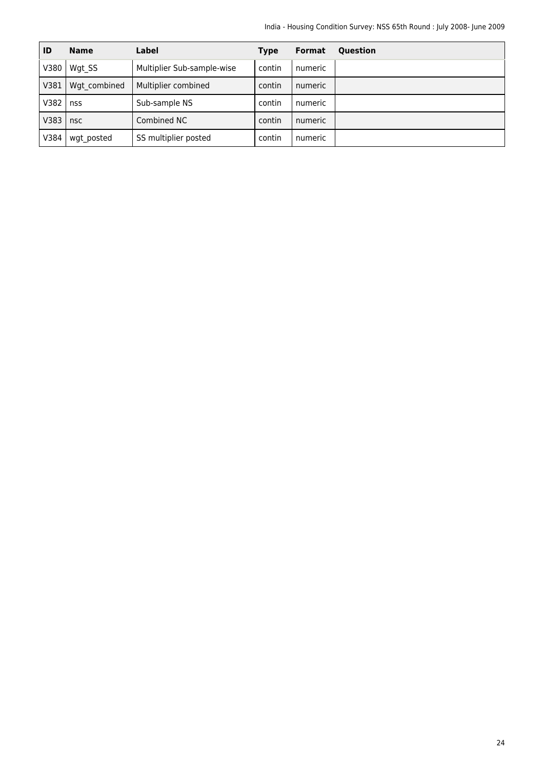India - Housing Condition Survey: NSS 65th Round : July 2008- June 2009

| ID   | <b>Name</b>  | Label                      | <b>Type</b> | <b>Format</b> | <b>Ouestion</b> |
|------|--------------|----------------------------|-------------|---------------|-----------------|
| V380 | Wgt SS       | Multiplier Sub-sample-wise | contin      | numeric       |                 |
| V381 | Wgt combined | Multiplier combined        | contin      | numeric       |                 |
| V382 | nss          | Sub-sample NS              | contin      | numeric       |                 |
| V383 | nsc          | Combined NC                | contin      | numeric       |                 |
| V384 | wgt posted   | SS multiplier posted       | contin      | numeric       |                 |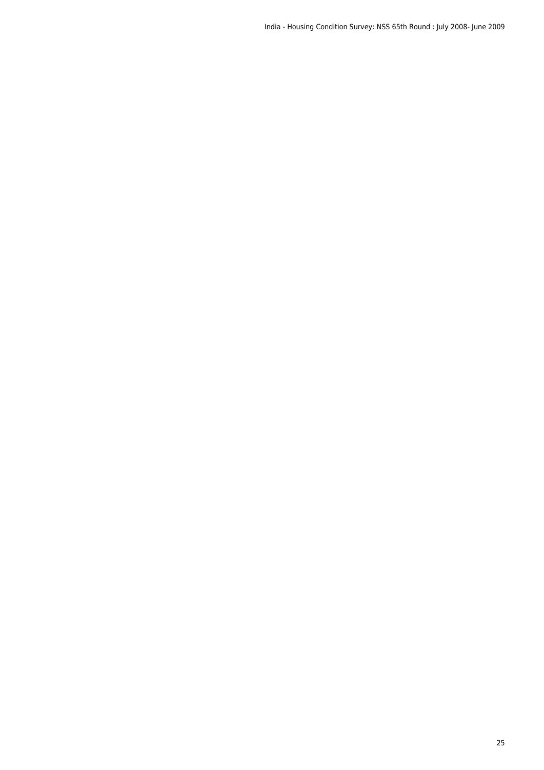India - Housing Condition Survey: NSS 65th Round : July 2008- June 2009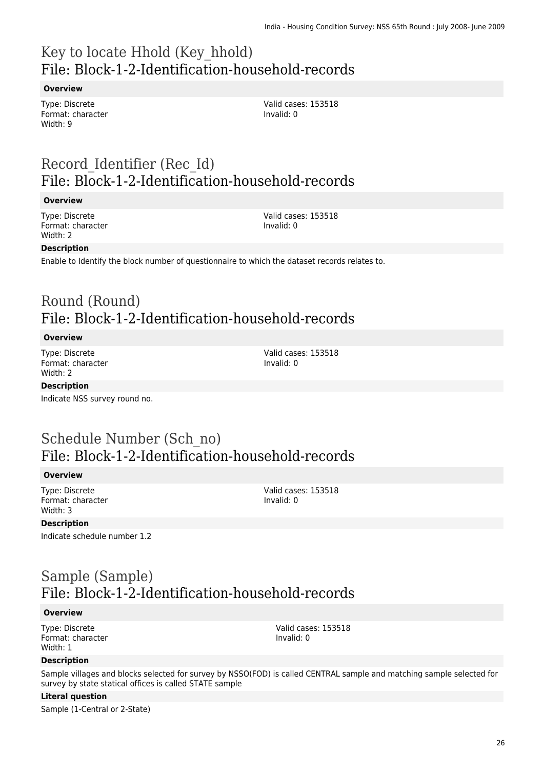### Key to locate Hhold (Key\_hhold) File: Block-1-2-Identification-household-records

**Overview**

Type: Discrete Format: character Width: 9

Valid cases: 153518 Invalid: 0

# Record\_Identifier (Rec\_Id) File: Block-1-2-Identification-household-records

#### **Overview**

Type: Discrete Format: character Width: 2

Valid cases: 153518 Invalid: 0

#### **Description**

Enable to Identify the block number of questionnaire to which the dataset records relates to.

# Round (Round) File: Block-1-2-Identification-household-records

#### **Overview**

Type: Discrete Format: character Width: 2

Valid cases: 153518 Invalid: 0

Valid cases: 153518

Invalid: 0

### **Description**

Indicate NSS survey round no.

# Schedule Number (Sch\_no) File: Block-1-2-Identification-household-records

#### **Overview**

Type: Discrete Format: character Width: 3

#### **Description**

Indicate schedule number 1.2

# Sample (Sample) File: Block-1-2-Identification-household-records

#### **Overview**

Type: Discrete Format: character Width: 1

Valid cases: 153518 Invalid: 0

#### **Description**

Sample villages and blocks selected for survey by NSSO(FOD) is called CENTRAL sample and matching sample selected for survey by state statical offices is called STATE sample

#### **Literal question**

Sample (1-Central or 2-State)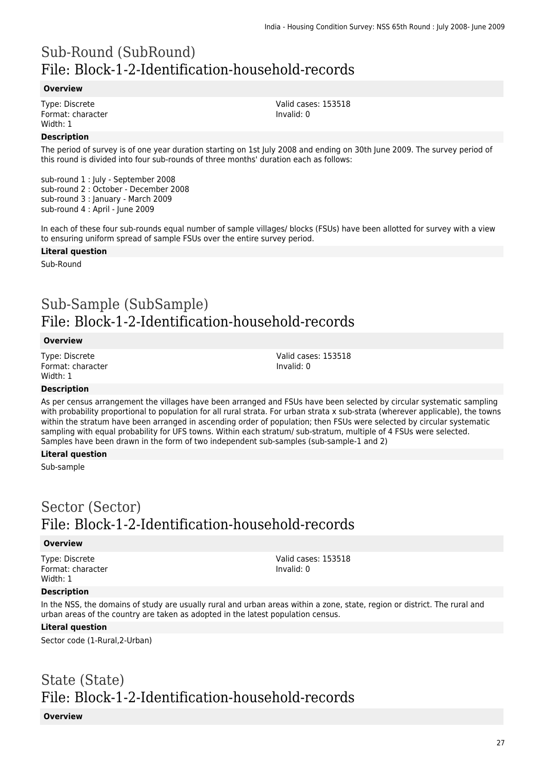### Sub-Round (SubRound) File: Block-1-2-Identification-household-records

#### **Overview**

Type: Discrete Format: character Width: 1

Valid cases: 153518 Invalid: 0

### **Description**

The period of survey is of one year duration starting on 1st July 2008 and ending on 30th June 2009. The survey period of this round is divided into four sub-rounds of three months' duration each as follows:

sub-round 1 : July - September 2008 sub-round 2 : October - December 2008 sub-round 3 : January - March 2009 sub-round 4 : April - June 2009

In each of these four sub-rounds equal number of sample villages/ blocks (FSUs) have been allotted for survey with a view to ensuring uniform spread of sample FSUs over the entire survey period.

#### **Literal question**

Sub-Round

### Sub-Sample (SubSample) File: Block-1-2-Identification-household-records

#### **Overview**

Type: Discrete Format: character Width: 1

Valid cases: 153518 Invalid: 0

#### **Description**

As per census arrangement the villages have been arranged and FSUs have been selected by circular systematic sampling with probability proportional to population for all rural strata. For urban strata x sub-strata (wherever applicable), the towns within the stratum have been arranged in ascending order of population; then FSUs were selected by circular systematic sampling with equal probability for UFS towns. Within each stratum/ sub-stratum, multiple of 4 FSUs were selected. Samples have been drawn in the form of two independent sub-samples (sub-sample-1 and 2)

#### **Literal question**

Sub-sample

### Sector (Sector) File: Block-1-2-Identification-household-records

#### **Overview**

Type: Discrete Format: character Width: 1

Valid cases: 153518 Invalid: 0

### **Description**

In the NSS, the domains of study are usually rural and urban areas within a zone, state, region or district. The rural and urban areas of the country are taken as adopted in the latest population census.

#### **Literal question**

Sector code (1-Rural,2-Urban)

# State (State) File: Block-1-2-Identification-household-records

**Overview**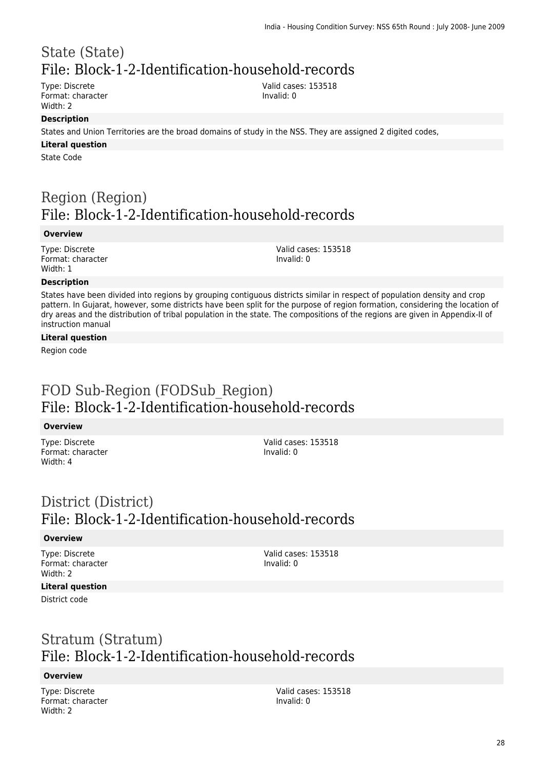### State (State) File: Block-1-2-Identification-household-records

Type: Discrete Format: character Width: 2

Valid cases: 153518 Invalid: 0

### **Description**

States and Union Territories are the broad domains of study in the NSS. They are assigned 2 digited codes,

#### **Literal question**

State Code

### Region (Region) File: Block-1-2-Identification-household-records

#### **Overview**

Type: Discrete Format: character Width: 1

Valid cases: 153518 Invalid: 0

#### **Description**

States have been divided into regions by grouping contiguous districts similar in respect of population density and crop pattern. In Gujarat, however, some districts have been split for the purpose of region formation, considering the location of dry areas and the distribution of tribal population in the state. The compositions of the regions are given in Appendix-II of instruction manual

#### **Literal question**

Region code

### FOD Sub-Region (FODSub\_Region) File: Block-1-2-Identification-household-records

#### **Overview**

Type: Discrete Format: character Width: 4

Valid cases: 153518 Invalid: 0

# District (District) File: Block-1-2-Identification-household-records

#### **Overview**

Type: Discrete Format: character Width: 2

Valid cases: 153518 Invalid: 0

### **Literal question**

District code

### Stratum (Stratum) File: Block-1-2-Identification-household-records

#### **Overview**

Type: Discrete Format: character Width: 2

Valid cases: 153518 Invalid: 0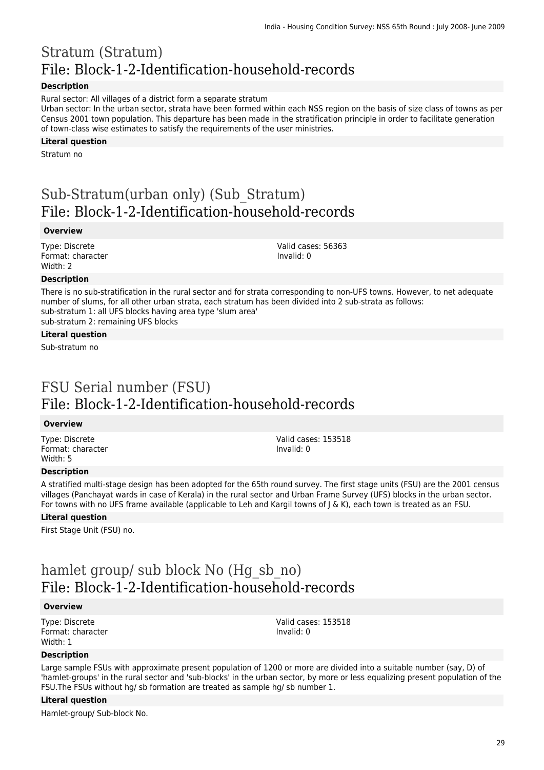### Stratum (Stratum) File: Block-1-2-Identification-household-records

#### **Description**

Rural sector: All villages of a district form a separate stratum

Urban sector: In the urban sector, strata have been formed within each NSS region on the basis of size class of towns as per Census 2001 town population. This departure has been made in the stratification principle in order to facilitate generation of town-class wise estimates to satisfy the requirements of the user ministries.

#### **Literal question**

Stratum no

### Sub-Stratum(urban only) (Sub\_Stratum) File: Block-1-2-Identification-household-records

#### **Overview**

Type: Discrete Format: character Width: 2

Valid cases: 56363 Invalid: 0

#### **Description**

There is no sub-stratification in the rural sector and for strata corresponding to non-UFS towns. However, to net adequate number of slums, for all other urban strata, each stratum has been divided into 2 sub-strata as follows: sub-stratum 1: all UFS blocks having area type 'slum area' sub-stratum 2: remaining UFS blocks

#### **Literal question**

Sub-stratum no

### FSU Serial number (FSU) File: Block-1-2-Identification-household-records

#### **Overview**

Type: Discrete Format: character Width: 5

Valid cases: 153518 Invalid: 0

#### **Description**

A stratified multi-stage design has been adopted for the 65th round survey. The first stage units (FSU) are the 2001 census villages (Panchayat wards in case of Kerala) in the rural sector and Urban Frame Survey (UFS) blocks in the urban sector. For towns with no UFS frame available (applicable to Leh and Kargil towns of J & K), each town is treated as an FSU.

#### **Literal question**

First Stage Unit (FSU) no.

### hamlet group/ sub block No (Hg\_sb\_no) File: Block-1-2-Identification-household-records

#### **Overview**

Type: Discrete Format: character Width: 1

**Description**

Large sample FSUs with approximate present population of 1200 or more are divided into a suitable number (say, D) of 'hamlet-groups' in the rural sector and 'sub-blocks' in the urban sector, by more or less equalizing present population of the FSU.The FSUs without hg/ sb formation are treated as sample hg/ sb number 1.

#### **Literal question**

Hamlet-group/ Sub-block No.

Valid cases: 153518 Invalid: 0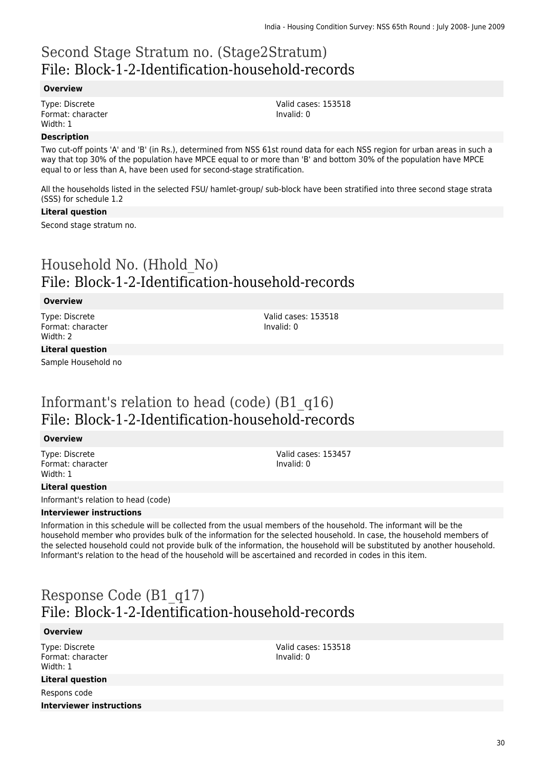### Second Stage Stratum no. (Stage2Stratum) File: Block-1-2-Identification-household-records

#### **Overview**

Type: Discrete Format: character Width: 1

#### **Description**

Two cut-off points 'A' and 'B' (in Rs.), determined from NSS 61st round data for each NSS region for urban areas in such a way that top 30% of the population have MPCE equal to or more than 'B' and bottom 30% of the population have MPCE equal to or less than A, have been used for second-stage stratification.

All the households listed in the selected FSU/ hamlet-group/ sub-block have been stratified into three second stage strata (SSS) for schedule 1.2

#### **Literal question**

Second stage stratum no.

### Household No. (Hhold\_No) File: Block-1-2-Identification-household-records

#### **Overview**

Type: Discrete Format: character Width: 2

Valid cases: 153518 Invalid: 0

Valid cases: 153518

Invalid: 0

### **Literal question**

Sample Household no

### Informant's relation to head (code) (B1\_q16) File: Block-1-2-Identification-household-records

#### **Overview**

Type: Discrete Format: character Width: 1

Valid cases: 153457 Invalid: 0

#### **Literal question**

Informant's relation to head (code)

#### **Interviewer instructions**

Information in this schedule will be collected from the usual members of the household. The informant will be the household member who provides bulk of the information for the selected household. In case, the household members of the selected household could not provide bulk of the information, the household will be substituted by another household. Informant's relation to the head of the household will be ascertained and recorded in codes in this item.

# Response Code (B1\_q17) File: Block-1-2-Identification-household-records

#### **Overview**

Type: Discrete Format: character Width: 1

Valid cases: 153518 Invalid: 0

#### **Literal question**

Respons code

**Interviewer instructions**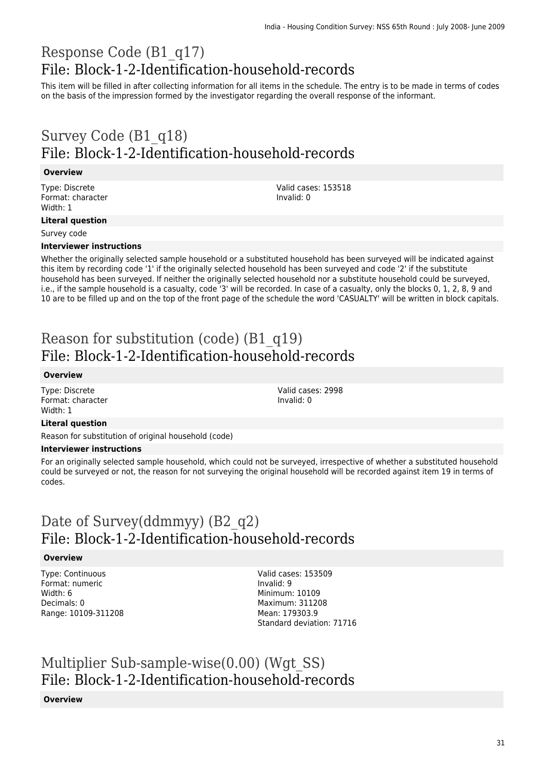# Response Code (B1\_q17) File: Block-1-2-Identification-household-records

This item will be filled in after collecting information for all items in the schedule. The entry is to be made in terms of codes on the basis of the impression formed by the investigator regarding the overall response of the informant.

### Survey Code (B1\_q18) File: Block-1-2-Identification-household-records

#### **Overview**

Type: Discrete Format: character Width: 1

Valid cases: 153518 Invalid: 0

### **Literal question**

Survey code

#### **Interviewer instructions**

Whether the originally selected sample household or a substituted household has been surveyed will be indicated against this item by recording code '1' if the originally selected household has been surveyed and code '2' if the substitute household has been surveyed. If neither the originally selected household nor a substitute household could be surveyed, i.e., if the sample household is a casualty, code '3' will be recorded. In case of a casualty, only the blocks 0, 1, 2, 8, 9 and 10 are to be filled up and on the top of the front page of the schedule the word 'CASUALTY' will be written in block capitals.

### Reason for substitution (code) (B1\_q19) File: Block-1-2-Identification-household-records

#### **Overview**

Type: Discrete Format: character Width: 1

Valid cases: 2998 Invalid: 0

### **Literal question**

Reason for substitution of original household (code)

#### **Interviewer instructions**

For an originally selected sample household, which could not be surveyed, irrespective of whether a substituted household could be surveyed or not, the reason for not surveying the original household will be recorded against item 19 in terms of codes.

### Date of Survey(ddmmyy) (B2\_q2) File: Block-1-2-Identification-household-records

### **Overview**

Type: Continuous Format: numeric Width: 6 Decimals: 0 Range: 10109-311208 Valid cases: 153509 Invalid: 9 Minimum: 10109 Maximum: 311208 Mean: 179303.9 Standard deviation: 71716

### Multiplier Sub-sample-wise(0.00) (Wgt\_SS) File: Block-1-2-Identification-household-records

### **Overview**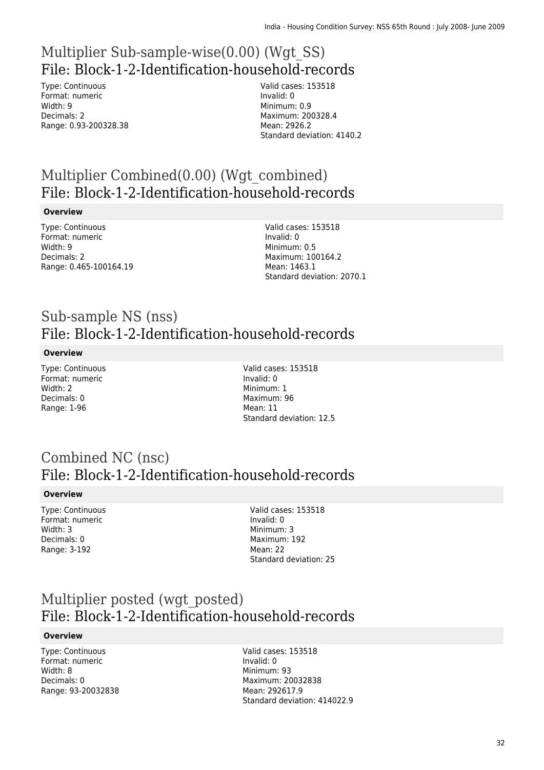### Multiplier Sub-sample-wise(0.00) (Wgt\_SS) File: Block-1-2-Identification-household-records

Type: Continuous Format: numeric Width: 9 Decimals: 2 Range: 0.93-200328.38 Valid cases: 153518 Invalid: 0 Minimum: 0.9 Maximum: 200328.4 Mean: 2926.2 Standard deviation: 4140.2

# Multiplier Combined(0.00) (Wgt\_combined) File: Block-1-2-Identification-household-records

#### **Overview**

Type: Continuous Format: numeric Width: 9 Decimals: 2 Range: 0.465-100164.19 Valid cases: 153518 Invalid: 0 Minimum: 0.5 Maximum: 100164.2 Mean: 1463.1 Standard deviation: 2070.1

### Sub-sample NS (nss) File: Block-1-2-Identification-household-records

#### **Overview**

Type: Continuous Format: numeric Width: 2 Decimals: 0 Range: 1-96

Valid cases: 153518 Invalid: 0 Minimum: 1 Maximum: 96 Mean: 11 Standard deviation: 12.5

### Combined NC (nsc) File: Block-1-2-Identification-household-records

#### **Overview**

Type: Continuous Format: numeric Width: 3 Decimals: 0 Range: 3-192

Valid cases: 153518 Invalid: 0 Minimum: 3 Maximum: 192 Mean: 22 Standard deviation: 25

### Multiplier posted (wgt\_posted) File: Block-1-2-Identification-household-records

### **Overview**

Type: Continuous Format: numeric Width: 8 Decimals: 0 Range: 93-20032838 Valid cases: 153518 Invalid: 0 Minimum: 93 Maximum: 20032838 Mean: 292617.9 Standard deviation: 414022.9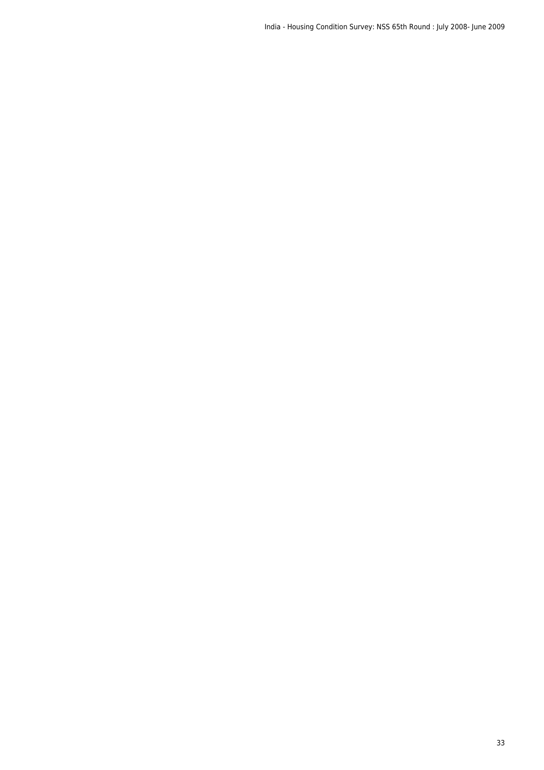India - Housing Condition Survey: NSS 65th Round : July 2008- June 2009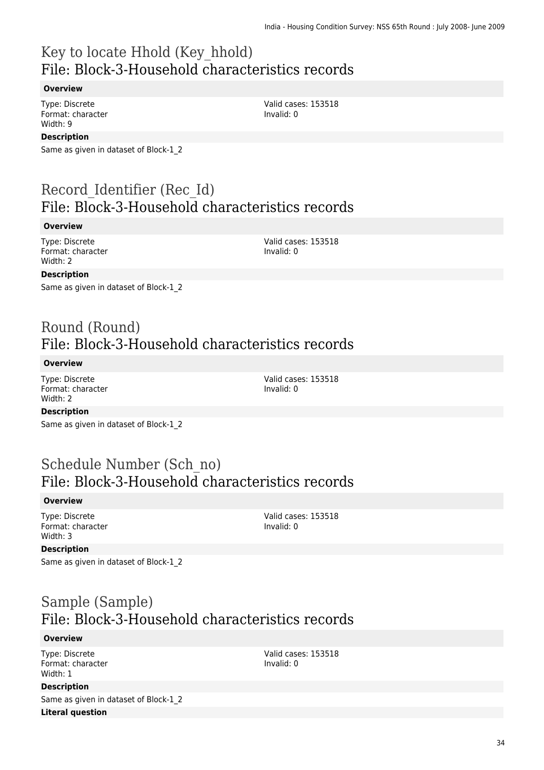### Key to locate Hhold (Key\_hhold) File: Block-3-Household characteristics records

### **Overview**

Type: Discrete Format: character Width: 9

Valid cases: 153518 Invalid: 0

#### **Description**

Same as given in dataset of Block-1\_2

### Record\_Identifier (Rec\_Id) File: Block-3-Household characteristics records

#### **Overview**

Type: Discrete Format: character Width: 2

Valid cases: 153518 Invalid: 0

#### **Description**

Same as given in dataset of Block-1\_2

### Round (Round) File: Block-3-Household characteristics records

#### **Overview**

Type: Discrete Format: character Width: 2

Valid cases: 153518 Invalid: 0

#### **Description**

Same as given in dataset of Block-1\_2

### Schedule Number (Sch\_no) File: Block-3-Household characteristics records

#### **Overview**

Type: Discrete Format: character Width: 3

Valid cases: 153518 Invalid: 0

#### **Description**

Same as given in dataset of Block-1\_2

### Sample (Sample) File: Block-3-Household characteristics records

#### **Overview**

Type: Discrete Format: character Width: 1

Valid cases: 153518 Invalid: 0

#### **Description**

Same as given in dataset of Block-1\_2

### **Literal question**

34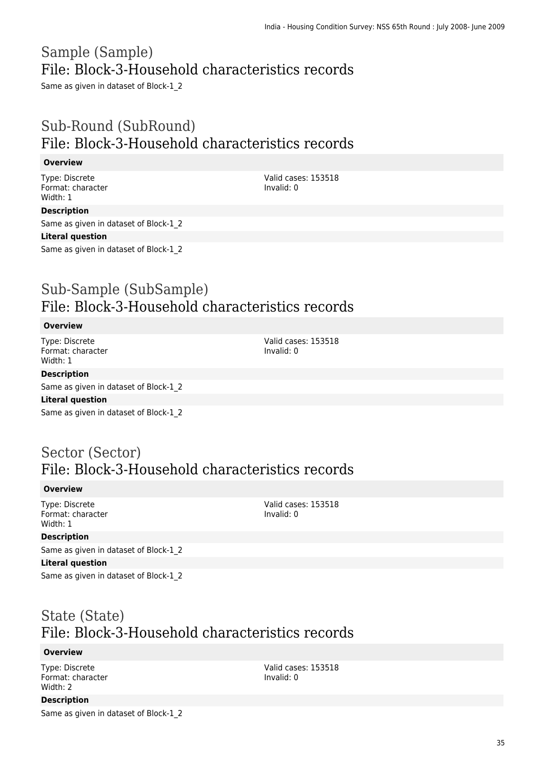# Sample (Sample) File: Block-3-Household characteristics records

Same as given in dataset of Block-1\_2

### Sub-Round (SubRound) File: Block-3-Household characteristics records

### **Overview**

Type: Discrete Format: character Width: 1

**Description**

Same as given in dataset of Block-1\_2

**Literal question**

Same as given in dataset of Block-1\_2

### Sub-Sample (SubSample) File: Block-3-Household characteristics records

### **Overview**

Type: Discrete Format: character Width: 1

### **Description**

Same as given in dataset of Block-1\_2

### **Literal question**

Same as given in dataset of Block-1\_2

### Sector (Sector) File: Block-3-Household characteristics records

### **Overview**

Type: Discrete Format: character Width: 1

### **Description**

Same as given in dataset of Block-1\_2

### **Literal question**

Same as given in dataset of Block-1\_2

# State (State) File: Block-3-Household characteristics records

### **Overview**

Type: Discrete Format: character Width: 2

Valid cases: 153518 Invalid: 0

**Description** Same as given in dataset of Block-1\_2 Valid cases: 153518 Invalid: 0

Valid cases: 153518 Invalid: 0

Valid cases: 153518

Invalid: 0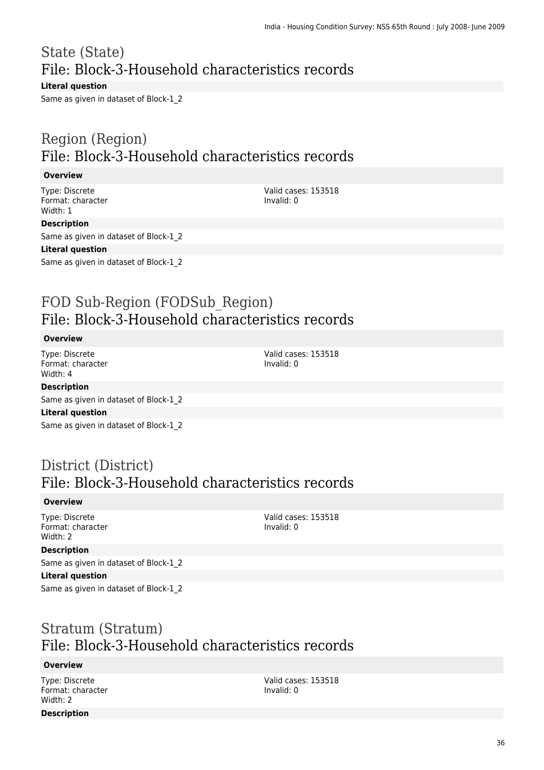# State (State) File: Block-3-Household characteristics records

**Literal question**

Same as given in dataset of Block-1\_2

### Region (Region) File: Block-3-Household characteristics records

### **Overview**

Type: Discrete Format: character Width: 1

Valid cases: 153518 Invalid: 0

### **Description**

Same as given in dataset of Block-1\_2

#### **Literal question**

Same as given in dataset of Block-1\_2

### FOD Sub-Region (FODSub\_Region) File: Block-3-Household characteristics records

#### **Overview**

Type: Discrete Format: character Width: 4

### **Description**

Same as given in dataset of Block-1\_2

### **Literal question**

Same as given in dataset of Block-1\_2

### District (District) File: Block-3-Household characteristics records

### **Overview**

Type: Discrete Format: character Width: 2

### **Description**

Same as given in dataset of Block-1\_2

### **Literal question**

Same as given in dataset of Block-1\_2

# Stratum (Stratum) File: Block-3-Household characteristics records

### **Overview**

Type: Discrete Format: character Width: 2

Valid cases: 153518 Invalid: 0

**Description**

Valid cases: 153518 Invalid: 0

Valid cases: 153518

Invalid: 0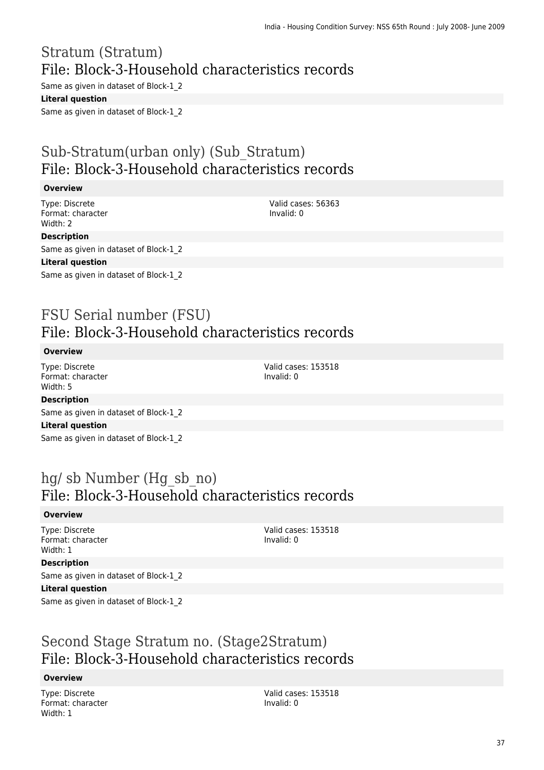### Stratum (Stratum) File: Block-3-Household characteristics records

Same as given in dataset of Block-1\_2

### **Literal question**

Same as given in dataset of Block-1\_2

### Sub-Stratum(urban only) (Sub\_Stratum) File: Block-3-Household characteristics records

### **Overview**

Type: Discrete Format: character Width: 2

Valid cases: 56363 Invalid: 0

### **Description**

Same as given in dataset of Block-1\_2

### **Literal question**

Same as given in dataset of Block-1\_2

### FSU Serial number (FSU) File: Block-3-Household characteristics records

### **Overview**

Type: Discrete Format: character Width: 5

#### **Description**

Same as given in dataset of Block-1\_2

#### **Literal question**

Same as given in dataset of Block-1\_2

### hg/ sb Number (Hg\_sb\_no) File: Block-3-Household characteristics records

### **Overview**

Type: Discrete Format: character Width: 1

Valid cases: 153518 Invalid: 0

Valid cases: 153518

Invalid: 0

### **Description**

Same as given in dataset of Block-1\_2

### **Literal question**

Same as given in dataset of Block-1\_2

### Second Stage Stratum no. (Stage2Stratum) File: Block-3-Household characteristics records

### **Overview**

Type: Discrete Format: character Width: 1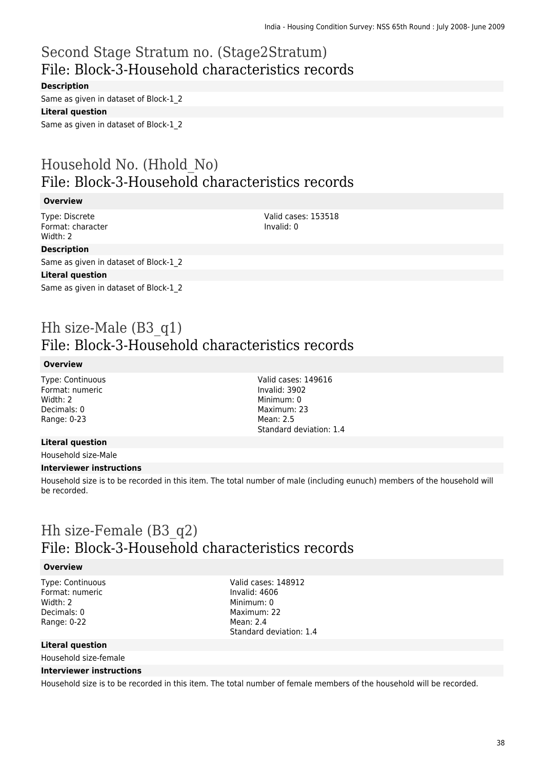### Second Stage Stratum no. (Stage2Stratum) File: Block-3-Household characteristics records

### **Description**

Same as given in dataset of Block-1\_2

#### **Literal question**

Same as given in dataset of Block-1\_2

### Household No. (Hhold\_No) File: Block-3-Household characteristics records

#### **Overview**

Type: Discrete Format: character Width: 2

Valid cases: 153518 Invalid: 0

Valid cases: 149616 Invalid: 3902 Minimum: 0 Maximum: 23 Mean: 2.5

Standard deviation: 1.4

#### **Description**

Same as given in dataset of Block-1\_2

### **Literal question**

Same as given in dataset of Block-1\_2

### Hh size-Male (B3\_q1) File: Block-3-Household characteristics records

#### **Overview**

Type: Continuous Format: numeric Width: 2 Decimals: 0 Range: 0-23

### **Literal question**

Household size-Male

#### **Interviewer instructions**

Household size is to be recorded in this item. The total number of male (including eunuch) members of the household will be recorded.

### Hh size-Female (B3\_q2) File: Block-3-Household characteristics records

### **Overview**

Type: Continuous Format: numeric Width: 2 Decimals: 0 Range: 0-22

Valid cases: 148912 Invalid: 4606 Minimum: 0 Maximum: 22 Mean: 2.4 Standard deviation: 1.4

### **Literal question**

Household size-female

### **Interviewer instructions**

Household size is to be recorded in this item. The total number of female members of the household will be recorded.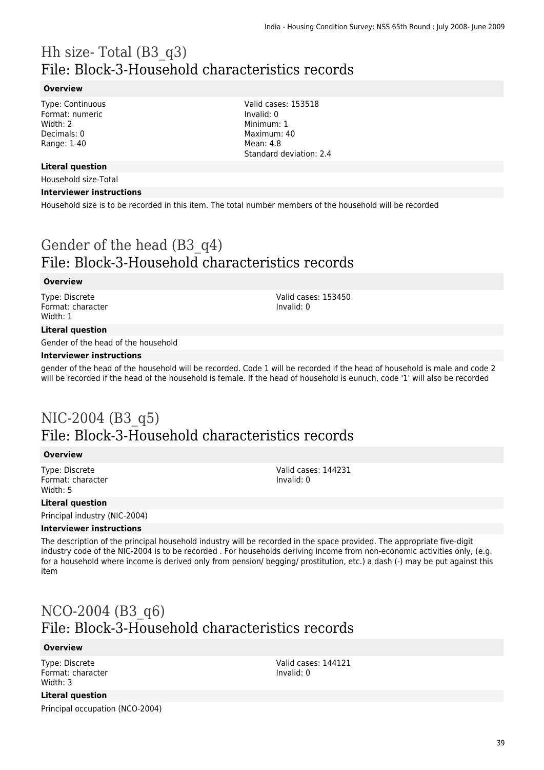### Hh size- Total (B3\_q3) File: Block-3-Household characteristics records

### **Overview**

Type: Continuous Format: numeric Width: 2 Decimals: 0 Range: 1-40

Valid cases: 153518 Invalid: 0 Minimum: 1 Maximum: 40 Mean: 4.8 Standard deviation: 2.4

### **Literal question**

Household size-Total

#### **Interviewer instructions**

Household size is to be recorded in this item. The total number members of the household will be recorded

### Gender of the head (B3 q4) File: Block-3-Household characteristics records

#### **Overview**

Type: Discrete Format: character Width: 1

Valid cases: 153450 Invalid: 0

#### **Literal question**

Gender of the head of the household

#### **Interviewer instructions**

gender of the head of the household will be recorded. Code 1 will be recorded if the head of household is male and code 2 will be recorded if the head of the household is female. If the head of household is eunuch, code '1' will also be recorded

# NIC-2004 (B3\_q5) File: Block-3-Household characteristics records

#### **Overview**

Type: Discrete Format: character Width: 5

Valid cases: 144231 Invalid: 0

### **Literal question**

Principal industry (NIC-2004)

#### **Interviewer instructions**

The description of the principal household industry will be recorded in the space provided. The appropriate five-digit industry code of the NIC-2004 is to be recorded . For households deriving income from non-economic activities only, (e.g. for a household where income is derived only from pension/ begging/ prostitution, etc.) a dash (-) may be put against this item

### NCO-2004 (B3\_q6) File: Block-3-Household characteristics records

#### **Overview**

Type: Discrete Format: character Width: 3

Valid cases: 144121 Invalid: 0

**Literal question** Principal occupation (NCO-2004)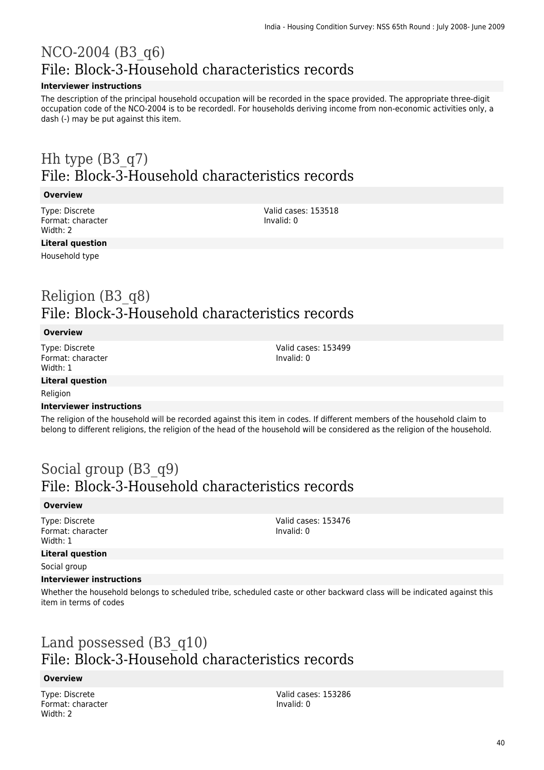### NCO-2004 (B3\_q6) File: Block-3-Household characteristics records

### **Interviewer instructions**

The description of the principal household occupation will be recorded in the space provided. The appropriate three-digit occupation code of the NCO-2004 is to be recordedl. For households deriving income from non-economic activities only, a dash (-) may be put against this item.

### Hh type  $(B3q7)$ File: Block-3-Household characteristics records

### **Overview**

Type: Discrete Format: character Width: 2

Valid cases: 153518 Invalid: 0

### **Literal question**

Household type

### Religion (B3\_q8) File: Block-3-Household characteristics records

#### **Overview**

Type: Discrete Format: character Width: 1

Valid cases: 153499 Invalid: 0

### **Literal question**

Religion

#### **Interviewer instructions**

The religion of the household will be recorded against this item in codes. If different members of the household claim to belong to different religions, the religion of the head of the household will be considered as the religion of the household.

### Social group (B3\_q9) File: Block-3-Household characteristics records

#### **Overview**

Type: Discrete Format: character Width: 1

Valid cases: 153476 Invalid: 0

#### **Literal question**

Social group

#### **Interviewer instructions**

Whether the household belongs to scheduled tribe, scheduled caste or other backward class will be indicated against this item in terms of codes

### Land possessed (B3\_q10) File: Block-3-Household characteristics records

#### **Overview**

Type: Discrete Format: character Width: 2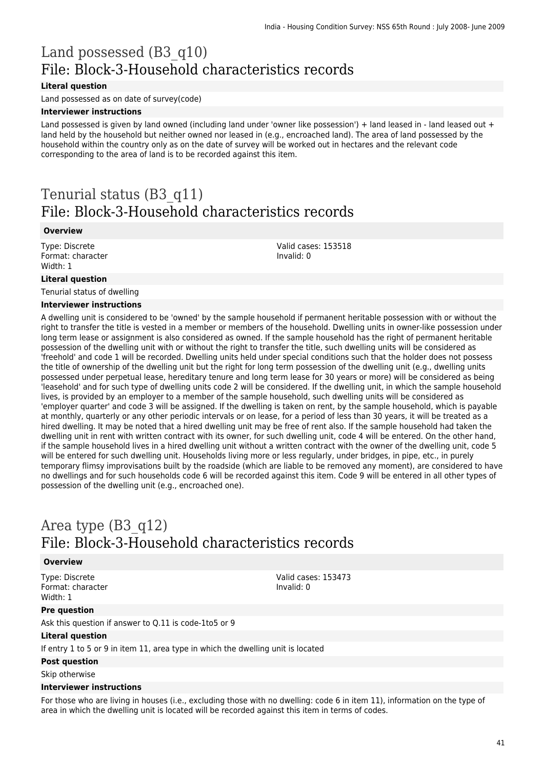### Land possessed (B3\_q10) File: Block-3-Household characteristics records

#### **Literal question**

Land possessed as on date of survey(code)

#### **Interviewer instructions**

Land possessed is given by land owned (including land under 'owner like possession') + land leased in - land leased out + land held by the household but neither owned nor leased in (e.g., encroached land). The area of land possessed by the household within the country only as on the date of survey will be worked out in hectares and the relevant code corresponding to the area of land is to be recorded against this item.

Valid cases: 153518

Invalid: 0

### Tenurial status (B3\_q11) File: Block-3-Household characteristics records

#### **Overview**

Type: Discrete Format: character Width: 1

#### **Literal question**

Tenurial status of dwelling

#### **Interviewer instructions**

A dwelling unit is considered to be 'owned' by the sample household if permanent heritable possession with or without the right to transfer the title is vested in a member or members of the household. Dwelling units in owner-like possession under long term lease or assignment is also considered as owned. If the sample household has the right of permanent heritable possession of the dwelling unit with or without the right to transfer the title, such dwelling units will be considered as 'freehold' and code 1 will be recorded. Dwelling units held under special conditions such that the holder does not possess the title of ownership of the dwelling unit but the right for long term possession of the dwelling unit (e.g., dwelling units possessed under perpetual lease, hereditary tenure and long term lease for 30 years or more) will be considered as being 'leasehold' and for such type of dwelling units code 2 will be considered. If the dwelling unit, in which the sample household lives, is provided by an employer to a member of the sample household, such dwelling units will be considered as 'employer quarter' and code 3 will be assigned. If the dwelling is taken on rent, by the sample household, which is payable at monthly, quarterly or any other periodic intervals or on lease, for a period of less than 30 years, it will be treated as a hired dwelling. It may be noted that a hired dwelling unit may be free of rent also. If the sample household had taken the dwelling unit in rent with written contract with its owner, for such dwelling unit, code 4 will be entered. On the other hand, if the sample household lives in a hired dwelling unit without a written contract with the owner of the dwelling unit, code 5 will be entered for such dwelling unit. Households living more or less regularly, under bridges, in pipe, etc., in purely temporary flimsy improvisations built by the roadside (which are liable to be removed any moment), are considered to have no dwellings and for such households code 6 will be recorded against this item. Code 9 will be entered in all other types of possession of the dwelling unit (e.g., encroached one).

### Area type (B3\_q12) File: Block-3-Household characteristics records

#### **Overview**

Type: Discrete Format: character Width: 1

Valid cases: 153473 Invalid: 0

### **Pre question**

Ask this question if answer to Q.11 is code-1to5 or 9

#### **Literal question**

If entry 1 to 5 or 9 in item 11, area type in which the dwelling unit is located

#### **Post question**

Skip otherwise

#### **Interviewer instructions**

For those who are living in houses (i.e., excluding those with no dwelling: code 6 in item 11), information on the type of area in which the dwelling unit is located will be recorded against this item in terms of codes.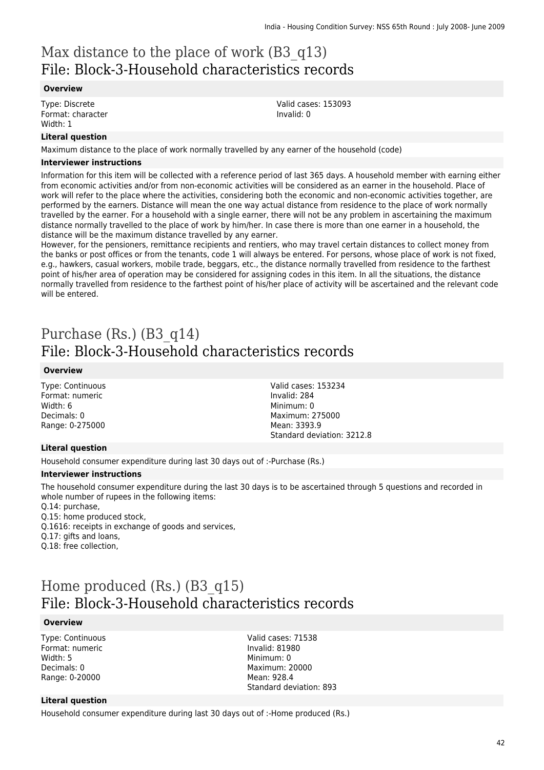### Max distance to the place of work (B3 q13) File: Block-3-Household characteristics records

### **Overview**

Type: Discrete Format: character Width: 1

Valid cases: 153093 Invalid: 0

### **Literal question**

Maximum distance to the place of work normally travelled by any earner of the household (code)

#### **Interviewer instructions**

Information for this item will be collected with a reference period of last 365 days. A household member with earning either from economic activities and/or from non-economic activities will be considered as an earner in the household. Place of work will refer to the place where the activities, considering both the economic and non-economic activities together, are performed by the earners. Distance will mean the one way actual distance from residence to the place of work normally travelled by the earner. For a household with a single earner, there will not be any problem in ascertaining the maximum distance normally travelled to the place of work by him/her. In case there is more than one earner in a household, the distance will be the maximum distance travelled by any earner.

However, for the pensioners, remittance recipients and rentiers, who may travel certain distances to collect money from the banks or post offices or from the tenants, code 1 will always be entered. For persons, whose place of work is not fixed, e.g., hawkers, casual workers, mobile trade, beggars, etc., the distance normally travelled from residence to the farthest point of his/her area of operation may be considered for assigning codes in this item. In all the situations, the distance normally travelled from residence to the farthest point of his/her place of activity will be ascertained and the relevant code will be entered.

> Valid cases: 153234 Invalid: 284 Minimum: 0 Maximum: 275000 Mean: 3393.9

Standard deviation: 3212.8

### Purchase (Rs.) (B3\_q14) File: Block-3-Household characteristics records

#### **Overview**

Type: Continuous Format: numeric Width: 6 Decimals: 0 Range: 0-275000

#### **Literal question**

Household consumer expenditure during last 30 days out of :-Purchase (Rs.)

#### **Interviewer instructions**

The household consumer expenditure during the last 30 days is to be ascertained through 5 questions and recorded in whole number of rupees in the following items:

Q.14: purchase,

Q.15: home produced stock,

- Q.1616: receipts in exchange of goods and services,
- Q.17: gifts and loans,

Q.18: free collection,

### Home produced (Rs.) (B3\_q15) File: Block-3-Household characteristics records

#### **Overview**

Type: Continuous Format: numeric Width: 5 Decimals: 0 Range: 0-20000

Valid cases: 71538 Invalid: 81980 Minimum: 0 Maximum: 20000 Mean: 928.4 Standard deviation: 893

#### **Literal question**

Household consumer expenditure during last 30 days out of :-Home produced (Rs.)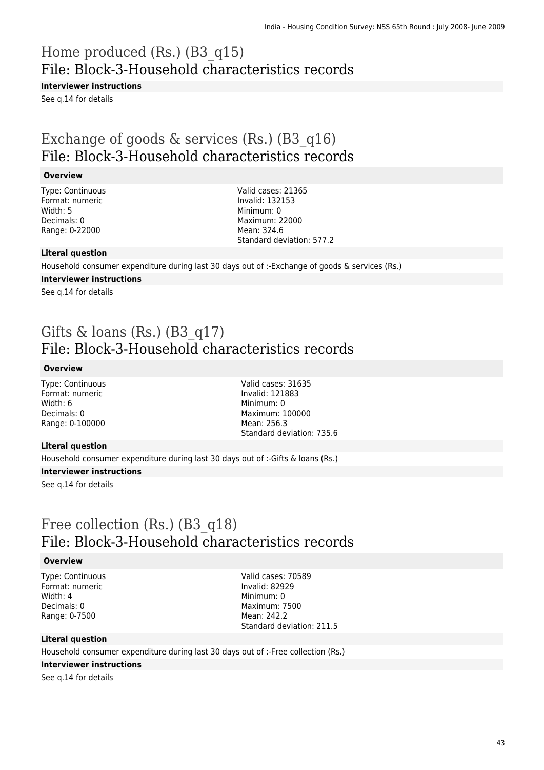### Home produced (Rs.) (B3\_q15) File: Block-3-Household characteristics records **Interviewer instructions**

See q.14 for details

### Exchange of goods & services (Rs.) (B3\_q16) File: Block-3-Household characteristics records

### **Overview**

Type: Continuous Format: numeric Width: 5 Decimals: 0 Range: 0-22000

Valid cases: 21365 Invalid: 132153 Minimum: 0 Maximum: 22000 Mean: 324.6 Standard deviation: 577.2

#### **Literal question**

Household consumer expenditure during last 30 days out of :-Exchange of goods & services (Rs.)

### **Interviewer instructions**

See q.14 for details

### Gifts  $\&$  loans (Rs.) (B3 q17) File: Block-3-Household characteristics records

#### **Overview**

Type: Continuous Format: numeric Width: 6 Decimals: 0 Range: 0-100000

Valid cases: 31635 Invalid: 121883 Minimum: 0 Maximum: 100000 Mean: 256.3 Standard deviation: 735.6

#### **Literal question**

Household consumer expenditure during last 30 days out of :-Gifts & loans (Rs.)

#### **Interviewer instructions**

See q.14 for details

### Free collection (Rs.) (B3\_q18) File: Block-3-Household characteristics records

#### **Overview**

Type: Continuous Format: numeric Width: 4 Decimals: 0 Range: 0-7500

Valid cases: 70589 Invalid: 82929 Minimum: 0 Maximum: 7500 Mean: 242.2 Standard deviation: 211.5

#### **Literal question**

Household consumer expenditure during last 30 days out of :-Free collection (Rs.)

#### **Interviewer instructions**

See q.14 for details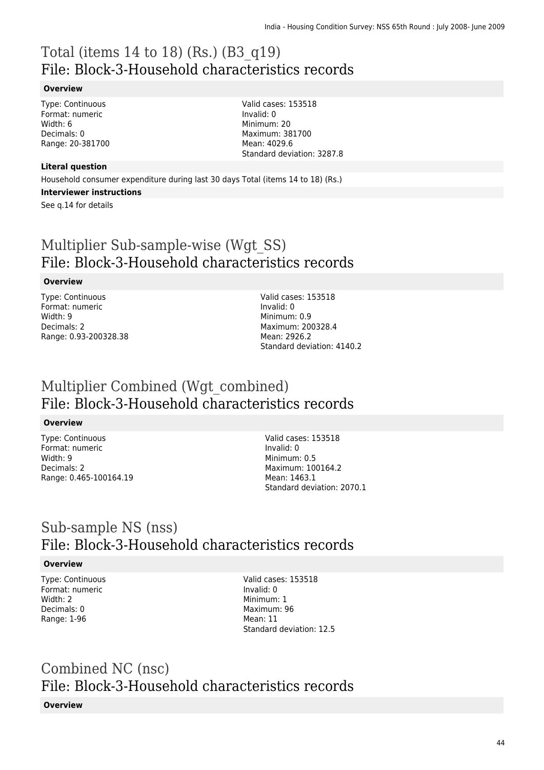# Total (items 14 to 18) (Rs.) (B3\_q19) File: Block-3-Household characteristics records

### **Overview**

Type: Continuous Format: numeric Width: 6 Decimals: 0 Range: 20-381700

Valid cases: 153518 Invalid: 0 Minimum: 20 Maximum: 381700 Mean: 4029.6 Standard deviation: 3287.8

### **Literal question**

Household consumer expenditure during last 30 days Total (items 14 to 18) (Rs.)

### **Interviewer instructions**

See q.14 for details

### Multiplier Sub-sample-wise (Wgt\_SS) File: Block-3-Household characteristics records

#### **Overview**

Type: Continuous Format: numeric Width: 9 Decimals: 2 Range: 0.93-200328.38

Valid cases: 153518 Invalid: 0 Minimum: 0.9 Maximum: 200328.4 Mean: 2926.2 Standard deviation: 4140.2

### Multiplier Combined (Wgt\_combined) File: Block-3-Household characteristics records

#### **Overview**

Type: Continuous Format: numeric Width: 9 Decimals: 2 Range: 0.465-100164.19 Valid cases: 153518 Invalid: 0 Minimum: 0.5 Maximum: 100164.2 Mean: 1463.1 Standard deviation: 2070.1

### Sub-sample NS (nss) File: Block-3-Household characteristics records

#### **Overview**

Type: Continuous Format: numeric Width: 2 Decimals: 0 Range: 1-96

Valid cases: 153518 Invalid: 0 Minimum: 1 Maximum: 96 Mean: 11 Standard deviation: 12.5

### Combined NC (nsc) File: Block-3-Household characteristics records

### **Overview**

44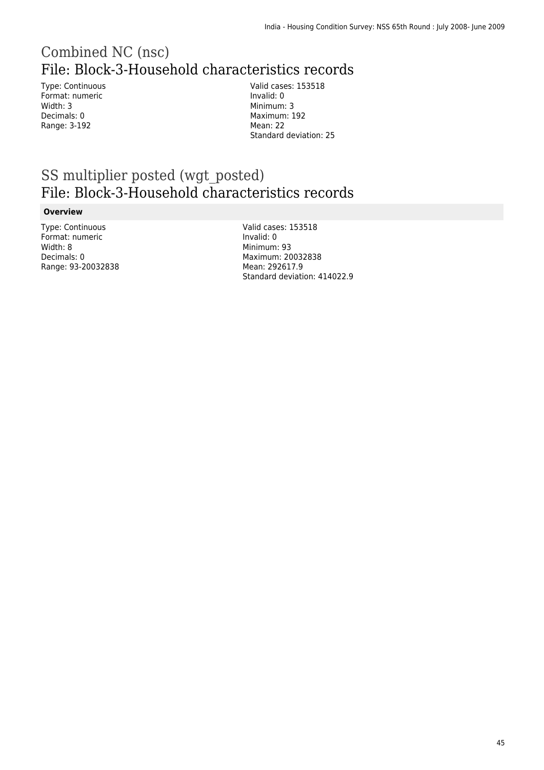### Combined NC (nsc) File: Block-3-Household characteristics records

Type: Continuous Format: numeric Width: 3 Decimals: 0 Range: 3-192

Valid cases: 153518 Invalid: 0 Minimum: 3 Maximum: 192 Mean: 22 Standard deviation: 25

### SS multiplier posted (wgt\_posted) File: Block-3-Household characteristics records

### **Overview**

Type: Continuous Format: numeric Width: 8 Decimals: 0 Range: 93-20032838 Valid cases: 153518 Invalid: 0 Minimum: 93 Maximum: 20032838 Mean: 292617.9 Standard deviation: 414022.9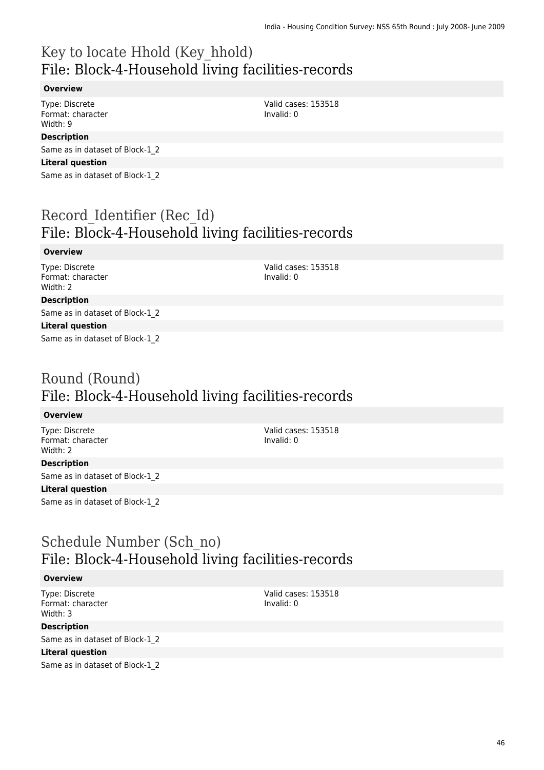### Key to locate Hhold (Key\_hhold) File: Block-4-Household living facilities-records

### **Overview**

Type: Discrete Format: character Width: 9

### **Description**

Same as in dataset of Block-1\_2 **Literal question**

Same as in dataset of Block-1\_2

### Record\_Identifier (Rec\_Id) File: Block-4-Household living facilities-records

#### **Overview**

Type: Discrete Format: character Width: 2

Valid cases: 153518 Invalid: 0

### **Description**

Same as in dataset of Block-1\_2

### **Literal question**

Same as in dataset of Block-1\_2

### Round (Round) File: Block-4-Household living facilities-records

### **Overview**

Type: Discrete Format: character Width: 2

#### **Description**

Same as in dataset of Block-1\_2

### **Literal question**

Same as in dataset of Block-1\_2

### Valid cases: 153518 Invalid: 0

Schedule Number (Sch\_no) File: Block-4-Household living facilities-records

### **Overview**

Type: Discrete Format: character Width: 3

### **Description**

Same as in dataset of Block-1\_2

### **Literal question**

Same as in dataset of Block-1\_2

Valid cases: 153518 Invalid: 0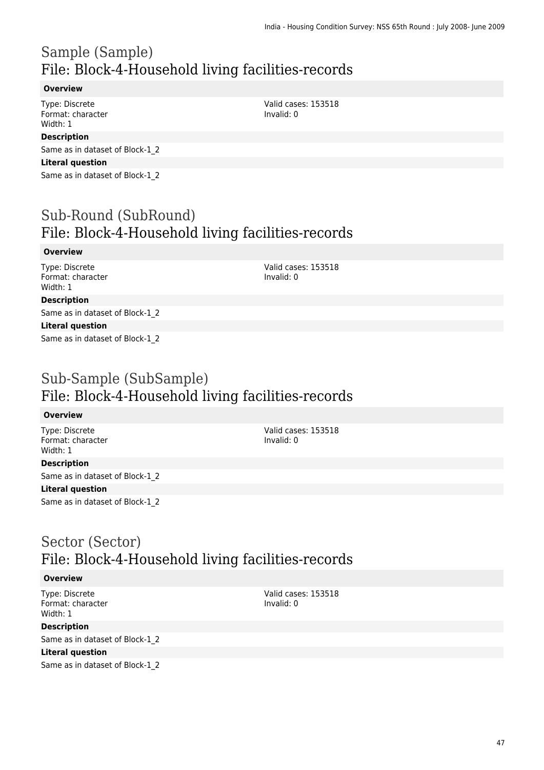### Sample (Sample) File: Block-4-Household living facilities-records

### **Overview**

Type: Discrete Format: character Width: 1

### **Description**

Same as in dataset of Block-1\_2 **Literal question**

Same as in dataset of Block-1\_2

### Sub-Round (SubRound) File: Block-4-Household living facilities-records

### **Overview**

Type: Discrete Format: character Width: 1

Valid cases: 153518 Invalid: 0

### **Description**

Same as in dataset of Block-1\_2

### **Literal question**

Same as in dataset of Block-1\_2

### Sub-Sample (SubSample) File: Block-4-Household living facilities-records

### **Overview**

Type: Discrete Format: character Width: 1

#### **Description**

Same as in dataset of Block-1\_2

### **Literal question**

Same as in dataset of Block-1\_2

### Valid cases: 153518 Invalid: 0

### Sector (Sector) File: Block-4-Household living facilities-records

### **Overview**

Type: Discrete Format: character Width: 1

### **Description**

Same as in dataset of Block-1\_2

### **Literal question**

Same as in dataset of Block-1\_2

Valid cases: 153518 Invalid: 0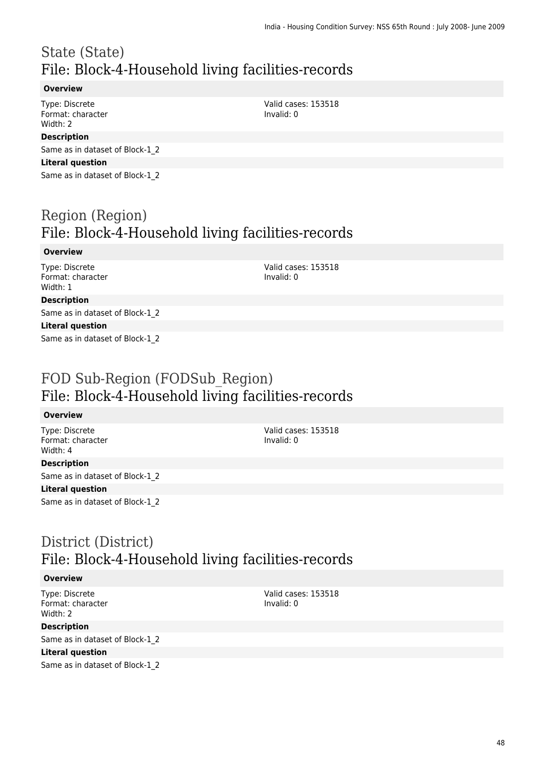### State (State) File: Block-4-Household living facilities-records

### **Overview**

Type: Discrete Format: character Width: 2

### **Description**

Same as in dataset of Block-1\_2 **Literal question**

Same as in dataset of Block-1\_2

### Region (Region) File: Block-4-Household living facilities-records

### **Overview**

Type: Discrete Format: character Width: 1

Valid cases: 153518 Invalid: 0

### **Description**

Same as in dataset of Block-1\_2

### **Literal question**

Same as in dataset of Block-1\_2

### FOD Sub-Region (FODSub\_Region) File: Block-4-Household living facilities-records

### **Overview**

Type: Discrete Format: character Width: 4

#### **Description**

Same as in dataset of Block-1\_2

### **Literal question**

Same as in dataset of Block-1\_2

### Valid cases: 153518 Invalid: 0

### District (District) File: Block-4-Household living facilities-records

### **Overview**

Type: Discrete Format: character Width: 2

### **Description**

Same as in dataset of Block-1\_2

### **Literal question**

Same as in dataset of Block-1\_2

Valid cases: 153518 Invalid: 0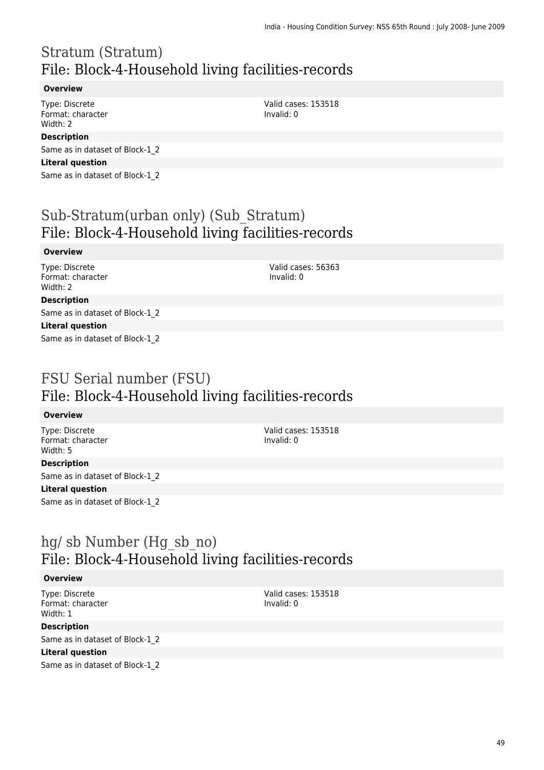### Stratum (Stratum) File: Block-4-Household living facilities-records

### **Overview**

Type: Discrete Format: character Width: 2

### **Description**

Same as in dataset of Block-1\_2 **Literal question**

Same as in dataset of Block-1\_2

### Sub-Stratum(urban only) (Sub\_Stratum) File: Block-4-Household living facilities-records

#### **Overview**

Type: Discrete Format: character Width: 2

Valid cases: 56363 Invalid: 0

Valid cases: 153518

Invalid: 0

### **Description**

Same as in dataset of Block-1\_2

### **Literal question**

Same as in dataset of Block-1\_2

### FSU Serial number (FSU) File: Block-4-Household living facilities-records

### **Overview**

Type: Discrete Format: character Width: 5

#### **Description**

Same as in dataset of Block-1\_2

### **Literal question**

Same as in dataset of Block-1\_2

### Valid cases: 153518 Invalid: 0

hg/ sb Number (Hg\_sb\_no) File: Block-4-Household living facilities-records

### **Overview**

Type: Discrete Format: character Width: 1

### **Description**

Same as in dataset of Block-1\_2

### **Literal question**

Same as in dataset of Block-1\_2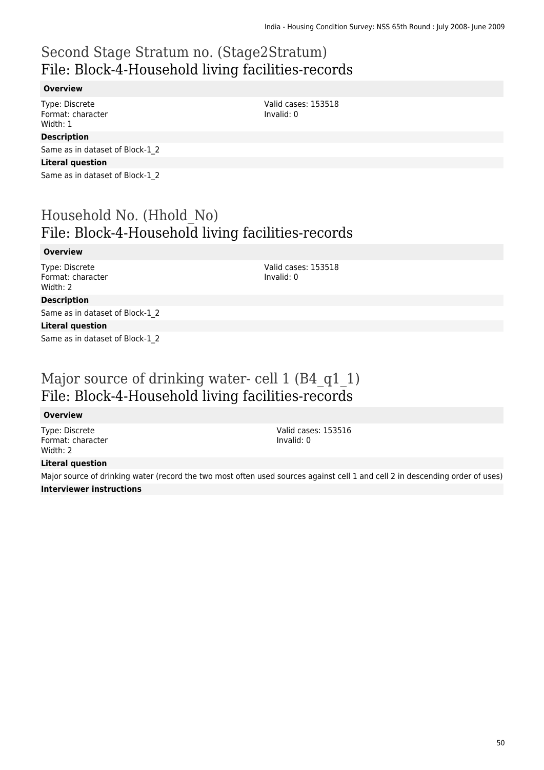### Second Stage Stratum no. (Stage2Stratum) File: Block-4-Household living facilities-records

### **Overview**

Type: Discrete Format: character Width: 1

### **Description**

Same as in dataset of Block-1\_2 **Literal question**

Same as in dataset of Block-1\_2

### Household No. (Hhold\_No) File: Block-4-Household living facilities-records

### **Overview**

Type: Discrete Format: character Width: 2

Valid cases: 153518 Invalid: 0

Valid cases: 153518

Invalid: 0

### **Description**

Same as in dataset of Block-1\_2

### **Literal question**

Same as in dataset of Block-1\_2

### Major source of drinking water- cell 1 (B4 q1 1) File: Block-4-Household living facilities-records

#### **Overview**

Type: Discrete Format: character Width: 2

Valid cases: 153516 Invalid: 0

### **Literal question**

Major source of drinking water (record the two most often used sources against cell 1 and cell 2 in descending order of uses) **Interviewer instructions**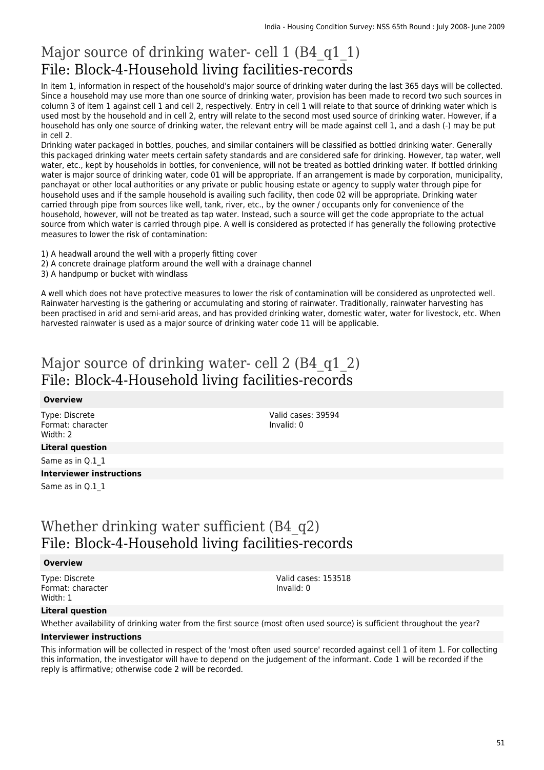### Major source of drinking water- cell 1 (B4 q1 1) File: Block-4-Household living facilities-records

In item 1, information in respect of the household's major source of drinking water during the last 365 days will be collected. Since a household may use more than one source of drinking water, provision has been made to record two such sources in column 3 of item 1 against cell 1 and cell 2, respectively. Entry in cell 1 will relate to that source of drinking water which is used most by the household and in cell 2, entry will relate to the second most used source of drinking water. However, if a household has only one source of drinking water, the relevant entry will be made against cell 1, and a dash (-) may be put in cell 2.

Drinking water packaged in bottles, pouches, and similar containers will be classified as bottled drinking water. Generally this packaged drinking water meets certain safety standards and are considered safe for drinking. However, tap water, well water, etc., kept by households in bottles, for convenience, will not be treated as bottled drinking water. If bottled drinking water is major source of drinking water, code 01 will be appropriate. If an arrangement is made by corporation, municipality, panchayat or other local authorities or any private or public housing estate or agency to supply water through pipe for household uses and if the sample household is availing such facility, then code 02 will be appropriate. Drinking water carried through pipe from sources like well, tank, river, etc., by the owner / occupants only for convenience of the household, however, will not be treated as tap water. Instead, such a source will get the code appropriate to the actual source from which water is carried through pipe. A well is considered as protected if has generally the following protective measures to lower the risk of contamination:

- 1) A headwall around the well with a properly fitting cover
- 2) A concrete drainage platform around the well with a drainage channel
- 3) A handpump or bucket with windlass

A well which does not have protective measures to lower the risk of contamination will be considered as unprotected well. Rainwater harvesting is the gathering or accumulating and storing of rainwater. Traditionally, rainwater harvesting has been practised in arid and semi-arid areas, and has provided drinking water, domestic water, water for livestock, etc. When harvested rainwater is used as a major source of drinking water code 11 will be applicable.

### Major source of drinking water- cell 2 (B4 q1 2) File: Block-4-Household living facilities-records

### **Overview**

Type: Discrete Format: character Width: 2

### **Literal question**

### Same as in Q.1\_1

**Interviewer instructions**

Same as in Q.1\_1

Valid cases: 39594 Invalid: 0

### Whether drinking water sufficient (B4\_q2) File: Block-4-Household living facilities-records

#### **Overview**

Type: Discrete Format: character Width: 1

Valid cases: 153518 Invalid: 0

#### **Literal question**

Whether availability of drinking water from the first source (most often used source) is sufficient throughout the year?

#### **Interviewer instructions**

This information will be collected in respect of the 'most often used source' recorded against cell 1 of item 1. For collecting this information, the investigator will have to depend on the judgement of the informant. Code 1 will be recorded if the reply is affirmative; otherwise code 2 will be recorded.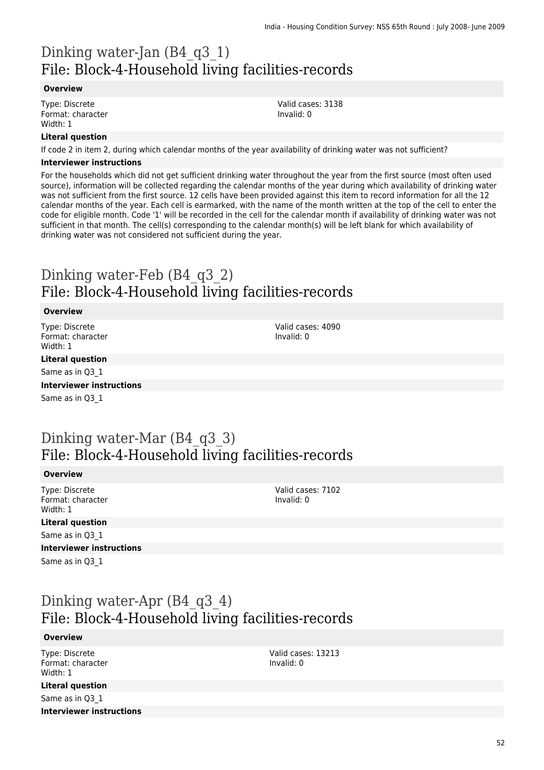### Dinking water-Jan (B4\_q3\_1) File: Block-4-Household living facilities-records

### **Overview**

Type: Discrete Format: character Width: 1

Valid cases: 3138 Invalid: 0

### **Literal question**

If code 2 in item 2, during which calendar months of the year availability of drinking water was not sufficient?

### **Interviewer instructions**

For the households which did not get sufficient drinking water throughout the year from the first source (most often used source), information will be collected regarding the calendar months of the year during which availability of drinking water was not sufficient from the first source. 12 cells have been provided against this item to record information for all the 12 calendar months of the year. Each cell is earmarked, with the name of the month written at the top of the cell to enter the code for eligible month. Code '1' will be recorded in the cell for the calendar month if availability of drinking water was not sufficient in that month. The cell(s) corresponding to the calendar month(s) will be left blank for which availability of drinking water was not considered not sufficient during the year.

### Dinking water-Feb (B4\_q3\_2) File: Block-4-Household living facilities-records

#### **Overview**

Type: Discrete Format: character Width: 1

#### **Literal question**

Same as in Q3\_1

### **Interviewer instructions**

Same as in Q3\_1

### Dinking water-Mar (B4\_q3\_3) File: Block-4-Household living facilities-records

#### **Overview**

Type: Discrete Format: character Width: 1

### **Literal question**

Same as in Q3\_1

**Interviewer instructions**

Same as in Q3\_1

### Dinking water-Apr (B4\_q3\_4) File: Block-4-Household living facilities-records

#### **Overview**

Type: Discrete Format: character Width: 1

Valid cases: 13213 Invalid: 0

### **Literal question**

Same as in Q3\_1 **Interviewer instructions**

Valid cases: 4090 Invalid: 0

Valid cases: 7102 Invalid: 0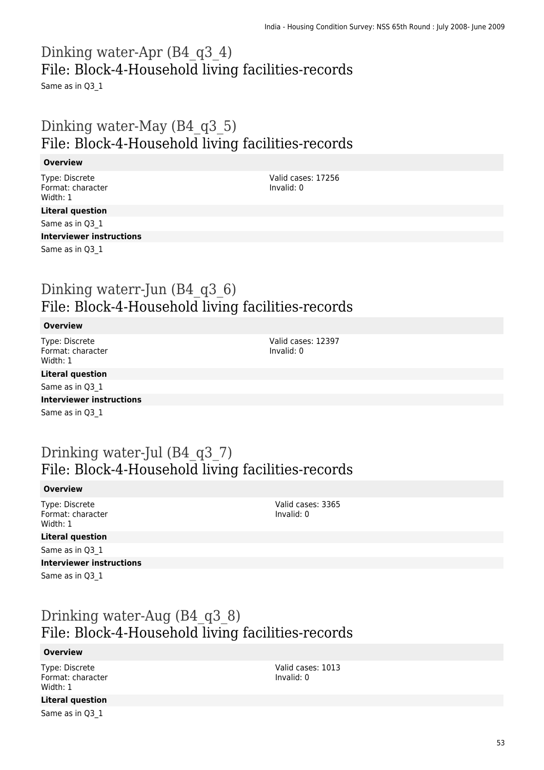### Dinking water-Apr (B4\_q3\_4) File: Block-4-Household living facilities-records Same as in Q3\_1

### Dinking water-May (B4\_q3\_5) File: Block-4-Household living facilities-records

### **Overview**

Type: Discrete Format: character Width: 1

Valid cases: 17256 Invalid: 0

### **Literal question**

Same as in Q3\_1

**Interviewer instructions**

Same as in Q3\_1

### Dinking waterr-Jun (B4\_q3\_6) File: Block-4-Household living facilities-records

### **Overview**

Type: Discrete Format: character Width: 1

### **Literal question**

Same as in Q3\_1

#### **Interviewer instructions**

Same as in Q3\_1

### Drinking water-Jul (B4\_q3\_7) File: Block-4-Household living facilities-records

**Overview**

Type: Discrete Format: character Width: 1

### **Literal question**

Same as in Q3\_1

**Interviewer instructions**

Same as in Q3\_1

### Drinking water-Aug (B4\_q3\_8) File: Block-4-Household living facilities-records

### **Overview**

Type: Discrete Format: character Width: 1

Valid cases: 1013 Invalid: 0

**Literal question**

Same as in Q3\_1

Valid cases: 12397 Invalid: 0

Valid cases: 3365 Invalid: 0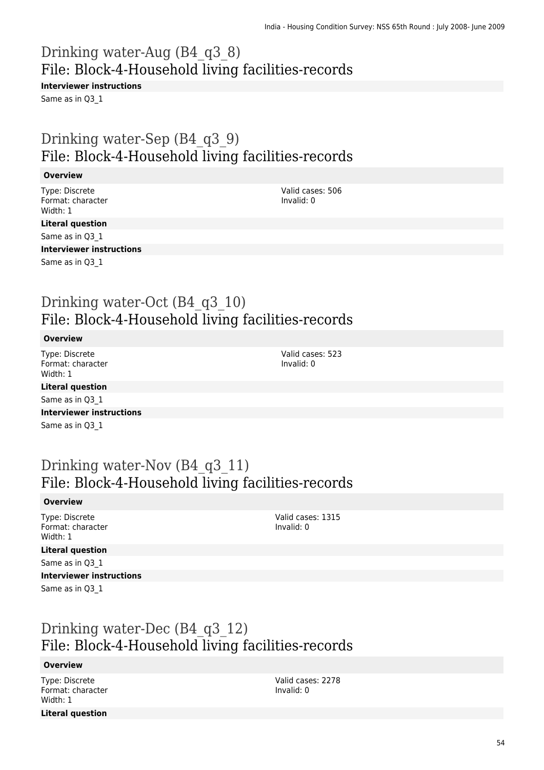# Drinking water-Aug (B4\_q3\_8) File: Block-4-Household living facilities-records

**Interviewer instructions**

Same as in Q3\_1

### Drinking water-Sep (B4\_q3\_9) File: Block-4-Household living facilities-records

### **Overview**

Type: Discrete Format: character Width: 1

**Literal question**

Same as in Q3\_1

**Interviewer instructions**

Same as in Q3\_1

#### Valid cases: 506 Invalid: 0

### Drinking water-Oct (B4\_q3\_10) File: Block-4-Household living facilities-records

### **Overview**

Type: Discrete Format: character Width: 1 **Literal question** Same as in Q3\_1 **Interviewer instructions**

Same as in Q3\_1

### Drinking water-Nov (B4\_q3\_11) File: Block-4-Household living facilities-records

### **Overview**

Type: Discrete Format: character Width: 1

### **Literal question**

Same as in Q3\_1

### **Interviewer instructions**

Same as in Q3\_1

### Drinking water-Dec (B4\_q3\_12) File: Block-4-Household living facilities-records

### **Overview**

Type: Discrete Format: character Width: 1 **Literal question**

Valid cases: 2278 Invalid: 0

Valid cases: 1315

Invalid: 0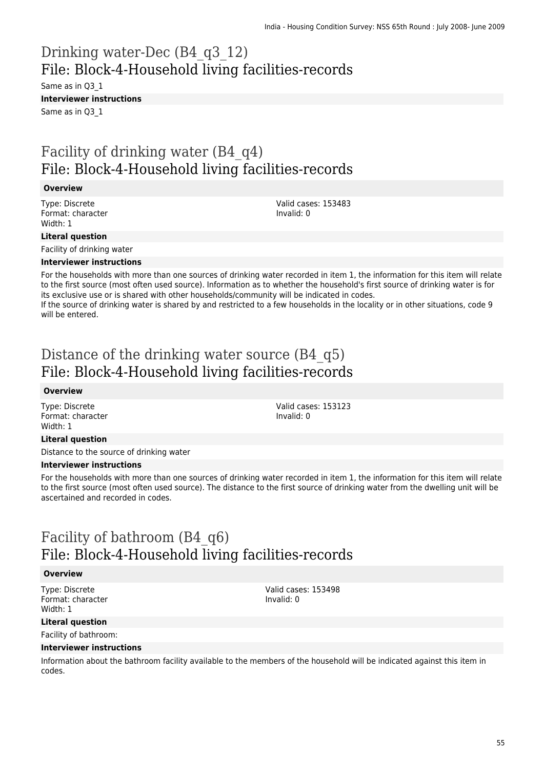# Drinking water-Dec (B4\_q3\_12) File: Block-4-Household living facilities-records

Same as in Q3\_1

**Interviewer instructions**

Same as in Q3\_1

### Facility of drinking water (B4\_q4) File: Block-4-Household living facilities-records

#### **Overview**

Type: Discrete Format: character Width: 1

Valid cases: 153483 Invalid: 0

### **Literal question**

Facility of drinking water

#### **Interviewer instructions**

For the households with more than one sources of drinking water recorded in item 1, the information for this item will relate to the first source (most often used source). Information as to whether the household's first source of drinking water is for its exclusive use or is shared with other households/community will be indicated in codes. If the source of drinking water is shared by and restricted to a few households in the locality or in other situations, code 9

will be entered.

### Distance of the drinking water source (B4\_q5) File: Block-4-Household living facilities-records

#### **Overview**

Type: Discrete Format: character Width: 1

Valid cases: 153123 Invalid: 0

### **Literal question**

Distance to the source of drinking water

#### **Interviewer instructions**

For the households with more than one sources of drinking water recorded in item 1, the information for this item will relate to the first source (most often used source). The distance to the first source of drinking water from the dwelling unit will be ascertained and recorded in codes.

### Facility of bathroom (B4\_q6) File: Block-4-Household living facilities-records

### **Overview**

Type: Discrete Format: character Width: 1

Valid cases: 153498 Invalid: 0

### **Literal question**

Facility of bathroom:

#### **Interviewer instructions**

Information about the bathroom facility available to the members of the household will be indicated against this item in codes.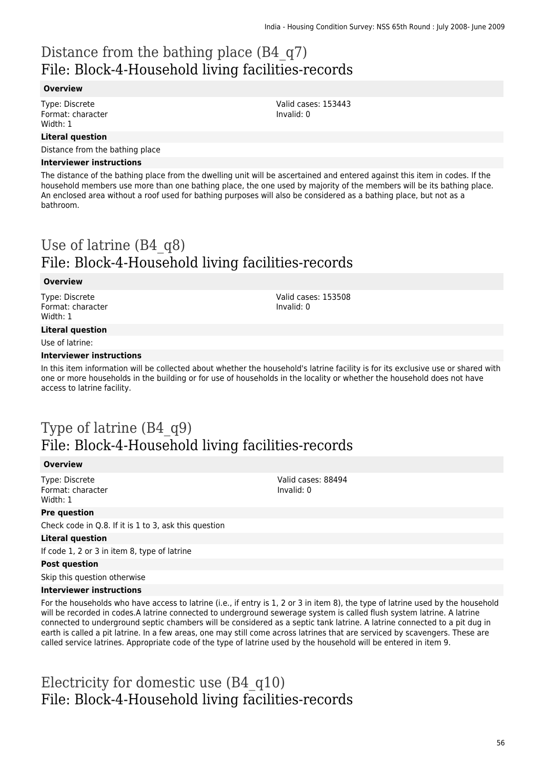### Distance from the bathing place (B4\_q7) File: Block-4-Household living facilities-records

#### **Overview**

Type: Discrete Format: character Width: 1

#### **Literal question**

Distance from the bathing place

#### **Interviewer instructions**

The distance of the bathing place from the dwelling unit will be ascertained and entered against this item in codes. If the household members use more than one bathing place, the one used by majority of the members will be its bathing place. An enclosed area without a roof used for bathing purposes will also be considered as a bathing place, but not as a bathroom.

### Use of latrine (B4\_q8) File: Block-4-Household living facilities-records

#### **Overview**

Type: Discrete Format: character Width: 1

### **Literal question**

Use of latrine:

#### **Interviewer instructions**

In this item information will be collected about whether the household's latrine facility is for its exclusive use or shared with one or more households in the building or for use of households in the locality or whether the household does not have access to latrine facility.

### Type of latrine (B4\_q9) File: Block-4-Household living facilities-records

#### **Overview**

Type: Discrete Format: character Width: 1

#### **Pre question**

Check code in Q.8. If it is 1 to 3, ask this question

#### **Literal question**

If code 1, 2 or 3 in item 8, type of latrine

#### **Post question**

Skip this question otherwise

#### **Interviewer instructions**

For the households who have access to latrine (i.e., if entry is 1, 2 or 3 in item 8), the type of latrine used by the household will be recorded in codes.A latrine connected to underground sewerage system is called flush system latrine. A latrine connected to underground septic chambers will be considered as a septic tank latrine. A latrine connected to a pit dug in earth is called a pit latrine. In a few areas, one may still come across latrines that are serviced by scavengers. These are called service latrines. Appropriate code of the type of latrine used by the household will be entered in item 9.

### Electricity for domestic use (B4\_q10) File: Block-4-Household living facilities-records

Valid cases: 153508 Invalid: 0

Valid cases: 88494

Invalid: 0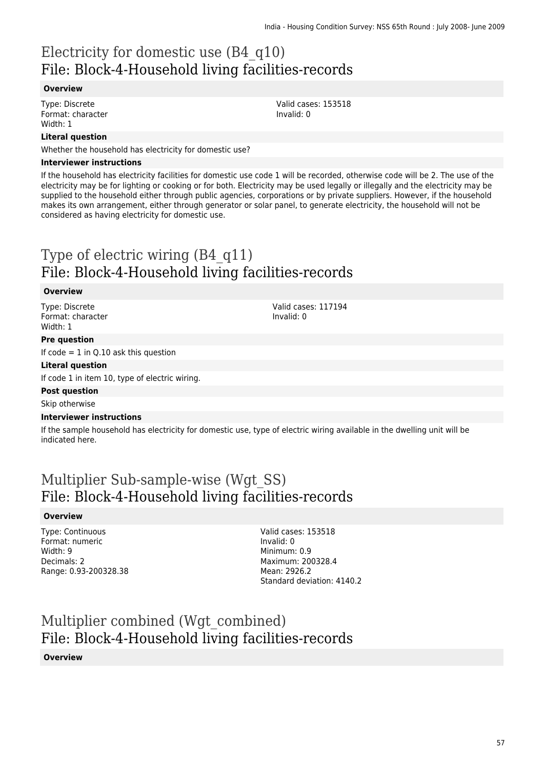### Electricity for domestic use (B4\_q10) File: Block-4-Household living facilities-records

#### **Overview**

Type: Discrete Format: character Width: 1

Valid cases: 153518 Invalid: 0

Valid cases: 117194

Invalid: 0

### **Literal question**

Whether the household has electricity for domestic use?

#### **Interviewer instructions**

If the household has electricity facilities for domestic use code 1 will be recorded, otherwise code will be 2. The use of the electricity may be for lighting or cooking or for both. Electricity may be used legally or illegally and the electricity may be supplied to the household either through public agencies, corporations or by private suppliers. However, if the household makes its own arrangement, either through generator or solar panel, to generate electricity, the household will not be considered as having electricity for domestic use.

### Type of electric wiring (B4\_q11) File: Block-4-Household living facilities-records

### **Overview**

Type: Discrete Format: character Width: 1

### **Pre question**

If  $code = 1$  in Q.10 ask this question

#### **Literal question**

If code 1 in item 10, type of electric wiring.

#### **Post question**

Skip otherwise

### **Interviewer instructions**

If the sample household has electricity for domestic use, type of electric wiring available in the dwelling unit will be indicated here.

### Multiplier Sub-sample-wise (Wgt\_SS) File: Block-4-Household living facilities-records

#### **Overview**

Type: Continuous Format: numeric Width: 9 Decimals: 2 Range: 0.93-200328.38 Valid cases: 153518 Invalid: 0 Minimum: 0.9 Maximum: 200328.4 Mean: 2926.2 Standard deviation: 4140.2

# Multiplier combined (Wgt\_combined) File: Block-4-Household living facilities-records

### **Overview**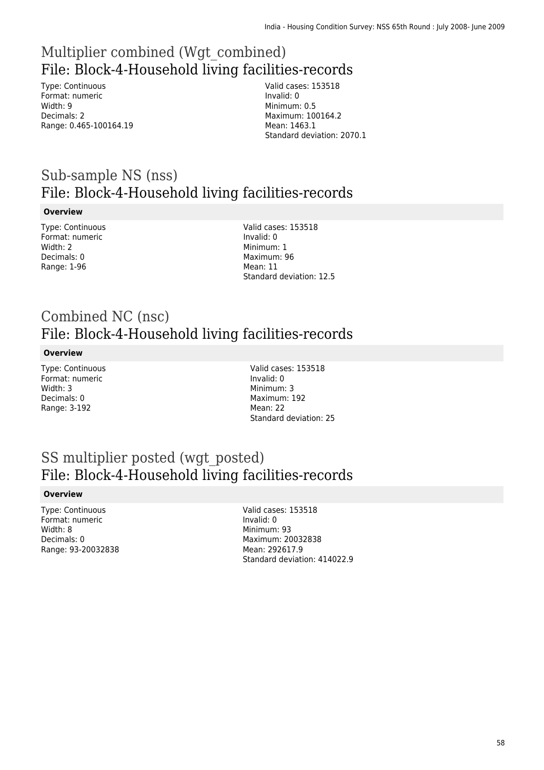### Multiplier combined (Wgt\_combined) File: Block-4-Household living facilities-records

Type: Continuous Format: numeric Width: 9 Decimals: 2 Range: 0.465-100164.19 Valid cases: 153518 Invalid: 0 Minimum: 0.5 Maximum: 100164.2 Mean: 1463.1 Standard deviation: 2070.1

### Sub-sample NS (nss) File: Block-4-Household living facilities-records

### **Overview**

Type: Continuous Format: numeric Width: 2 Decimals: 0 Range: 1-96

Valid cases: 153518 Invalid: 0 Minimum: 1 Maximum: 96 Mean: 11 Standard deviation: 12.5

### Combined NC (nsc) File: Block-4-Household living facilities-records

### **Overview**

Type: Continuous Format: numeric Width: 3 Decimals: 0 Range: 3-192

Valid cases: 153518 Invalid: 0 Minimum: 3 Maximum: 192 Mean: 22 Standard deviation: 25

### SS multiplier posted (wgt\_posted) File: Block-4-Household living facilities-records

### **Overview**

Type: Continuous Format: numeric Width: 8 Decimals: 0 Range: 93-20032838 Valid cases: 153518 Invalid: 0 Minimum: 93 Maximum: 20032838 Mean: 292617.9 Standard deviation: 414022.9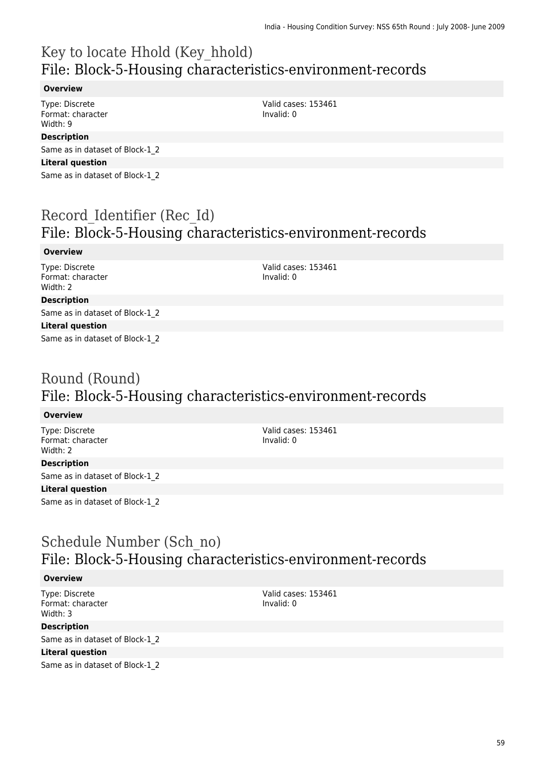# Key to locate Hhold (Key\_hhold) File: Block-5-Housing characteristics-environment-records

### **Overview**

Type: Discrete Format: character Width: 9

### **Description**

Same as in dataset of Block-1\_2 **Literal question**

Same as in dataset of Block-1\_2

### Record\_Identifier (Rec\_Id) File: Block-5-Housing characteristics-environment-records

### **Overview**

Type: Discrete Format: character Width: 2

Valid cases: 153461 Invalid: 0

Valid cases: 153461

Invalid: 0

### **Description**

Same as in dataset of Block-1\_2

### **Literal question**

Same as in dataset of Block-1\_2

### Round (Round) File: Block-5-Housing characteristics-environment-records

### **Overview**

Type: Discrete Format: character Width: 2

### **Description**

Same as in dataset of Block-1\_2

### **Literal question**

Same as in dataset of Block-1\_2

Valid cases: 153461 Invalid: 0

### Schedule Number (Sch\_no) File: Block-5-Housing characteristics-environment-records

### **Overview**

Type: Discrete Format: character Width: 3

### **Description**

Same as in dataset of Block-1\_2

### **Literal question**

Same as in dataset of Block-1\_2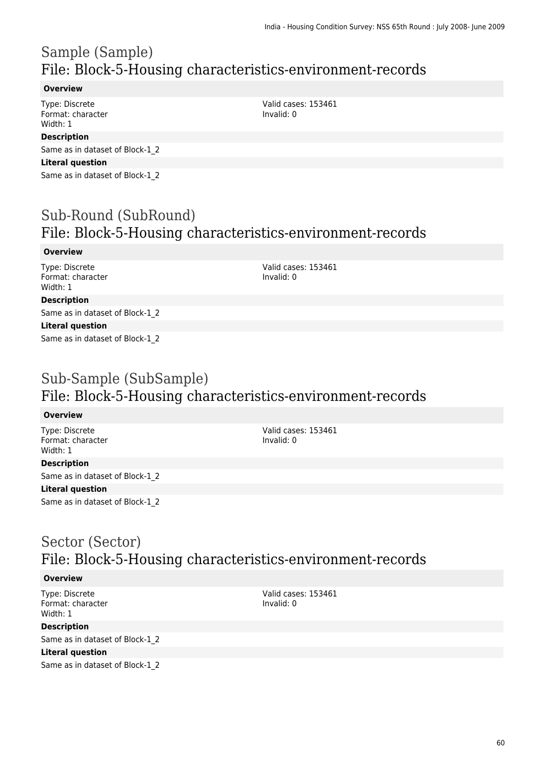# Sample (Sample) File: Block-5-Housing characteristics-environment-records

### **Overview**

Type: Discrete Format: character Width: 1

### **Description**

Same as in dataset of Block-1\_2 **Literal question**

Same as in dataset of Block-1\_2

### Sub-Round (SubRound) File: Block-5-Housing characteristics-environment-records

### **Overview**

Type: Discrete Format: character Width: 1

Valid cases: 153461 Invalid: 0

### **Description**

Same as in dataset of Block-1\_2

### **Literal question**

Same as in dataset of Block-1\_2

### Sub-Sample (SubSample) File: Block-5-Housing characteristics-environment-records

### **Overview**

Type: Discrete Format: character Width: 1

### **Description**

Same as in dataset of Block-1\_2

### **Literal question**

Same as in dataset of Block-1\_2

Valid cases: 153461 Invalid: 0

### Sector (Sector) File: Block-5-Housing characteristics-environment-records

### **Overview**

Type: Discrete Format: character Width: 1

### **Description**

Same as in dataset of Block-1\_2

### **Literal question**

Same as in dataset of Block-1\_2

Valid cases: 153461 Invalid: 0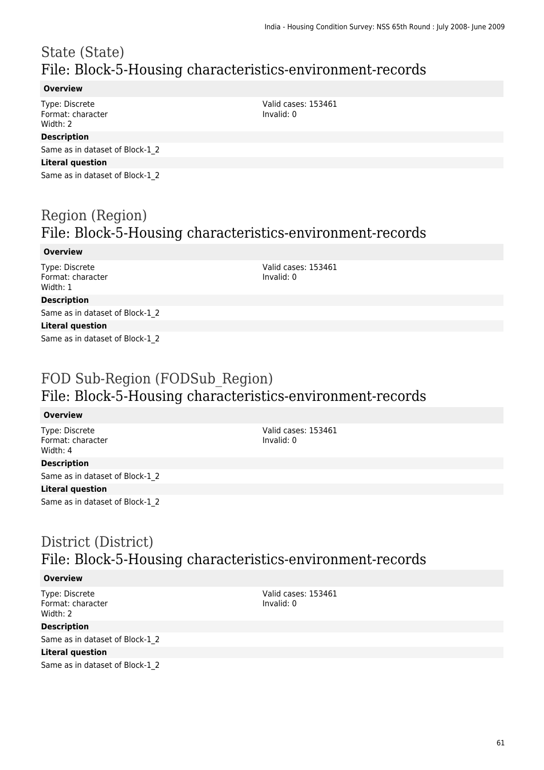### State (State) File: Block-5-Housing characteristics-environment-records

### **Overview**

Type: Discrete Format: character Width: 2

### **Description**

Same as in dataset of Block-1\_2 **Literal question**

Same as in dataset of Block-1\_2

### Region (Region) File: Block-5-Housing characteristics-environment-records

### **Overview**

Type: Discrete Format: character Width: 1

Valid cases: 153461 Invalid: 0

### **Description**

Same as in dataset of Block-1\_2

### **Literal question**

Same as in dataset of Block-1\_2

### FOD Sub-Region (FODSub\_Region) File: Block-5-Housing characteristics-environment-records

### **Overview**

Type: Discrete Format: character Width: 4

#### **Description**

Same as in dataset of Block-1\_2

### **Literal question**

Same as in dataset of Block-1\_2

Valid cases: 153461 Invalid: 0

### District (District) File: Block-5-Housing characteristics-environment-records

### **Overview**

Type: Discrete Format: character Width: 2

### **Description**

Same as in dataset of Block-1\_2

### **Literal question**

Same as in dataset of Block-1\_2

Valid cases: 153461 Invalid: 0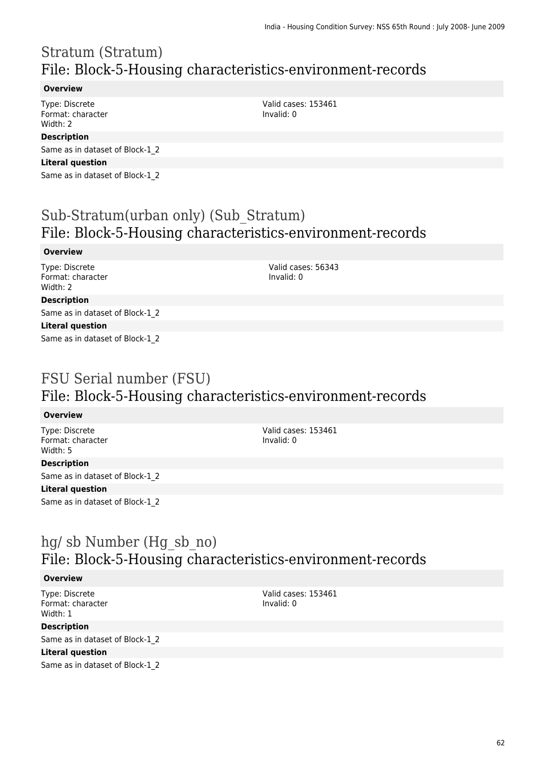### Stratum (Stratum) File: Block-5-Housing characteristics-environment-records

### **Overview**

Type: Discrete Format: character Width: 2

### **Description**

Same as in dataset of Block-1\_2 **Literal question**

Same as in dataset of Block-1\_2

Sub-Stratum(urban only) (Sub\_Stratum) File: Block-5-Housing characteristics-environment-records

#### **Overview**

Type: Discrete Format: character Width: 2

Valid cases: 56343 Invalid: 0

Valid cases: 153461

Invalid: 0

### **Description**

Same as in dataset of Block-1\_2

### **Literal question**

Same as in dataset of Block-1\_2

### FSU Serial number (FSU) File: Block-5-Housing characteristics-environment-records

### **Overview**

Type: Discrete Format: character Width: 5

#### **Description**

Same as in dataset of Block-1\_2

### **Literal question**

Same as in dataset of Block-1\_2

Valid cases: 153461 Invalid: 0

### hg/ sb Number (Hg\_sb\_no) File: Block-5-Housing characteristics-environment-records

### **Overview**

Type: Discrete Format: character Width: 1

### **Description**

Same as in dataset of Block-1\_2

### **Literal question**

Same as in dataset of Block-1\_2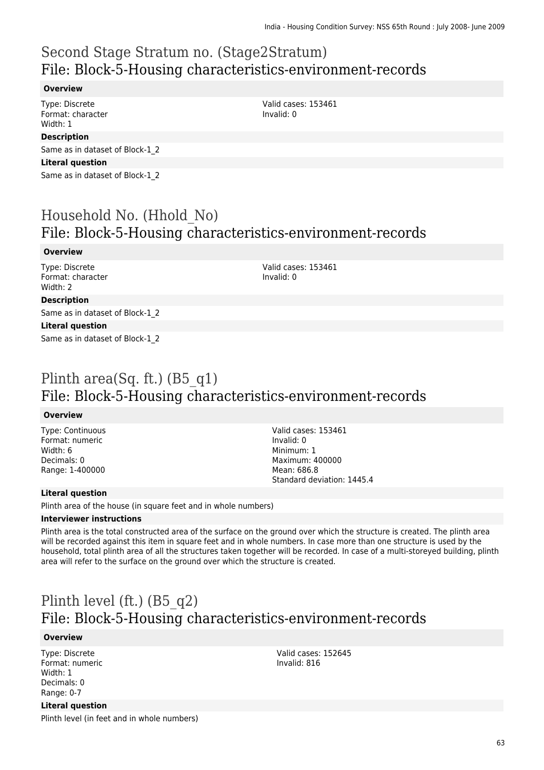### Second Stage Stratum no. (Stage2Stratum) File: Block-5-Housing characteristics-environment-records

### **Overview**

Type: Discrete Format: character Width: 1

### **Description**

Same as in dataset of Block-1\_2 **Literal question**

Same as in dataset of Block-1\_2

### Household No. (Hhold\_No) File: Block-5-Housing characteristics-environment-records

### **Overview**

Type: Discrete Format: character Width: 2

Valid cases: 153461 Invalid: 0

Valid cases: 153461

Invalid: 0

### **Description**

Same as in dataset of Block-1\_2

### **Literal question**

Same as in dataset of Block-1\_2

### Plinth area(Sq. ft.) (B5\_q1) File: Block-5-Housing characteristics-environment-records

### **Overview**

Type: Continuous Format: numeric Width: 6 Decimals: 0 Range: 1-400000

Valid cases: 153461 Invalid: 0 Minimum: 1 Maximum: 400000 Mean: 686.8 Standard deviation: 1445.4

### **Literal question**

Plinth area of the house (in square feet and in whole numbers)

#### **Interviewer instructions**

Plinth area is the total constructed area of the surface on the ground over which the structure is created. The plinth area will be recorded against this item in square feet and in whole numbers. In case more than one structure is used by the household, total plinth area of all the structures taken together will be recorded. In case of a multi-storeyed building, plinth area will refer to the surface on the ground over which the structure is created.

### Plinth level (ft.) (B5\_q2) File: Block-5-Housing characteristics-environment-records

#### **Overview**

Type: Discrete Format: numeric Width: 1 Decimals: 0 Range: 0-7

Valid cases: 152645 Invalid: 816

### **Literal question**

Plinth level (in feet and in whole numbers)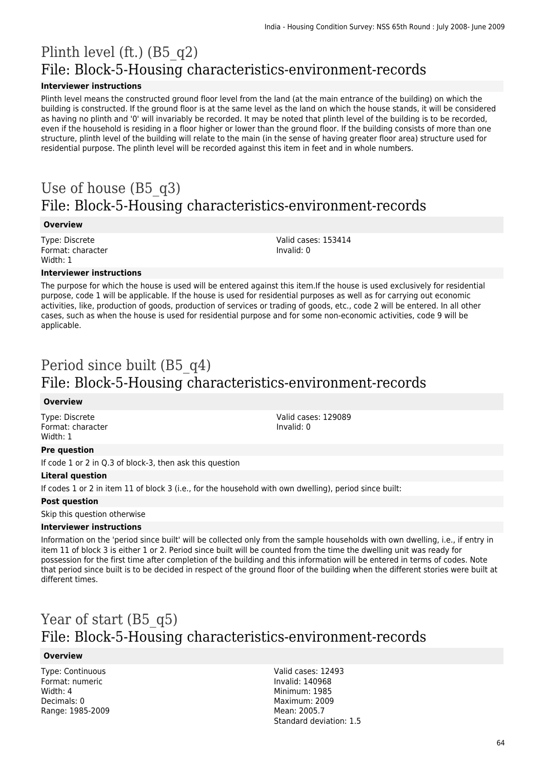# Plinth level (ft.) (B5\_q2) File: Block-5-Housing characteristics-environment-records

### **Interviewer instructions**

Plinth level means the constructed ground floor level from the land (at the main entrance of the building) on which the building is constructed. If the ground floor is at the same level as the land on which the house stands, it will be considered as having no plinth and '0' will invariably be recorded. It may be noted that plinth level of the building is to be recorded, even if the household is residing in a floor higher or lower than the ground floor. If the building consists of more than one structure, plinth level of the building will relate to the main (in the sense of having greater floor area) structure used for residential purpose. The plinth level will be recorded against this item in feet and in whole numbers.

# Use of house (B5\_q3) File: Block-5-Housing characteristics-environment-records

### **Overview**

Type: Discrete Format: character Width: 1

Valid cases: 153414 Invalid: 0

### **Interviewer instructions**

The purpose for which the house is used will be entered against this item.If the house is used exclusively for residential purpose, code 1 will be applicable. If the house is used for residential purposes as well as for carrying out economic activities, like, production of goods, production of services or trading of goods, etc., code 2 will be entered. In all other cases, such as when the house is used for residential purpose and for some non-economic activities, code 9 will be applicable.

### Period since built (B5\_q4) File: Block-5-Housing characteristics-environment-records

#### **Overview**

Type: Discrete Format: character Width: 1

Valid cases: 129089 Invalid: 0

#### **Pre question**

If code 1 or 2 in Q.3 of block-3, then ask this question

### **Literal question**

If codes 1 or 2 in item 11 of block 3 (i.e., for the household with own dwelling), period since built:

#### **Post question**

Skip this question otherwise

#### **Interviewer instructions**

Information on the 'period since built' will be collected only from the sample households with own dwelling, i.e., if entry in item 11 of block 3 is either 1 or 2. Period since built will be counted from the time the dwelling unit was ready for possession for the first time after completion of the building and this information will be entered in terms of codes. Note that period since built is to be decided in respect of the ground floor of the building when the different stories were built at different times.

### Year of start (B5\_q5) File: Block-5-Housing characteristics-environment-records

#### **Overview**

Type: Continuous Format: numeric Width: 4 Decimals: 0 Range: 1985-2009 Valid cases: 12493 Invalid: 140968 Minimum: 1985 Maximum: 2009 Mean: 2005.7 Standard deviation: 1.5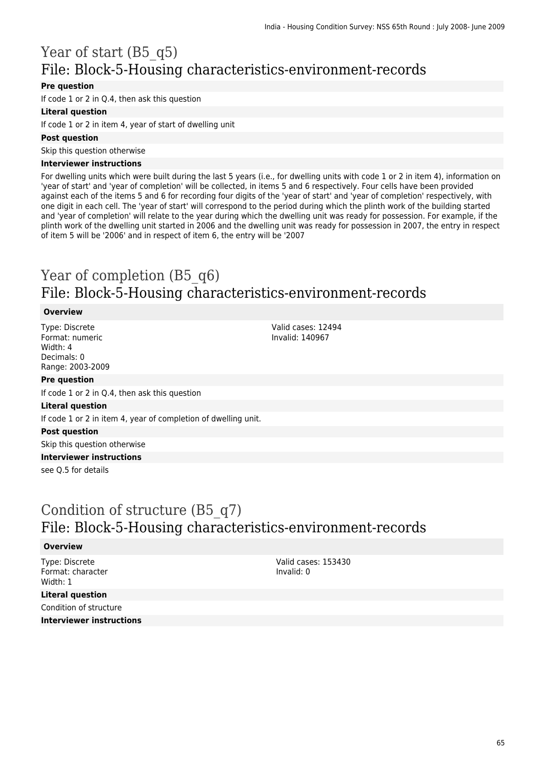# Year of start (B5\_q5) File: Block-5-Housing characteristics-environment-records

### **Pre question**

If code 1 or 2 in Q.4, then ask this question

#### **Literal question**

If code 1 or 2 in item 4, year of start of dwelling unit

#### **Post question**

Skip this question otherwise

#### **Interviewer instructions**

For dwelling units which were built during the last 5 years (i.e., for dwelling units with code 1 or 2 in item 4), information on 'year of start' and 'year of completion' will be collected, in items 5 and 6 respectively. Four cells have been provided against each of the items 5 and 6 for recording four digits of the 'year of start' and 'year of completion' respectively, with one digit in each cell. The 'year of start' will correspond to the period during which the plinth work of the building started and 'year of completion' will relate to the year during which the dwelling unit was ready for possession. For example, if the plinth work of the dwelling unit started in 2006 and the dwelling unit was ready for possession in 2007, the entry in respect of item 5 will be '2006' and in respect of item 6, the entry will be '2007

# Year of completion (B5\_q6) File: Block-5-Housing characteristics-environment-records

#### **Overview**

Type: Discrete Format: numeric Width: 4 Decimals: 0 Range: 2003-2009

#### **Pre question**

If code 1 or 2 in Q.4, then ask this question

#### **Literal question**

If code 1 or 2 in item 4, year of completion of dwelling unit.

#### **Post question**

Skip this question otherwise

### **Interviewer instructions**

see Q.5 for details

### Condition of structure (B5\_q7) File: Block-5-Housing characteristics-environment-records

#### **Overview**

Type: Discrete Format: character Width: 1

**Literal question** Condition of structure

**Interviewer instructions**

Valid cases: 153430 Invalid: 0

Valid cases: 12494 Invalid: 140967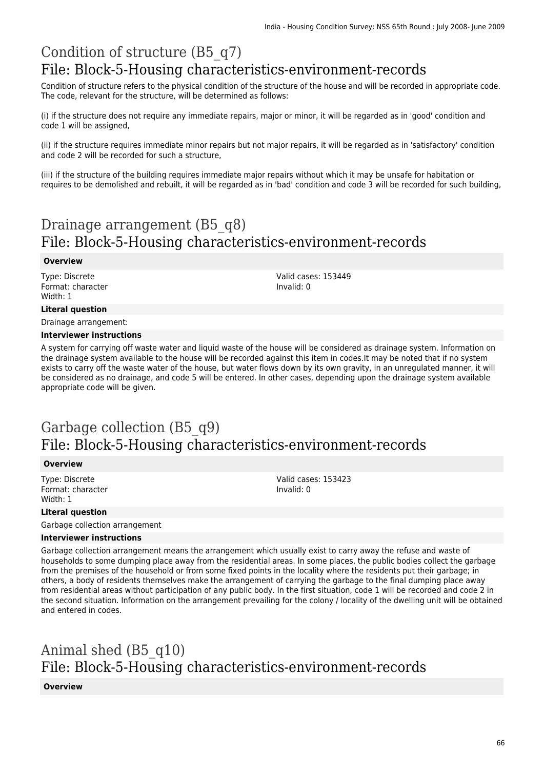### Condition of structure (B5\_q7) File: Block-5-Housing characteristics-environment-records

Condition of structure refers to the physical condition of the structure of the house and will be recorded in appropriate code. The code, relevant for the structure, will be determined as follows:

(i) if the structure does not require any immediate repairs, major or minor, it will be regarded as in 'good' condition and code 1 will be assigned,

(ii) if the structure requires immediate minor repairs but not major repairs, it will be regarded as in 'satisfactory' condition and code 2 will be recorded for such a structure,

(iii) if the structure of the building requires immediate major repairs without which it may be unsafe for habitation or requires to be demolished and rebuilt, it will be regarded as in 'bad' condition and code 3 will be recorded for such building,

### Drainage arrangement (B5\_q8) File: Block-5-Housing characteristics-environment-records

#### **Overview**

Type: Discrete Format: character Width: 1

Valid cases: 153449 Invalid: 0

Valid cases: 153423

Invalid: 0

### **Literal question**

Drainage arrangement:

#### **Interviewer instructions**

A system for carrying off waste water and liquid waste of the house will be considered as drainage system. Information on the drainage system available to the house will be recorded against this item in codes.It may be noted that if no system exists to carry off the waste water of the house, but water flows down by its own gravity, in an unregulated manner, it will be considered as no drainage, and code 5 will be entered. In other cases, depending upon the drainage system available appropriate code will be given.

### Garbage collection (B5\_q9) File: Block-5-Housing characteristics-environment-records

#### **Overview**

Type: Discrete Format: character Width: 1

### **Literal question**

Garbage collection arrangement

#### **Interviewer instructions**

Garbage collection arrangement means the arrangement which usually exist to carry away the refuse and waste of households to some dumping place away from the residential areas. In some places, the public bodies collect the garbage from the premises of the household or from some fixed points in the locality where the residents put their garbage; in others, a body of residents themselves make the arrangement of carrying the garbage to the final dumping place away from residential areas without participation of any public body. In the first situation, code 1 will be recorded and code 2 in the second situation. Information on the arrangement prevailing for the colony / locality of the dwelling unit will be obtained and entered in codes.

# Animal shed (B5\_q10) File: Block-5-Housing characteristics-environment-records

#### **Overview**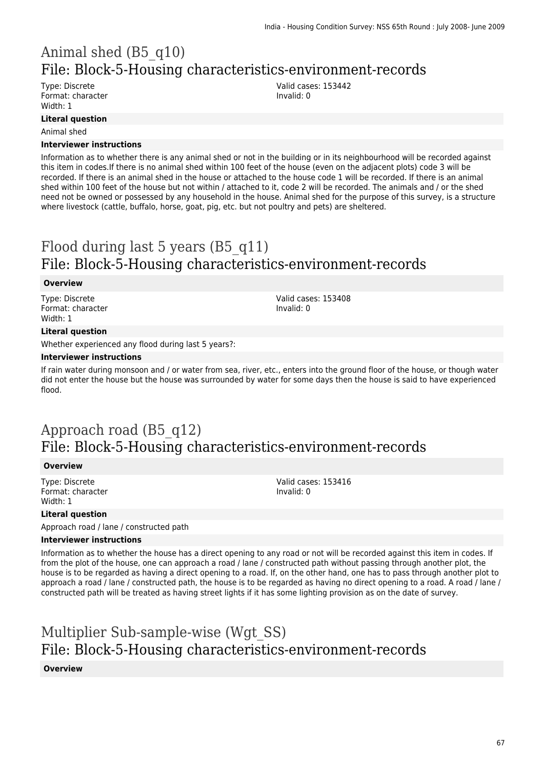### Animal shed (B5\_q10) File: Block-5-Housing characteristics-environment-records

Type: Discrete Format: character Width: 1

Valid cases: 153442 Invalid: 0

### **Literal question**

Animal shed

#### **Interviewer instructions**

Information as to whether there is any animal shed or not in the building or in its neighbourhood will be recorded against this item in codes.If there is no animal shed within 100 feet of the house (even on the adjacent plots) code 3 will be recorded. If there is an animal shed in the house or attached to the house code 1 will be recorded. If there is an animal shed within 100 feet of the house but not within / attached to it, code 2 will be recorded. The animals and / or the shed need not be owned or possessed by any household in the house. Animal shed for the purpose of this survey, is a structure where livestock (cattle, buffalo, horse, goat, pig, etc. but not poultry and pets) are sheltered.

### Flood during last 5 years (B5\_q11) File: Block-5-Housing characteristics-environment-records

#### **Overview**

Type: Discrete Format: character Width: 1

Valid cases: 153408 Invalid: 0

Valid cases: 153416

Invalid: 0

### **Literal question**

Whether experienced any flood during last 5 years?:

#### **Interviewer instructions**

If rain water during monsoon and / or water from sea, river, etc., enters into the ground floor of the house, or though water did not enter the house but the house was surrounded by water for some days then the house is said to have experienced flood.

### Approach road (B5\_q12) File: Block-5-Housing characteristics-environment-records

#### **Overview**

Type: Discrete Format: character Width: 1

#### **Literal question**

Approach road / lane / constructed path

#### **Interviewer instructions**

Information as to whether the house has a direct opening to any road or not will be recorded against this item in codes. If from the plot of the house, one can approach a road / lane / constructed path without passing through another plot, the house is to be regarded as having a direct opening to a road. If, on the other hand, one has to pass through another plot to approach a road / lane / constructed path, the house is to be regarded as having no direct opening to a road. A road / lane / constructed path will be treated as having street lights if it has some lighting provision as on the date of survey.

# Multiplier Sub-sample-wise (Wgt\_SS) File: Block-5-Housing characteristics-environment-records

#### **Overview**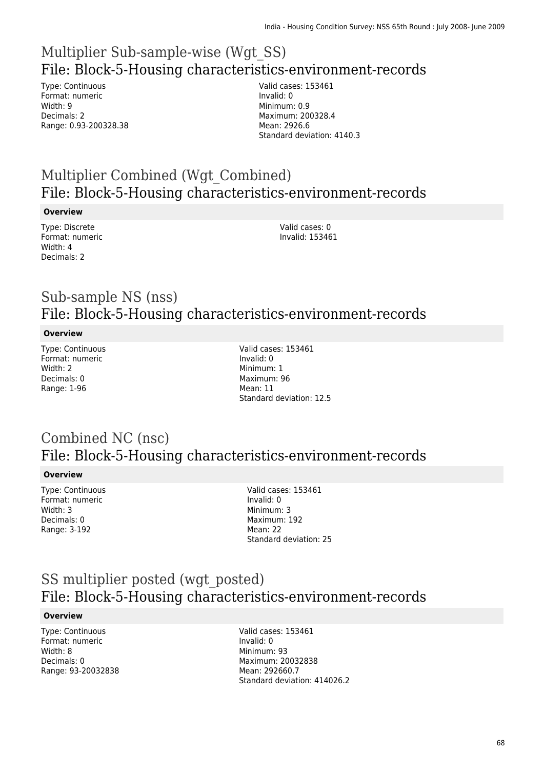### Multiplier Sub-sample-wise (Wgt\_SS) File: Block-5-Housing characteristics-environment-records

Type: Continuous Format: numeric Width: 9 Decimals: 2 Range: 0.93-200328.38 Valid cases: 153461 Invalid: 0 Minimum: 0.9 Maximum: 200328.4 Mean: 2926.6 Standard deviation: 4140.3

### Multiplier Combined (Wgt\_Combined) File: Block-5-Housing characteristics-environment-records

#### **Overview**

Type: Discrete Format: numeric Width: 4 Decimals: 2

Valid cases: 0 Invalid: 153461

### Sub-sample NS (nss) File: Block-5-Housing characteristics-environment-records

#### **Overview**

Type: Continuous Format: numeric Width: 2 Decimals: 0 Range: 1-96

Valid cases: 153461 Invalid: 0 Minimum: 1 Maximum: 96 Mean: 11 Standard deviation: 12.5

### Combined NC (nsc) File: Block-5-Housing characteristics-environment-records

### **Overview**

Type: Continuous Format: numeric Width: 3 Decimals: 0 Range: 3-192

Valid cases: 153461 Invalid: 0 Minimum: 3 Maximum: 192 Mean: 22 Standard deviation: 25

### SS multiplier posted (wgt\_posted) File: Block-5-Housing characteristics-environment-records

#### **Overview**

Type: Continuous Format: numeric Width: 8 Decimals: 0 Range: 93-20032838

Valid cases: 153461 Invalid: 0 Minimum: 93 Maximum: 20032838 Mean: 292660.7 Standard deviation: 414026.2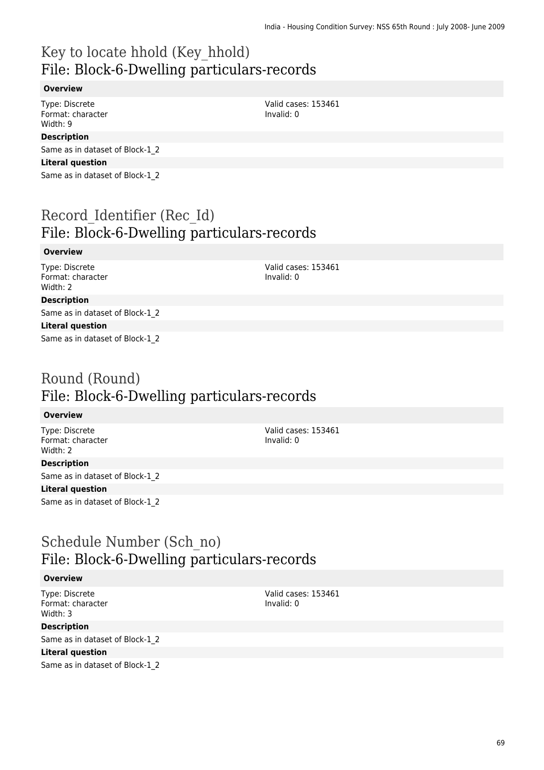### Key to locate hhold (Key\_hhold) File: Block-6-Dwelling particulars-records

### **Overview**

Type: Discrete Format: character Width: 9

### **Description**

Same as in dataset of Block-1\_2 **Literal question**

Same as in dataset of Block-1\_2

### Record\_Identifier (Rec\_Id) File: Block-6-Dwelling particulars-records

#### **Overview**

Type: Discrete Format: character Width: 2

Valid cases: 153461 Invalid: 0

#### **Description**

Same as in dataset of Block-1\_2

#### **Literal question**

Same as in dataset of Block-1\_2

### Round (Round) File: Block-6-Dwelling particulars-records

#### **Overview**

Type: Discrete Format: character Width: 2

#### **Description**

Same as in dataset of Block-1\_2

#### **Literal question**

Same as in dataset of Block-1\_2

# Schedule Number (Sch\_no)

# File: Block-6-Dwelling particulars-records

### **Overview**

Type: Discrete Format: character Width: 3

### **Description**

Same as in dataset of Block-1\_2

### **Literal question**

Same as in dataset of Block-1\_2

Valid cases: 153461 Invalid: 0

Valid cases: 153461

Invalid: 0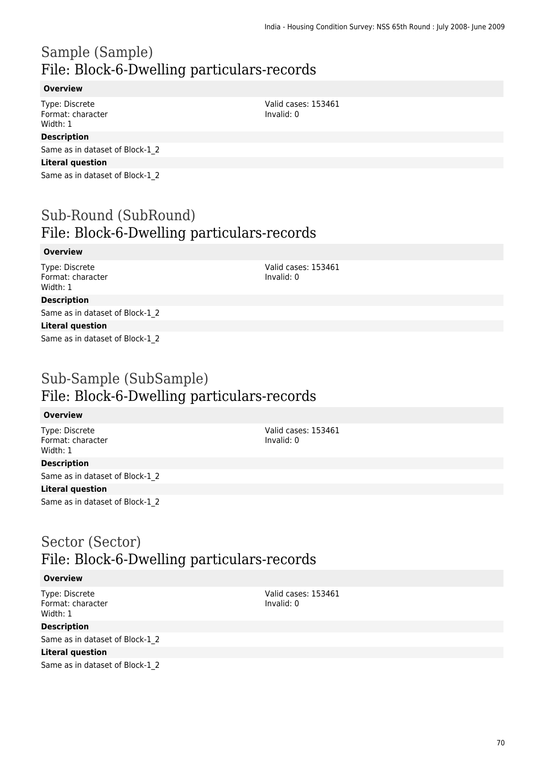### Sample (Sample) File: Block-6-Dwelling particulars-records

### **Overview**

Type: Discrete Format: character Width: 1

### **Description**

Same as in dataset of Block-1\_2 **Literal question**

Same as in dataset of Block-1\_2

### Sub-Round (SubRound) File: Block-6-Dwelling particulars-records

### **Overview**

Type: Discrete Format: character Width: 1

Valid cases: 153461 Invalid: 0

Valid cases: 153461

Invalid: 0

### **Description**

Same as in dataset of Block-1\_2

### **Literal question**

Same as in dataset of Block-1\_2

### Sub-Sample (SubSample) File: Block-6-Dwelling particulars-records

### **Overview**

Type: Discrete Format: character Width: 1

### **Description**

Same as in dataset of Block-1\_2

### **Literal question**

Same as in dataset of Block-1\_2

### Valid cases: 153461 Invalid: 0

Sector (Sector) File: Block-6-Dwelling particulars-records

### **Overview**

Type: Discrete Format: character Width: 1

### **Description**

Same as in dataset of Block-1\_2

### **Literal question**

Same as in dataset of Block-1\_2

Valid cases: 153461

Invalid: 0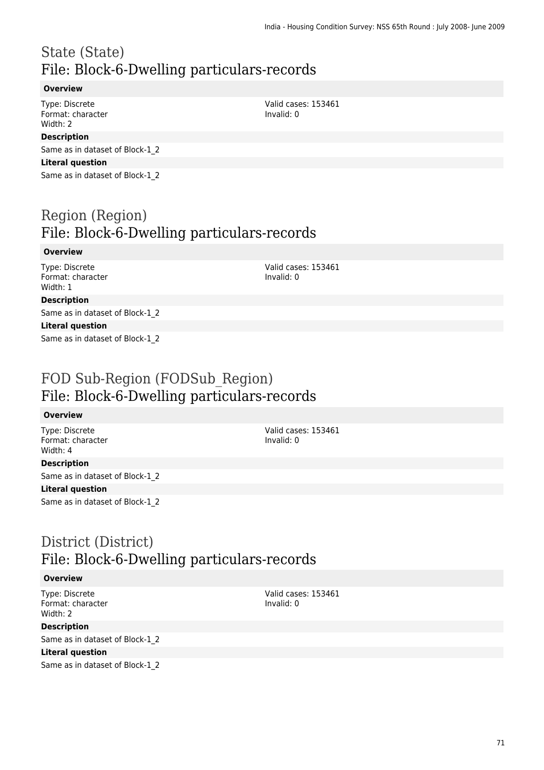### State (State) File: Block-6-Dwelling particulars-records

### **Overview**

Type: Discrete Format: character Width: 2

### **Description**

Same as in dataset of Block-1\_2

**Literal question** Same as in dataset of Block-1\_2

### Region (Region) File: Block-6-Dwelling particulars-records

### **Overview**

Type: Discrete Format: character Width: 1

Valid cases: 153461 Invalid: 0

### **Description**

Same as in dataset of Block-1\_2

### **Literal question**

Same as in dataset of Block-1\_2

### FOD Sub-Region (FODSub\_Region) File: Block-6-Dwelling particulars-records

### **Overview**

Type: Discrete Format: character Width: 4

#### **Description**

Same as in dataset of Block-1\_2

### **Literal question**

Same as in dataset of Block-1\_2

### Valid cases: 153461 Invalid: 0

District (District) File: Block-6-Dwelling particulars-records

### **Overview**

Type: Discrete Format: character Width: 2

### **Description**

Same as in dataset of Block-1\_2

### **Literal question**

Same as in dataset of Block-1\_2

Valid cases: 153461 Invalid: 0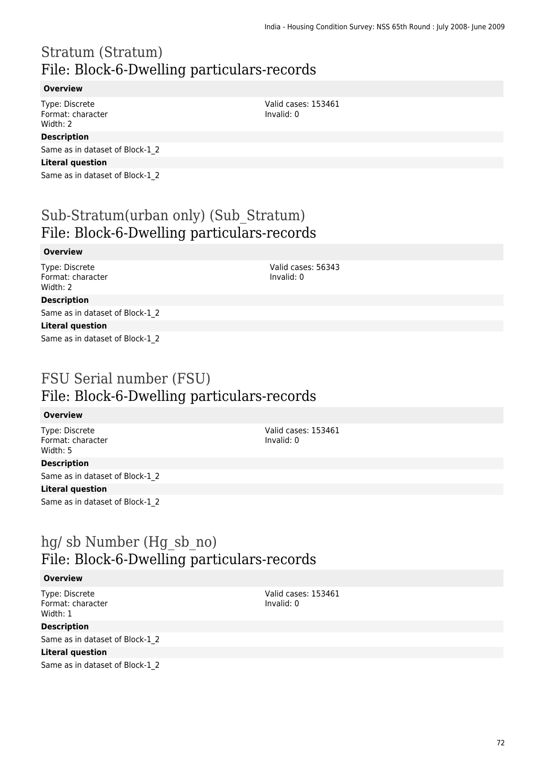### Stratum (Stratum) File: Block-6-Dwelling particulars-records

#### **Overview**

Type: Discrete Format: character Width: 2

### **Description**

Same as in dataset of Block-1\_2 **Literal question**

Same as in dataset of Block-1\_2

### Sub-Stratum(urban only) (Sub\_Stratum) File: Block-6-Dwelling particulars-records

#### **Overview**

Type: Discrete Format: character Width: 2

Valid cases: 56343 Invalid: 0

### **Description**

Same as in dataset of Block-1\_2

### **Literal question**

Same as in dataset of Block-1\_2

### FSU Serial number (FSU) File: Block-6-Dwelling particulars-records

### **Overview**

Type: Discrete Format: character Width: 5

#### **Description**

Same as in dataset of Block-1\_2

### **Literal question**

Same as in dataset of Block-1\_2

### Valid cases: 153461 Invalid: 0

hg/ sb Number (Hg\_sb\_no) File: Block-6-Dwelling particulars-records

### **Overview**

Type: Discrete Format: character Width: 1

### **Description**

Same as in dataset of Block-1\_2

### **Literal question**

Same as in dataset of Block-1\_2

Valid cases: 153461 Invalid: 0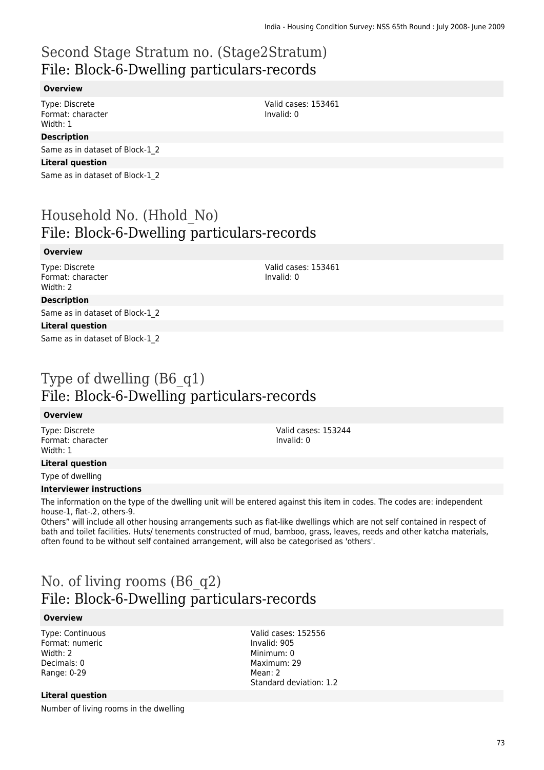# Second Stage Stratum no. (Stage2Stratum) File: Block-6-Dwelling particulars-records

## **Overview**

Type: Discrete Format: character Width: 1

### **Description**

Same as in dataset of Block-1\_2 **Literal question**

Same as in dataset of Block-1\_2

## Household No. (Hhold\_No) File: Block-6-Dwelling particulars-records

### **Overview**

Type: Discrete Format: character Width: 2

Valid cases: 153461 Invalid: 0

Valid cases: 153461

Invalid: 0

### **Description**

Same as in dataset of Block-1\_2

### **Literal question**

Same as in dataset of Block-1\_2

## Type of dwelling (B6\_q1) File: Block-6-Dwelling particulars-records

### **Overview**

Type: Discrete Format: character Width: 1

Valid cases: 153244 Invalid: 0

## **Literal question**

Type of dwelling

### **Interviewer instructions**

The information on the type of the dwelling unit will be entered against this item in codes. The codes are: independent house-1, flat-.2, others-9.

Others" will include all other housing arrangements such as flat-like dwellings which are not self contained in respect of bath and toilet facilities. Huts/ tenements constructed of mud, bamboo, grass, leaves, reeds and other katcha materials, often found to be without self contained arrangement, will also be categorised as 'others'.

## No. of living rooms (B6\_q2) File: Block-6-Dwelling particulars-records

### **Overview**

Type: Continuous Format: numeric Width: 2 Decimals: 0 Range: 0-29

Valid cases: 152556 Invalid: 905 Minimum: 0 Maximum: 29 Mean: 2 Standard deviation: 1.2

### **Literal question**

Number of living rooms in the dwelling

73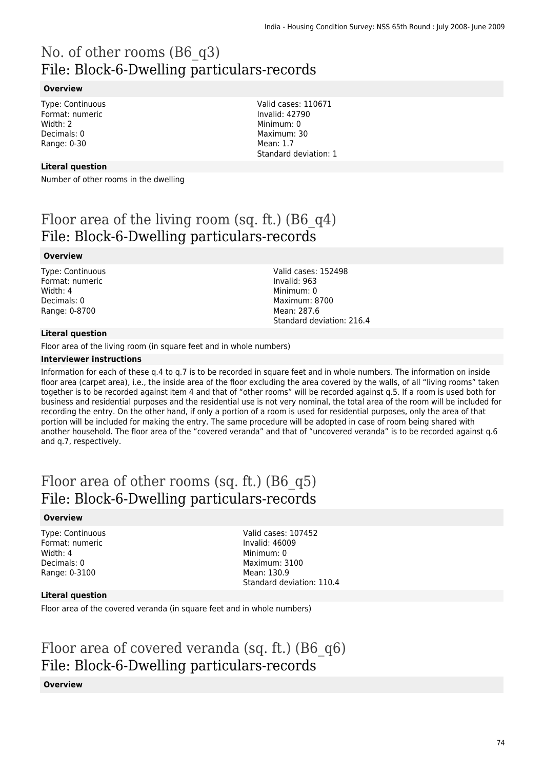## No. of other rooms (B6\_q3) File: Block-6-Dwelling particulars-records

## **Overview**

Type: Continuous Format: numeric Width: 2 Decimals: 0 Range: 0-30

## **Literal question**

Number of other rooms in the dwelling

# Floor area of the living room (sq. ft.) (B6\_q4) File: Block-6-Dwelling particulars-records

### **Overview**

Type: Continuous Format: numeric Width: 4 Decimals: 0 Range: 0-8700

### **Literal question**

Floor area of the living room (in square feet and in whole numbers)

#### **Interviewer instructions**

Information for each of these q.4 to q.7 is to be recorded in square feet and in whole numbers. The information on inside floor area (carpet area), i.e., the inside area of the floor excluding the area covered by the walls, of all "living rooms" taken together is to be recorded against item 4 and that of "other rooms" will be recorded against q.5. If a room is used both for business and residential purposes and the residential use is not very nominal, the total area of the room will be included for recording the entry. On the other hand, if only a portion of a room is used for residential purposes, only the area of that portion will be included for making the entry. The same procedure will be adopted in case of room being shared with another household. The floor area of the "covered veranda" and that of "uncovered veranda" is to be recorded against q.6 and q.7, respectively.

## Floor area of other rooms (sq. ft.) (B6\_q5) File: Block-6-Dwelling particulars-records

#### **Overview**

Type: Continuous Format: numeric Width: 4 Decimals: 0 Range: 0-3100

Valid cases: 107452 Invalid: 46009 Minimum: 0 Maximum: 3100 Mean: 130.9 Standard deviation: 110.4

## **Literal question**

Floor area of the covered veranda (in square feet and in whole numbers)

Floor area of covered veranda (sq. ft.) (B6\_q6) File: Block-6-Dwelling particulars-records

### **Overview**

Valid cases: 110671 Invalid: 42790 Minimum: 0 Maximum: 30 Mean: 1.7 Standard deviation: 1

> Valid cases: 152498 Invalid: 963 Minimum: 0 Maximum: 8700 Mean: 287.6 Standard deviation: 216.4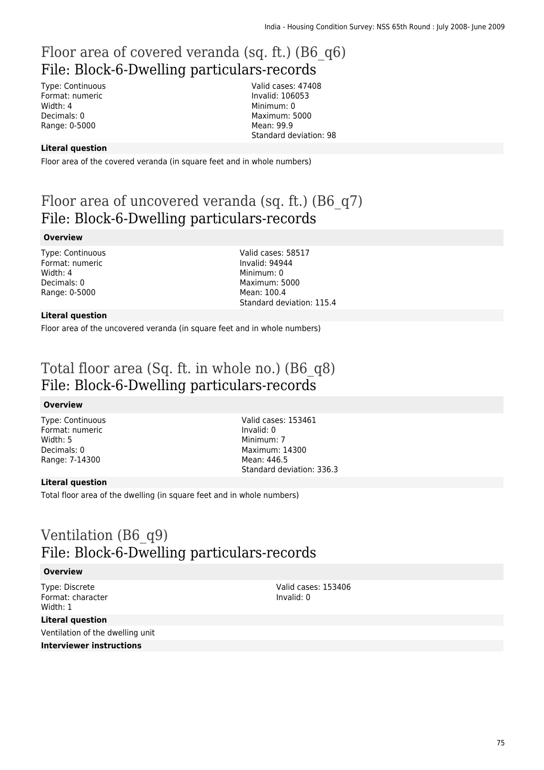# Floor area of covered veranda (sq. ft.) (B6\_q6) File: Block-6-Dwelling particulars-records

Type: Continuous Format: numeric Width: 4 Decimals: 0 Range: 0-5000

Valid cases: 47408 Invalid: 106053 Minimum: 0 Maximum: 5000 Mean: 99.9 Standard deviation: 98

## **Literal question**

Floor area of the covered veranda (in square feet and in whole numbers)

## Floor area of uncovered veranda (sq. ft.) (B6\_q7) File: Block-6-Dwelling particulars-records

#### **Overview**

Type: Continuous Format: numeric Width: 4 Decimals: 0 Range: 0-5000

Valid cases: 58517 Invalid: 94944 Minimum: 0 Maximum: 5000 Mean: 100.4 Standard deviation: 115.4

#### **Literal question**

Floor area of the uncovered veranda (in square feet and in whole numbers)

# Total floor area (Sq. ft. in whole no.) (B6\_q8) File: Block-6-Dwelling particulars-records

### **Overview**

Type: Continuous Format: numeric Width: 5 Decimals: 0 Range: 7-14300

Valid cases: 153461 Invalid: 0 Minimum: 7 Maximum: 14300 Mean: 446.5 Standard deviation: 336.3

#### **Literal question**

Total floor area of the dwelling (in square feet and in whole numbers)

## Ventilation (B6\_q9) File: Block-6-Dwelling particulars-records

#### **Overview**

Type: Discrete Format: character Width: 1

## **Literal question**

Ventilation of the dwelling unit

**Interviewer instructions**

Valid cases: 153406 Invalid: 0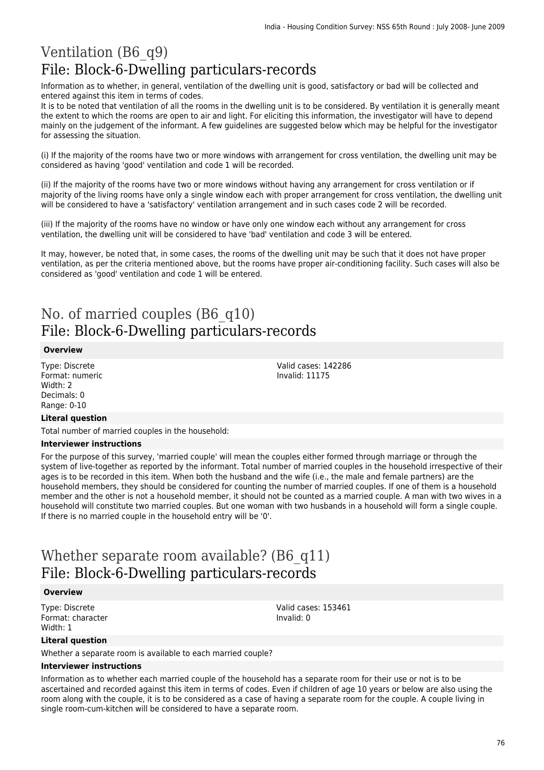## Ventilation (B6\_q9) File: Block-6-Dwelling particulars-records

Information as to whether, in general, ventilation of the dwelling unit is good, satisfactory or bad will be collected and entered against this item in terms of codes.

It is to be noted that ventilation of all the rooms in the dwelling unit is to be considered. By ventilation it is generally meant the extent to which the rooms are open to air and light. For eliciting this information, the investigator will have to depend mainly on the judgement of the informant. A few guidelines are suggested below which may be helpful for the investigator for assessing the situation.

(i) If the majority of the rooms have two or more windows with arrangement for cross ventilation, the dwelling unit may be considered as having 'good' ventilation and code 1 will be recorded.

(ii) If the majority of the rooms have two or more windows without having any arrangement for cross ventilation or if majority of the living rooms have only a single window each with proper arrangement for cross ventilation, the dwelling unit will be considered to have a 'satisfactory' ventilation arrangement and in such cases code 2 will be recorded.

(iii) If the majority of the rooms have no window or have only one window each without any arrangement for cross ventilation, the dwelling unit will be considered to have 'bad' ventilation and code 3 will be entered.

It may, however, be noted that, in some cases, the rooms of the dwelling unit may be such that it does not have proper ventilation, as per the criteria mentioned above, but the rooms have proper air-conditioning facility. Such cases will also be considered as 'good' ventilation and code 1 will be entered.

## No. of married couples (B6\_q10) File: Block-6-Dwelling particulars-records

### **Overview**

Type: Discrete Format: numeric Width: 2 Decimals: 0 Range: 0-10

### **Literal question**

Total number of married couples in the household:

## **Interviewer instructions**

For the purpose of this survey, 'married couple' will mean the couples either formed through marriage or through the system of live-together as reported by the informant. Total number of married couples in the household irrespective of their ages is to be recorded in this item. When both the husband and the wife (i.e., the male and female partners) are the household members, they should be considered for counting the number of married couples. If one of them is a household member and the other is not a household member, it should not be counted as a married couple. A man with two wives in a household will constitute two married couples. But one woman with two husbands in a household will form a single couple. If there is no married couple in the household entry will be '0'.

## Whether separate room available? (B6\_q11) File: Block-6-Dwelling particulars-records

### **Overview**

Type: Discrete Format: character Width: 1

Valid cases: 153461 Invalid: 0

### **Literal question**

Whether a separate room is available to each married couple?

### **Interviewer instructions**

Information as to whether each married couple of the household has a separate room for their use or not is to be ascertained and recorded against this item in terms of codes. Even if children of age 10 years or below are also using the room along with the couple, it is to be considered as a case of having a separate room for the couple. A couple living in single room-cum-kitchen will be considered to have a separate room.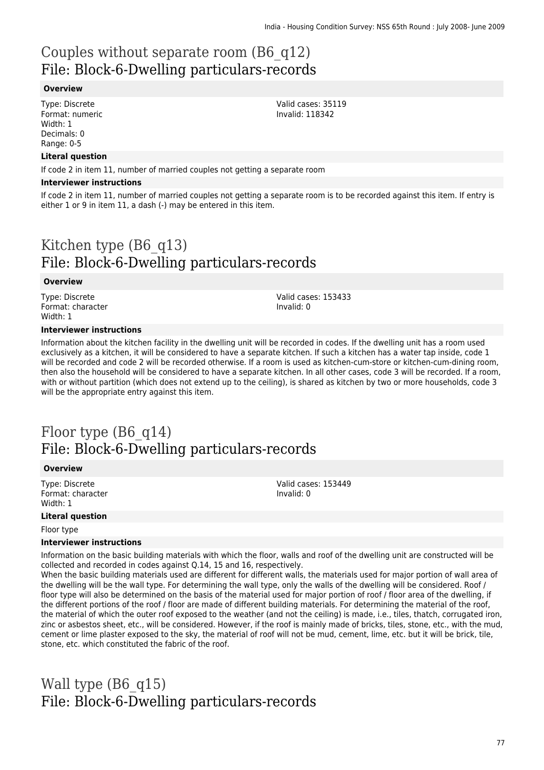# Couples without separate room (B6\_q12) File: Block-6-Dwelling particulars-records

### **Overview**

Type: Discrete Format: numeric Width: 1 Decimals: 0 Range: 0-5

### **Literal question**

If code 2 in item 11, number of married couples not getting a separate room

### **Interviewer instructions**

If code 2 in item 11, number of married couples not getting a separate room is to be recorded against this item. If entry is either 1 or 9 in item 11, a dash (-) may be entered in this item.

# Kitchen type (B6\_q13) File: Block-6-Dwelling particulars-records

#### **Overview**

Type: Discrete Format: character Width: 1

#### Valid cases: 153433 Invalid: 0

Valid cases: 153449

Invalid: 0

#### **Interviewer instructions**

Information about the kitchen facility in the dwelling unit will be recorded in codes. If the dwelling unit has a room used exclusively as a kitchen, it will be considered to have a separate kitchen. If such a kitchen has a water tap inside, code 1 will be recorded and code 2 will be recorded otherwise. If a room is used as kitchen-cum-store or kitchen-cum-dining room, then also the household will be considered to have a separate kitchen. In all other cases, code 3 will be recorded. If a room, with or without partition (which does not extend up to the ceiling), is shared as kitchen by two or more households, code 3 will be the appropriate entry against this item.

## Floor type (B6\_q14) File: Block-6-Dwelling particulars-records

#### **Overview**

Type: Discrete Format: character Width: 1

## **Literal question**

Floor type

#### **Interviewer instructions**

Information on the basic building materials with which the floor, walls and roof of the dwelling unit are constructed will be collected and recorded in codes against Q.14, 15 and 16, respectively.

When the basic building materials used are different for different walls, the materials used for major portion of wall area of the dwelling will be the wall type. For determining the wall type, only the walls of the dwelling will be considered. Roof / floor type will also be determined on the basis of the material used for major portion of roof / floor area of the dwelling, if the different portions of the roof / floor are made of different building materials. For determining the material of the roof, the material of which the outer roof exposed to the weather (and not the ceiling) is made, i.e., tiles, thatch, corrugated iron, zinc or asbestos sheet, etc., will be considered. However, if the roof is mainly made of bricks, tiles, stone, etc., with the mud, cement or lime plaster exposed to the sky, the material of roof will not be mud, cement, lime, etc. but it will be brick, tile, stone, etc. which constituted the fabric of the roof.

## Wall type (B6\_q15) File: Block-6-Dwelling particulars-records

Valid cases: 35119 Invalid: 118342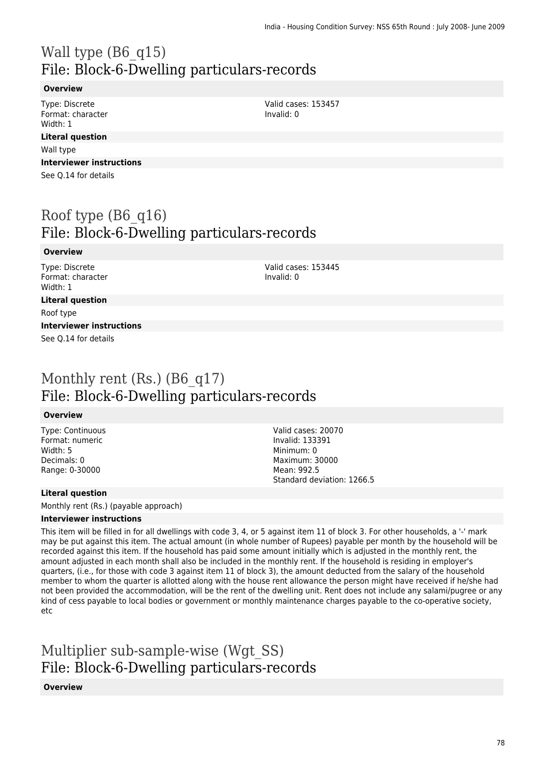# Wall type (B6\_q15) File: Block-6-Dwelling particulars-records

## **Overview**

Type: Discrete Format: character Width: 1

## **Literal question**

Wall type

**Interviewer instructions** See Q.14 for details

## Roof type (B6\_q16) File: Block-6-Dwelling particulars-records

## **Overview**

Type: Discrete Format: character Width: 1

Valid cases: 153445 Invalid: 0

Valid cases: 153457

Invalid: 0

## **Literal question**

Roof type

**Interviewer instructions** See Q.14 for details

## Monthly rent (Rs.) (B6\_q17) File: Block-6-Dwelling particulars-records

## **Overview**

Type: Continuous Format: numeric Width: 5 Decimals: 0 Range: 0-30000

Valid cases: 20070 Invalid: 133391 Minimum: 0 Maximum: 30000 Mean: 992.5 Standard deviation: 1266.5

## **Literal question**

Monthly rent (Rs.) (payable approach)

### **Interviewer instructions**

This item will be filled in for all dwellings with code 3, 4, or 5 against item 11 of block 3. For other households, a '-' mark may be put against this item. The actual amount (in whole number of Rupees) payable per month by the household will be recorded against this item. If the household has paid some amount initially which is adjusted in the monthly rent, the amount adjusted in each month shall also be included in the monthly rent. If the household is residing in employer's quarters, (i.e., for those with code 3 against item 11 of block 3), the amount deducted from the salary of the household member to whom the quarter is allotted along with the house rent allowance the person might have received if he/she had not been provided the accommodation, will be the rent of the dwelling unit. Rent does not include any salami/pugree or any kind of cess payable to local bodies or government or monthly maintenance charges payable to the co-operative society, etc

# Multiplier sub-sample-wise (Wgt\_SS) File: Block-6-Dwelling particulars-records

### **Overview**

78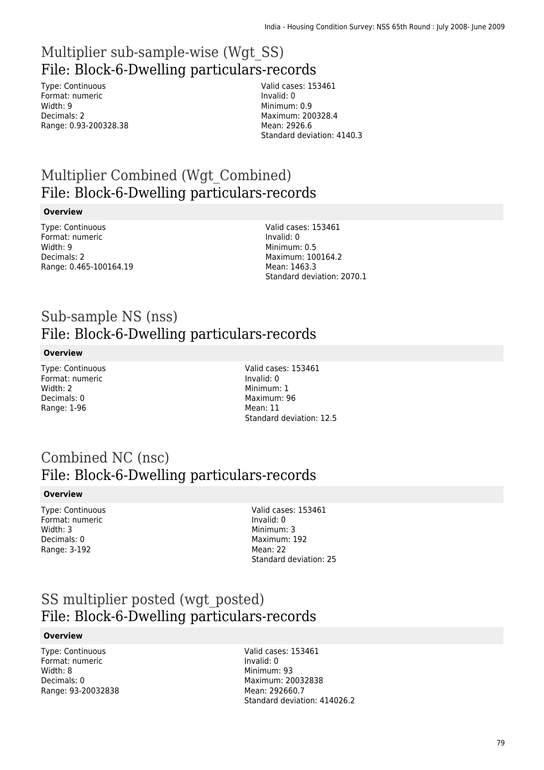## Multiplier sub-sample-wise (Wgt\_SS) File: Block-6-Dwelling particulars-records

Type: Continuous Format: numeric Width: 9 Decimals: 2 Range: 0.93-200328.38 Valid cases: 153461 Invalid: 0 Minimum: 0.9 Maximum: 200328.4 Mean: 2926.6 Standard deviation: 4140.3

# Multiplier Combined (Wgt\_Combined) File: Block-6-Dwelling particulars-records

### **Overview**

Type: Continuous Format: numeric Width: 9 Decimals: 2 Range: 0.465-100164.19

Valid cases: 153461 Invalid: 0 Minimum: 0.5 Maximum: 100164.2 Mean: 1463.3 Standard deviation: 2070.1

## Sub-sample NS (nss) File: Block-6-Dwelling particulars-records

#### **Overview**

Type: Continuous Format: numeric Width: 2 Decimals: 0 Range: 1-96

Valid cases: 153461 Invalid: 0 Minimum: 1 Maximum: 96 Mean: 11 Standard deviation: 12.5

## Combined NC (nsc) File: Block-6-Dwelling particulars-records

#### **Overview**

Type: Continuous Format: numeric Width: 3 Decimals: 0 Range: 3-192

Valid cases: 153461 Invalid: 0 Minimum: 3 Maximum: 192 Mean: 22 Standard deviation: 25

## SS multiplier posted (wgt\_posted) File: Block-6-Dwelling particulars-records

### **Overview**

Type: Continuous Format: numeric Width: 8 Decimals: 0 Range: 93-20032838

Valid cases: 153461 Invalid: 0 Minimum: 93 Maximum: 20032838 Mean: 292660.7 Standard deviation: 414026.2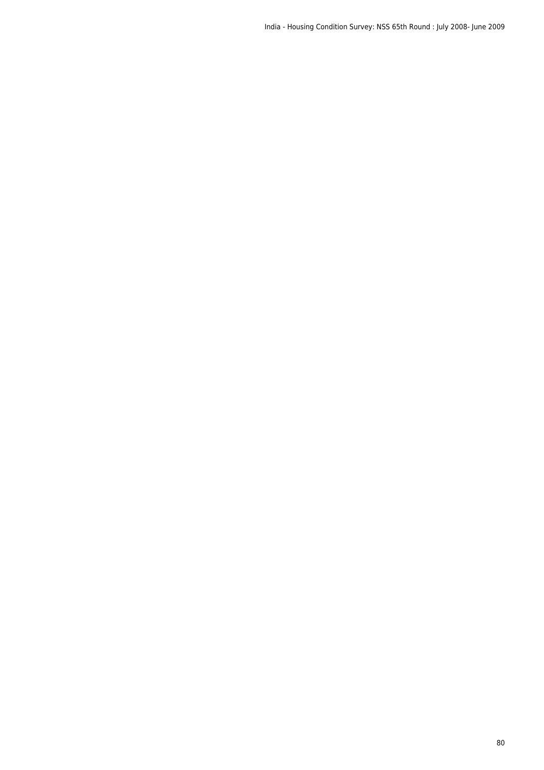India - Housing Condition Survey: NSS 65th Round : July 2008- June 2009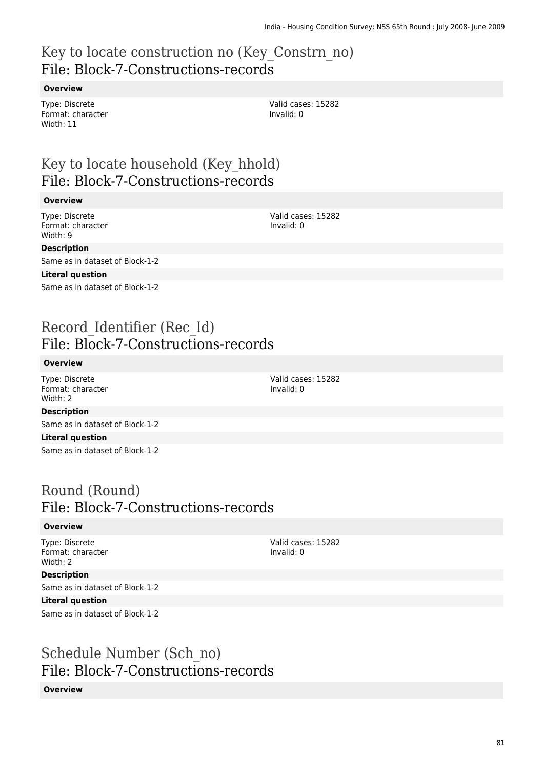## Key to locate construction no (Key\_Constrn\_no) File: Block-7-Constructions-records

## **Overview**

Type: Discrete Format: character Width: 11

Valid cases: 15282 Invalid: 0

Valid cases: 15282

Invalid: 0

# Key to locate household (Key\_hhold) File: Block-7-Constructions-records

## **Overview**

Type: Discrete Format: character Width: 9

**Description**

Same as in dataset of Block-1-2

## **Literal question**

Same as in dataset of Block-1-2

## Record\_Identifier (Rec\_Id) File: Block-7-Constructions-records

## **Overview**

Type: Discrete Format: character Width: 2

Valid cases: 15282 Invalid: 0

Valid cases: 15282

Invalid: 0

## **Description**

Same as in dataset of Block-1-2 **Literal question**

Same as in dataset of Block-1-2

## Round (Round) File: Block-7-Constructions-records

## **Overview**

Type: Discrete Format: character Width: 2

## **Description**

Same as in dataset of Block-1-2

### **Literal question**

Same as in dataset of Block-1-2

# Schedule Number (Sch\_no) File: Block-7-Constructions-records

## **Overview**

81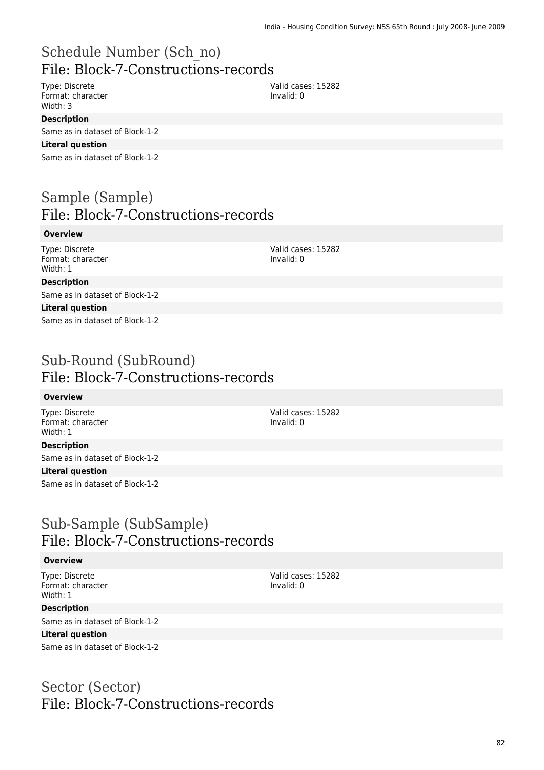## Schedule Number (Sch\_no) File: Block-7-Constructions-records

Type: Discrete Format: character Width: 3

Valid cases: 15282 Invalid: 0

**Description**

Same as in dataset of Block-1-2

## **Literal question**

Same as in dataset of Block-1-2

## Sample (Sample) File: Block-7-Constructions-records

## **Overview**

Type: Discrete Format: character Width: 1

## **Description**

Same as in dataset of Block-1-2

**Literal question** Same as in dataset of Block-1-2

## Sub-Round (SubRound) File: Block-7-Constructions-records

## **Overview**

Type: Discrete Format: character Width: 1

## **Description**

Same as in dataset of Block-1-2

## **Literal question**

Same as in dataset of Block-1-2

## Sub-Sample (SubSample) File: Block-7-Constructions-records

## **Overview**

Type: Discrete Format: character Width: 1

**Description**

### Same as in dataset of Block-1-2 **Literal question**

Same as in dataset of Block-1-2

# Sector (Sector) File: Block-7-Constructions-records

Invalid: 0

Valid cases: 15282

Valid cases: 15282 Invalid: 0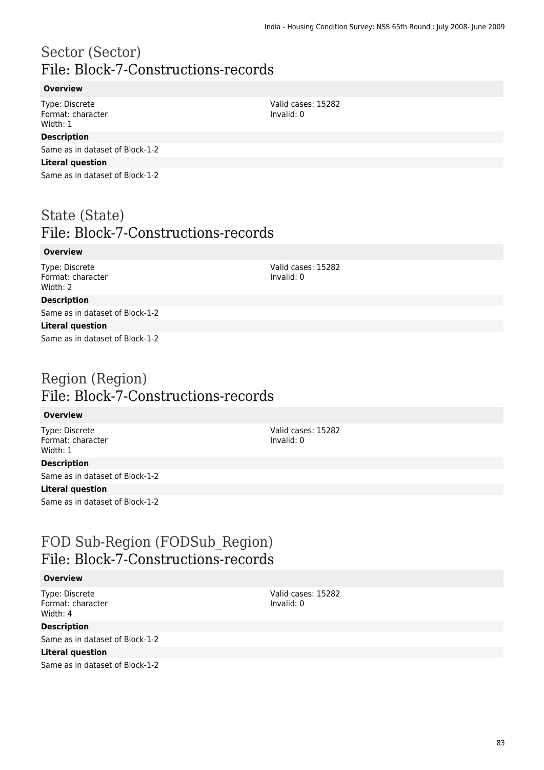## Sector (Sector) File: Block-7-Constructions-records

## **Overview**

Type: Discrete Format: character Width: 1

## **Description**

Same as in dataset of Block-1-2

**Literal question** Same as in dataset of Block-1-2

## State (State) File: Block-7-Constructions-records

## **Overview**

Type: Discrete Format: character Width: 2

Valid cases: 15282 Invalid: 0

## **Description**

Same as in dataset of Block-1-2

**Literal question** Same as in dataset of Block-1-2

## Region (Region) File: Block-7-Constructions-records

### **Overview**

Type: Discrete Format: character Width: 1

## **Description**

Same as in dataset of Block-1-2

## **Literal question**

Same as in dataset of Block-1-2

Valid cases: 15282 Invalid: 0

## FOD Sub-Region (FODSub\_Region) File: Block-7-Constructions-records

### **Overview**

Type: Discrete Format: character Width: 4

## **Description**

Same as in dataset of Block-1-2

## **Literal question**

Same as in dataset of Block-1-2

Valid cases: 15282 Invalid: 0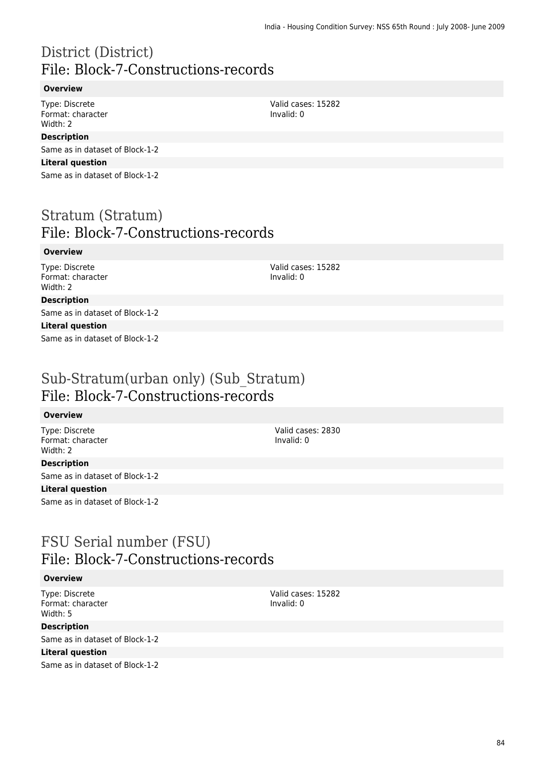## District (District) File: Block-7-Constructions-records

## **Overview**

Type: Discrete Format: character Width: 2

## **Description**

Same as in dataset of Block-1-2

**Literal question** Same as in dataset of Block-1-2

## Stratum (Stratum) File: Block-7-Constructions-records

## **Overview**

Type: Discrete Format: character Width: 2

Valid cases: 15282 Invalid: 0

### **Description**

Same as in dataset of Block-1-2

### **Literal question**

Same as in dataset of Block-1-2

## Sub-Stratum(urban only) (Sub\_Stratum) File: Block-7-Constructions-records

### **Overview**

Type: Discrete Format: character Width: 2

### **Description**

Same as in dataset of Block-1-2

## **Literal question**

Same as in dataset of Block-1-2

## FSU Serial number (FSU) File: Block-7-Constructions-records

### **Overview**

Type: Discrete Format: character Width: 5

## **Description**

Same as in dataset of Block-1-2

## **Literal question**

Same as in dataset of Block-1-2

Valid cases: 2830 Invalid: 0

Valid cases: 15282

Invalid: 0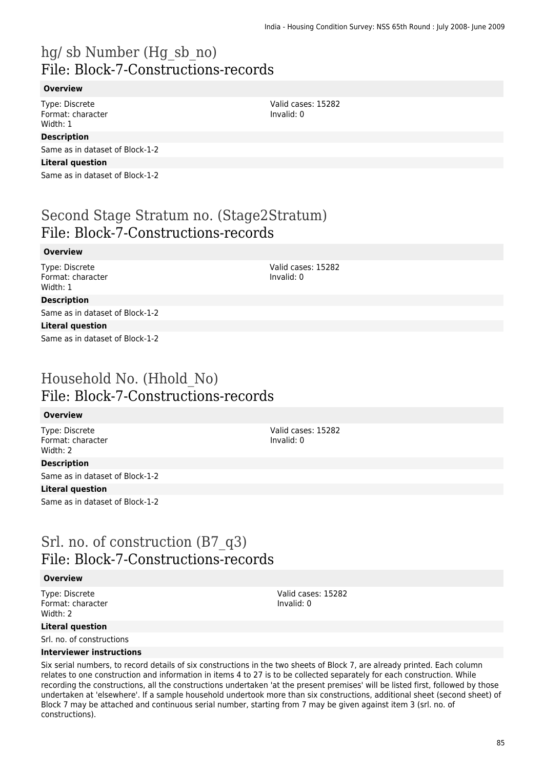## hg/ sb Number (Hg\_sb\_no) File: Block-7-Constructions-records

### **Overview**

Type: Discrete Format: character Width: 1

### **Description**

Same as in dataset of Block-1-2 **Literal question**

Same as in dataset of Block-1-2

## Second Stage Stratum no. (Stage2Stratum) File: Block-7-Constructions-records

### **Overview**

Type: Discrete Format: character Width: 1

Valid cases: 15282 Invalid: 0

## **Description**

Same as in dataset of Block-1-2

## **Literal question**

Same as in dataset of Block-1-2

## Household No. (Hhold\_No) File: Block-7-Constructions-records

### **Overview**

Type: Discrete Format: character Width: 2

### **Description**

Same as in dataset of Block-1-2

## **Literal question**

Same as in dataset of Block-1-2

# Srl. no. of construction (B7\_q3) File: Block-7-Constructions-records

### **Overview**

Type: Discrete Format: character Width: 2

## **Literal question**

Srl. no. of constructions

### **Interviewer instructions**

Six serial numbers, to record details of six constructions in the two sheets of Block 7, are already printed. Each column relates to one construction and information in items 4 to 27 is to be collected separately for each construction. While recording the constructions, all the constructions undertaken 'at the present premises' will be listed first, followed by those undertaken at 'elsewhere'. If a sample household undertook more than six constructions, additional sheet (second sheet) of Block 7 may be attached and continuous serial number, starting from 7 may be given against item 3 (srl. no. of constructions).

Valid cases: 15282 Invalid: 0

Valid cases: 15282

Invalid: 0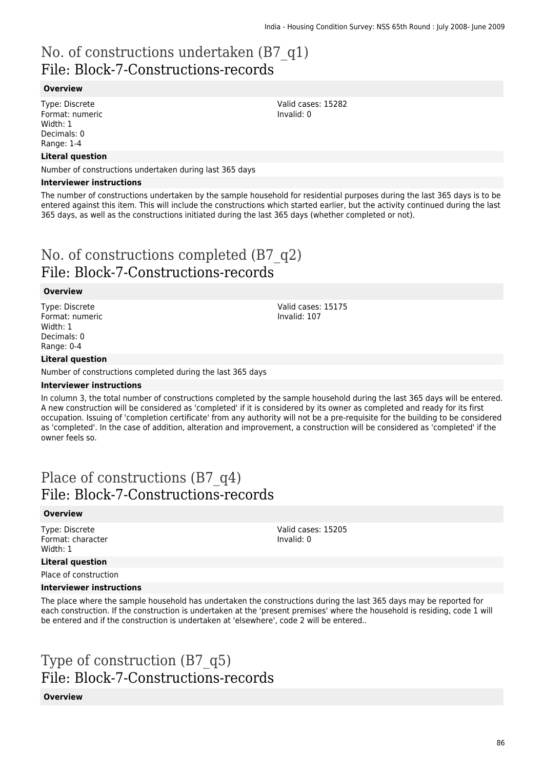## No. of constructions undertaken (B7\_q1) File: Block-7-Constructions-records

### **Overview**

Type: Discrete Format: numeric Width: 1 Decimals: 0 Range: 1-4

#### **Literal question**

Number of constructions undertaken during last 365 days

### **Interviewer instructions**

The number of constructions undertaken by the sample household for residential purposes during the last 365 days is to be entered against this item. This will include the constructions which started earlier, but the activity continued during the last 365 days, as well as the constructions initiated during the last 365 days (whether completed or not).

## No. of constructions completed (B7\_q2) File: Block-7-Constructions-records

### **Overview**

Type: Discrete Format: numeric Width: 1 Decimals: 0 Range: 0-4

Valid cases: 15175 Invalid: 107

#### **Literal question**

Number of constructions completed during the last 365 days

### **Interviewer instructions**

In column 3, the total number of constructions completed by the sample household during the last 365 days will be entered. A new construction will be considered as 'completed' if it is considered by its owner as completed and ready for its first occupation. Issuing of 'completion certificate' from any authority will not be a pre-requisite for the building to be considered as 'completed'. In the case of addition, alteration and improvement, a construction will be considered as 'completed' if the owner feels so.

## Place of constructions (B7\_q4) File: Block-7-Constructions-records

### **Overview**

Type: Discrete Format: character Width: 1

Valid cases: 15205 Invalid: 0

#### **Literal question**

Place of construction

#### **Interviewer instructions**

The place where the sample household has undertaken the constructions during the last 365 days may be reported for each construction. If the construction is undertaken at the 'present premises' where the household is residing, code 1 will be entered and if the construction is undertaken at 'elsewhere', code 2 will be entered..

# Type of construction (B7\_q5) File: Block-7-Constructions-records

**Overview**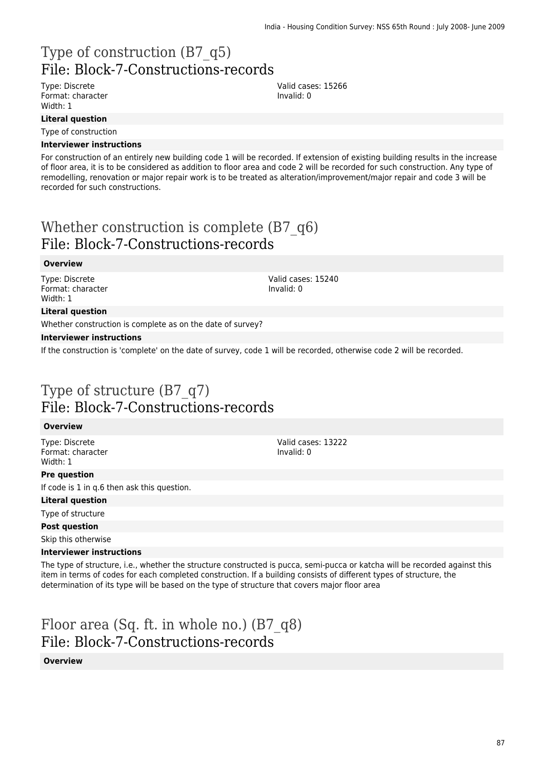## Type of construction (B7\_q5) File: Block-7-Constructions-records

Type: Discrete Format: character Width: 1

**Literal question**

Type of construction

## **Interviewer instructions**

For construction of an entirely new building code 1 will be recorded. If extension of existing building results in the increase of floor area, it is to be considered as addition to floor area and code 2 will be recorded for such construction. Any type of remodelling, renovation or major repair work is to be treated as alteration/improvement/major repair and code 3 will be recorded for such constructions.

## Whether construction is complete (B7\_q6) File: Block-7-Constructions-records

### **Overview**

Type: Discrete Format: character Width: 1

Valid cases: 15240 Invalid: 0

## **Literal question**

Whether construction is complete as on the date of survey?

### **Interviewer instructions**

If the construction is 'complete' on the date of survey, code 1 will be recorded, otherwise code 2 will be recorded.

## Type of structure (B7\_q7) File: Block-7-Constructions-records

### **Overview**

Type: Discrete Format: character Width: 1

### **Pre question**

If code is 1 in q.6 then ask this question.

### **Literal question**

Type of structure

### **Post question**

Skip this otherwise

### **Interviewer instructions**

The type of structure, i.e., whether the structure constructed is pucca, semi-pucca or katcha will be recorded against this item in terms of codes for each completed construction. If a building consists of different types of structure, the determination of its type will be based on the type of structure that covers major floor area

Floor area (Sq. ft. in whole no.) (B7\_q8) File: Block-7-Constructions-records

## **Overview**

Valid cases: 13222 Invalid: 0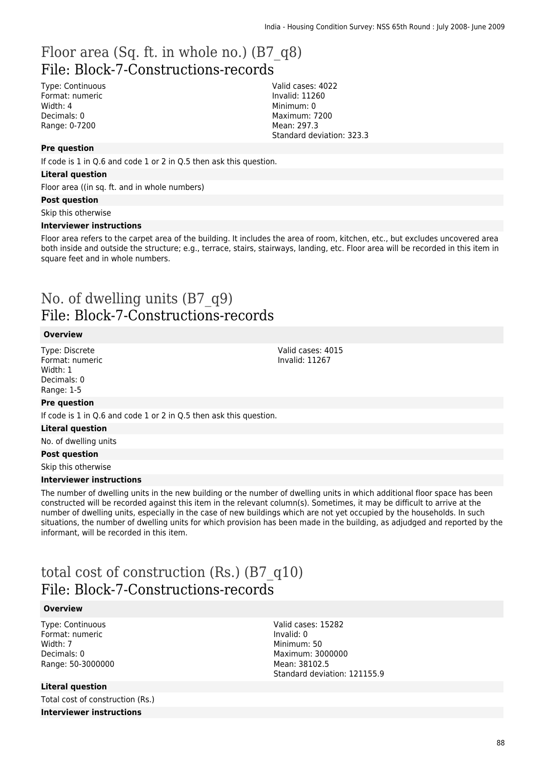## Floor area (Sq. ft. in whole no.) (B7\_q8) File: Block-7-Constructions-records

Type: Continuous Format: numeric Width: 4 Decimals: 0 Range: 0-7200

Valid cases: 4022 Invalid: 11260 Minimum: 0 Maximum: 7200 Mean: 297.3 Standard deviation: 323.3

## **Pre question**

If code is 1 in Q.6 and code 1 or 2 in Q.5 then ask this question.

## **Literal question**

Floor area ((in sq. ft. and in whole numbers)

#### **Post question**

Skip this otherwise

#### **Interviewer instructions**

Floor area refers to the carpet area of the building. It includes the area of room, kitchen, etc., but excludes uncovered area both inside and outside the structure; e.g., terrace, stairs, stairways, landing, etc. Floor area will be recorded in this item in square feet and in whole numbers.

## No. of dwelling units (B7\_q9) File: Block-7-Constructions-records

### **Overview**

Type: Discrete Format: numeric Width: 1 Decimals: 0 Range: 1-5

#### **Pre question**

If code is 1 in Q.6 and code 1 or 2 in Q.5 then ask this question.

#### **Literal question**

No. of dwelling units

**Post question**

Skip this otherwise

#### **Interviewer instructions**

The number of dwelling units in the new building or the number of dwelling units in which additional floor space has been constructed will be recorded against this item in the relevant column(s). Sometimes, it may be difficult to arrive at the number of dwelling units, especially in the case of new buildings which are not yet occupied by the households. In such situations, the number of dwelling units for which provision has been made in the building, as adjudged and reported by the informant, will be recorded in this item.

## total cost of construction (Rs.) (B7\_q10) File: Block-7-Constructions-records

#### **Overview**

Type: Continuous Format: numeric Width: 7 Decimals: 0 Range: 50-3000000

#### **Literal question**

Total cost of construction (Rs.) **Interviewer instructions**

Valid cases: 15282 Invalid: 0 Minimum: 50 Maximum: 3000000 Mean: 38102.5 Standard deviation: 121155.9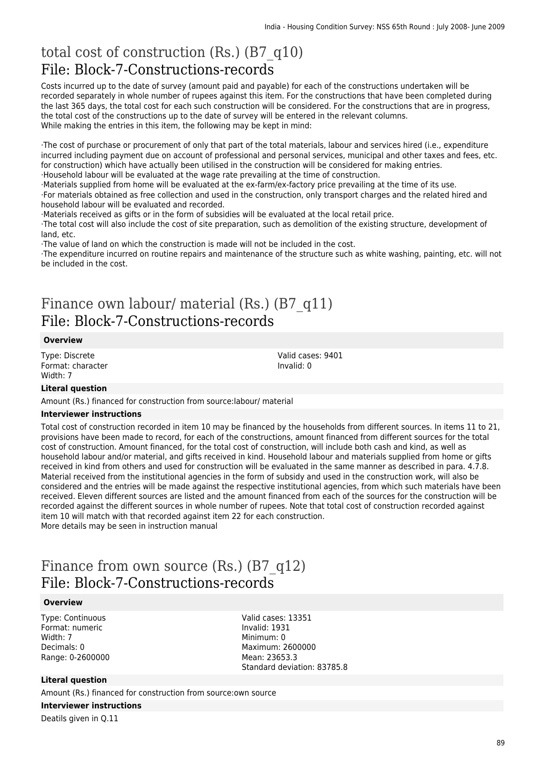## total cost of construction (Rs.) (B7\_q10) File: Block-7-Constructions-records

Costs incurred up to the date of survey (amount paid and payable) for each of the constructions undertaken will be recorded separately in whole number of rupees against this item. For the constructions that have been completed during the last 365 days, the total cost for each such construction will be considered. For the constructions that are in progress, the total cost of the constructions up to the date of survey will be entered in the relevant columns. While making the entries in this item, the following may be kept in mind:

·The cost of purchase or procurement of only that part of the total materials, labour and services hired (i.e., expenditure incurred including payment due on account of professional and personal services, municipal and other taxes and fees, etc. for construction) which have actually been utilised in the construction will be considered for making entries. ·Household labour will be evaluated at the wage rate prevailing at the time of construction.

·Materials supplied from home will be evaluated at the ex-farm/ex-factory price prevailing at the time of its use.

·For materials obtained as free collection and used in the construction, only transport charges and the related hired and household labour will be evaluated and recorded.

·Materials received as gifts or in the form of subsidies will be evaluated at the local retail price.

·The total cost will also include the cost of site preparation, such as demolition of the existing structure, development of land, etc.

·The value of land on which the construction is made will not be included in the cost.

·The expenditure incurred on routine repairs and maintenance of the structure such as white washing, painting, etc. will not be included in the cost.

## Finance own labour/ material (Rs.) (B7\_q11) File: Block-7-Constructions-records

### **Overview**

Type: Discrete Format: character Width: 7

Valid cases: 9401 Invalid: 0

## **Literal question**

Amount (Rs.) financed for construction from source:labour/ material

## **Interviewer instructions**

Total cost of construction recorded in item 10 may be financed by the households from different sources. In items 11 to 21, provisions have been made to record, for each of the constructions, amount financed from different sources for the total cost of construction. Amount financed, for the total cost of construction, will include both cash and kind, as well as household labour and/or material, and gifts received in kind. Household labour and materials supplied from home or gifts received in kind from others and used for construction will be evaluated in the same manner as described in para. 4.7.8. Material received from the institutional agencies in the form of subsidy and used in the construction work, will also be considered and the entries will be made against the respective institutional agencies, from which such materials have been received. Eleven different sources are listed and the amount financed from each of the sources for the construction will be recorded against the different sources in whole number of rupees. Note that total cost of construction recorded against item 10 will match with that recorded against item 22 for each construction. More details may be seen in instruction manual

# Finance from own source (Rs.) (B7\_q12) File: Block-7-Constructions-records

### **Overview**

Type: Continuous Format: numeric Width: 7 Decimals: 0 Range: 0-2600000

Valid cases: 13351 Invalid: 1931 Minimum: 0 Maximum: 2600000 Mean: 23653.3 Standard deviation: 83785.8

### **Literal question**

Amount (Rs.) financed for construction from source:own source

#### **Interviewer instructions**

Deatils given in Q.11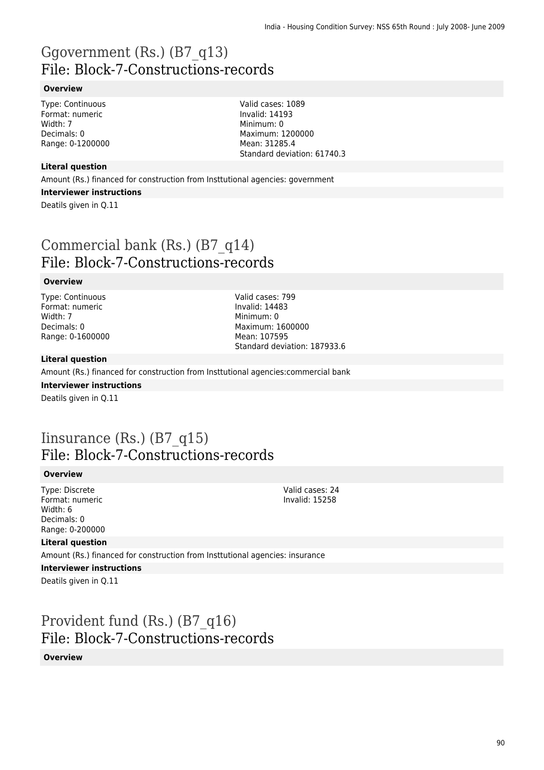# Ggovernment (Rs.) (B7\_q13) File: Block-7-Constructions-records

## **Overview**

Type: Continuous Format: numeric Width: 7 Decimals: 0 Range: 0-1200000 Valid cases: 1089 Invalid: 14193 Minimum: 0 Maximum: 1200000 Mean: 31285.4 Standard deviation: 61740.3

## **Literal question**

Amount (Rs.) financed for construction from Insttutional agencies: government

#### **Interviewer instructions**

Deatils given in Q.11

## Commercial bank (Rs.) (B7\_q14) File: Block-7-Constructions-records

### **Overview**

Type: Continuous Format: numeric Width: 7 Decimals: 0 Range: 0-1600000 Valid cases: 799 Invalid: 14483 Minimum: 0 Maximum: 1600000 Mean: 107595 Standard deviation: 187933.6

### **Literal question**

Amount (Rs.) financed for construction from Insttutional agencies:commercial bank

### **Interviewer instructions**

Deatils given in Q.11

## Iinsurance (Rs.)  $(B7q15)$ File: Block-7-Constructions-records

### **Overview**

Type: Discrete Format: numeric Width: 6 Decimals: 0 Range: 0-200000

## **Literal question**

Amount (Rs.) financed for construction from Insttutional agencies: insurance

### **Interviewer instructions**

Deatils given in Q.11

## Provident fund (Rs.) (B7\_q16) File: Block-7-Constructions-records

## **Overview**

Valid cases: 24 Invalid: 15258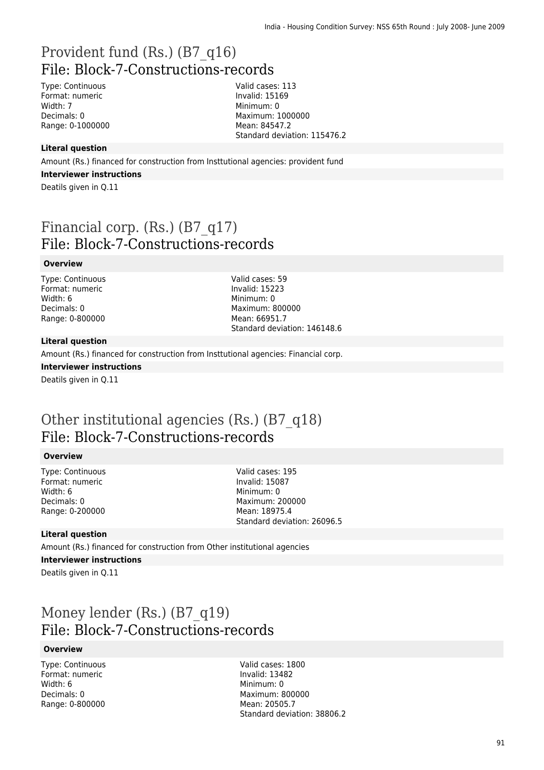# Provident fund (Rs.) (B7\_q16) File: Block-7-Constructions-records

Type: Continuous Format: numeric Width: 7 Decimals: 0 Range: 0-1000000

Valid cases: 113 Invalid: 15169 Minimum: 0 Maximum: 1000000 Mean: 84547.2 Standard deviation: 115476.2

### **Literal question**

Amount (Rs.) financed for construction from Insttutional agencies: provident fund **Interviewer instructions**

Deatils given in Q.11

## Financial corp. (Rs.) (B7\_q17) File: Block-7-Constructions-records

#### **Overview**

Type: Continuous Format: numeric Width: 6 Decimals: 0 Range: 0-800000

Valid cases: 59 Invalid: 15223 Minimum: 0 Maximum: 800000 Mean: 66951.7 Standard deviation: 146148.6

#### **Literal question**

Amount (Rs.) financed for construction from Insttutional agencies: Financial corp.

**Interviewer instructions**

Deatils given in Q.11

## Other institutional agencies (Rs.) (B7\_q18) File: Block-7-Constructions-records

#### **Overview**

Type: Continuous Format: numeric Width: 6 Decimals: 0 Range: 0-200000

Valid cases: 195 Invalid: 15087 Minimum: 0 Maximum: 200000 Mean: 18975.4 Standard deviation: 26096.5

## **Literal question**

Amount (Rs.) financed for construction from Other institutional agencies

## **Interviewer instructions**

Deatils given in Q.11

## Money lender (Rs.) (B7\_q19) File: Block-7-Constructions-records

#### **Overview**

Type: Continuous Format: numeric Width: 6 Decimals: 0 Range: 0-800000

Valid cases: 1800 Invalid: 13482 Minimum: 0 Maximum: 800000 Mean: 20505.7 Standard deviation: 38806.2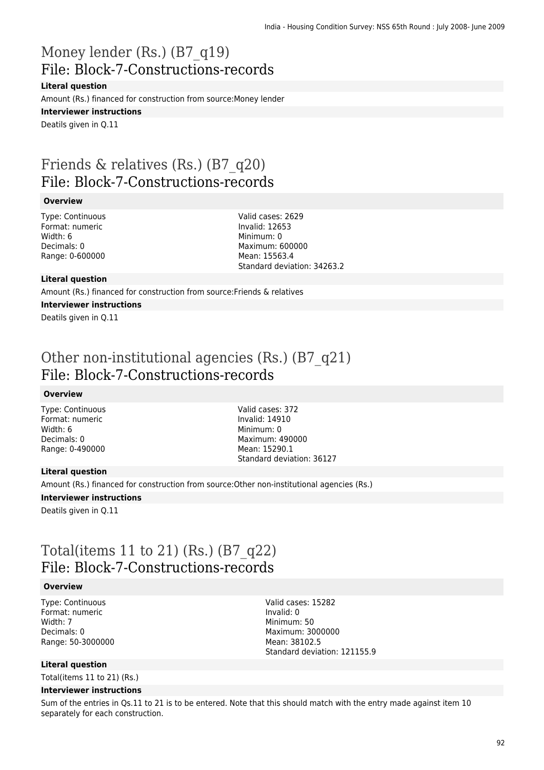# Money lender (Rs.) (B7\_q19) File: Block-7-Constructions-records

## **Literal question**

Amount (Rs.) financed for construction from source:Money lender

**Interviewer instructions**

Deatils given in Q.11

## Friends & relatives (Rs.) (B7\_q20) File: Block-7-Constructions-records

### **Overview**

Type: Continuous Format: numeric Width: 6 Decimals: 0 Range: 0-600000

Valid cases: 2629 Invalid: 12653 Minimum: 0 Maximum: 600000 Mean: 15563.4 Standard deviation: 34263.2

### **Literal question**

Amount (Rs.) financed for construction from source:Friends & relatives

### **Interviewer instructions**

Deatils given in Q.11

## Other non-institutional agencies (Rs.) (B7\_q21) File: Block-7-Constructions-records

### **Overview**

Type: Continuous Format: numeric Width: 6 Decimals: 0 Range: 0-490000

Valid cases: 372 Invalid: 14910 Minimum: 0 Maximum: 490000 Mean: 15290.1 Standard deviation: 36127

### **Literal question**

Amount (Rs.) financed for construction from source:Other non-institutional agencies (Rs.)

### **Interviewer instructions**

Deatils given in Q.11

## Total(items 11 to 21) (Rs.) (B7\_q22) File: Block-7-Constructions-records

#### **Overview**

Type: Continuous Format: numeric Width: 7 Decimals: 0 Range: 50-3000000

### **Literal question**

Total(items 11 to 21) (Rs.)

#### **Interviewer instructions**

Sum of the entries in Qs.11 to 21 is to be entered. Note that this should match with the entry made against item 10 separately for each construction.

Valid cases: 15282 Invalid: 0 Minimum: 50 Maximum: 3000000 Mean: 38102.5 Standard deviation: 121155.9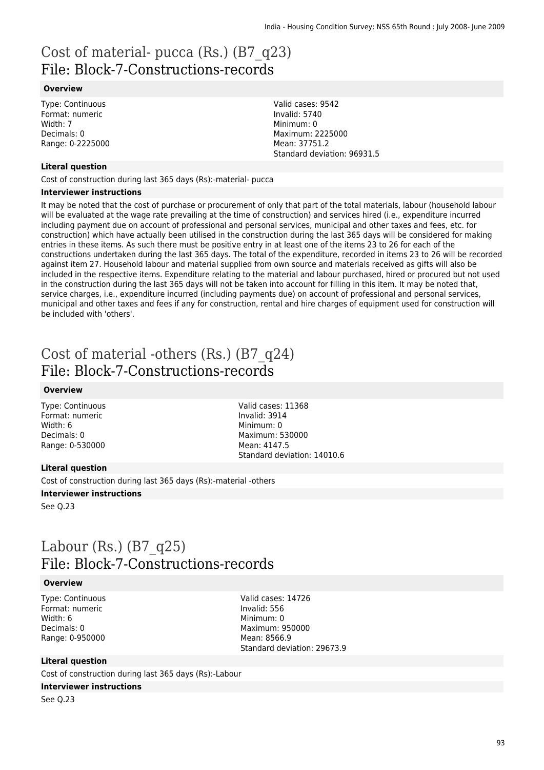## Cost of material- pucca (Rs.) (B7\_q23) File: Block-7-Constructions-records

### **Overview**

Type: Continuous Format: numeric Width: 7 Decimals: 0 Range: 0-2225000

### **Literal question**

Cost of construction during last 365 days (Rs):-material- pucca

#### **Interviewer instructions**

It may be noted that the cost of purchase or procurement of only that part of the total materials, labour (household labour will be evaluated at the wage rate prevailing at the time of construction) and services hired (i.e., expenditure incurred including payment due on account of professional and personal services, municipal and other taxes and fees, etc. for construction) which have actually been utilised in the construction during the last 365 days will be considered for making entries in these items. As such there must be positive entry in at least one of the items 23 to 26 for each of the constructions undertaken during the last 365 days. The total of the expenditure, recorded in items 23 to 26 will be recorded against item 27. Household labour and material supplied from own source and materials received as gifts will also be included in the respective items. Expenditure relating to the material and labour purchased, hired or procured but not used in the construction during the last 365 days will not be taken into account for filling in this item. It may be noted that, service charges, i.e., expenditure incurred (including payments due) on account of professional and personal services, municipal and other taxes and fees if any for construction, rental and hire charges of equipment used for construction will be included with 'others'.

# Cost of material -others (Rs.) (B7\_q24) File: Block-7-Constructions-records

### **Overview**

Type: Continuous Format: numeric Width: 6 Decimals: 0 Range: 0-530000

Valid cases: 11368 Invalid: 3914 Minimum: 0 Maximum: 530000 Mean: 4147.5 Standard deviation: 14010.6

### **Literal question**

Cost of construction during last 365 days (Rs):-material -others

**Interviewer instructions** See Q.23

## Labour (Rs.)  $(B7q25)$ File: Block-7-Constructions-records

### **Overview**

Type: Continuous Format: numeric Width: 6 Decimals: 0 Range: 0-950000

Valid cases: 14726 Invalid: 556 Minimum: 0 Maximum: 950000 Mean: 8566.9 Standard deviation: 29673.9

## **Literal question**

Cost of construction during last 365 days (Rs):-Labour

## **Interviewer instructions**

## See Q.23

Valid cases: 9542 Invalid: 5740 Minimum: 0 Maximum: 2225000 Mean: 37751.2 Standard deviation: 96931.5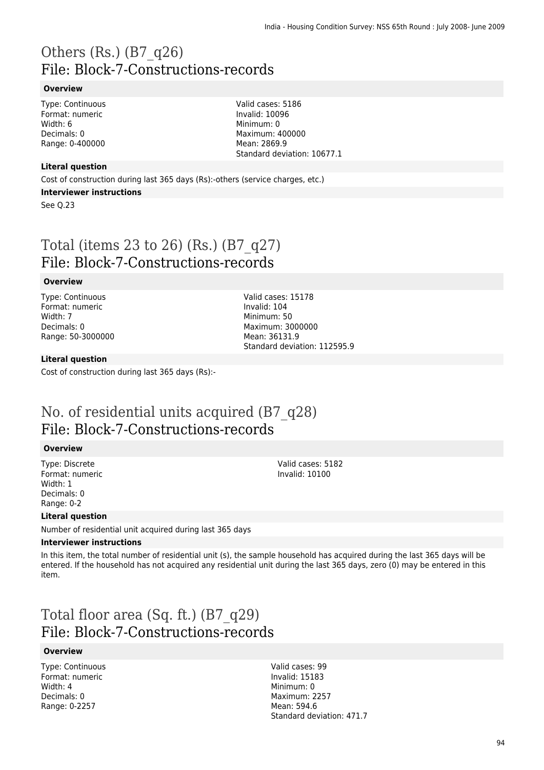# Others (Rs.) (B7 $q26$ ) File: Block-7-Constructions-records

## **Overview**

Type: Continuous Format: numeric Width: 6 Decimals: 0 Range: 0-400000

Valid cases: 5186 Invalid: 10096 Minimum: 0 Maximum: 400000 Mean: 2869.9 Standard deviation: 10677.1

## **Literal question**

Cost of construction during last 365 days (Rs):-others (service charges, etc.)

#### **Interviewer instructions**

See Q.23

## Total (items 23 to 26) (Rs.) (B7\_q27) File: Block-7-Constructions-records

## **Overview**

Type: Continuous Format: numeric Width: 7 Decimals: 0 Range: 50-3000000 Valid cases: 15178 Invalid: 104 Minimum: 50 Maximum: 3000000 Mean: 36131.9 Standard deviation: 112595.9

### **Literal question**

Cost of construction during last 365 days (Rs):-

# No. of residential units acquired (B7\_q28) File: Block-7-Constructions-records

## **Overview**

Type: Discrete Format: numeric Width: 1 Decimals: 0 Range: 0-2

Valid cases: 5182 Invalid: 10100

### **Literal question**

Number of residential unit acquired during last 365 days

#### **Interviewer instructions**

In this item, the total number of residential unit (s), the sample household has acquired during the last 365 days will be entered. If the household has not acquired any residential unit during the last 365 days, zero (0) may be entered in this item.

## Total floor area (Sq. ft.) (B7\_q29) File: Block-7-Constructions-records

### **Overview**

Type: Continuous Format: numeric Width: 4 Decimals: 0 Range: 0-2257

Valid cases: 99 Invalid: 15183 Minimum: 0 Maximum: 2257 Mean: 594.6 Standard deviation: 471.7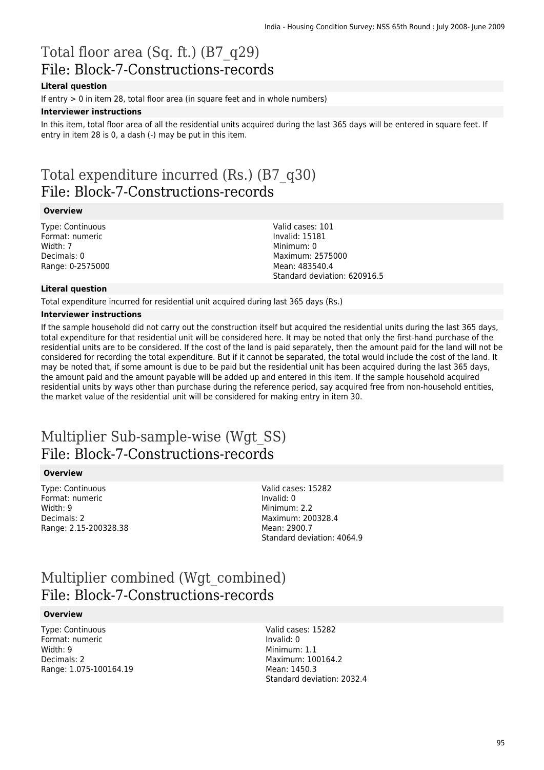## Total floor area (Sq. ft.) (B7\_q29) File: Block-7-Constructions-records

## **Literal question**

If entry > 0 in item 28, total floor area (in square feet and in whole numbers)

#### **Interviewer instructions**

In this item, total floor area of all the residential units acquired during the last 365 days will be entered in square feet. If entry in item 28 is 0, a dash (-) may be put in this item.

# Total expenditure incurred (Rs.) (B7\_q30) File: Block-7-Constructions-records

#### **Overview**

Type: Continuous Format: numeric Width: 7 Decimals: 0 Range: 0-2575000

Valid cases: 101 Invalid: 15181 Minimum: 0 Maximum: 2575000 Mean: 483540.4 Standard deviation: 620916.5

### **Literal question**

Total expenditure incurred for residential unit acquired during last 365 days (Rs.)

## **Interviewer instructions**

If the sample household did not carry out the construction itself but acquired the residential units during the last 365 days, total expenditure for that residential unit will be considered here. It may be noted that only the first-hand purchase of the residential units are to be considered. If the cost of the land is paid separately, then the amount paid for the land will not be considered for recording the total expenditure. But if it cannot be separated, the total would include the cost of the land. It may be noted that, if some amount is due to be paid but the residential unit has been acquired during the last 365 days, the amount paid and the amount payable will be added up and entered in this item. If the sample household acquired residential units by ways other than purchase during the reference period, say acquired free from non-household entities, the market value of the residential unit will be considered for making entry in item 30.

## Multiplier Sub-sample-wise (Wgt\_SS) File: Block-7-Constructions-records

### **Overview**

Type: Continuous Format: numeric Width: 9 Decimals: 2 Range: 2.15-200328.38 Valid cases: 15282 Invalid: 0 Minimum: 2.2 Maximum: 200328.4 Mean: 2900.7 Standard deviation: 4064.9

## Multiplier combined (Wgt\_combined) File: Block-7-Constructions-records

### **Overview**

Type: Continuous Format: numeric Width: 9 Decimals: 2 Range: 1.075-100164.19 Valid cases: 15282 Invalid: 0 Minimum: 1.1 Maximum: 100164.2 Mean: 1450.3 Standard deviation: 2032.4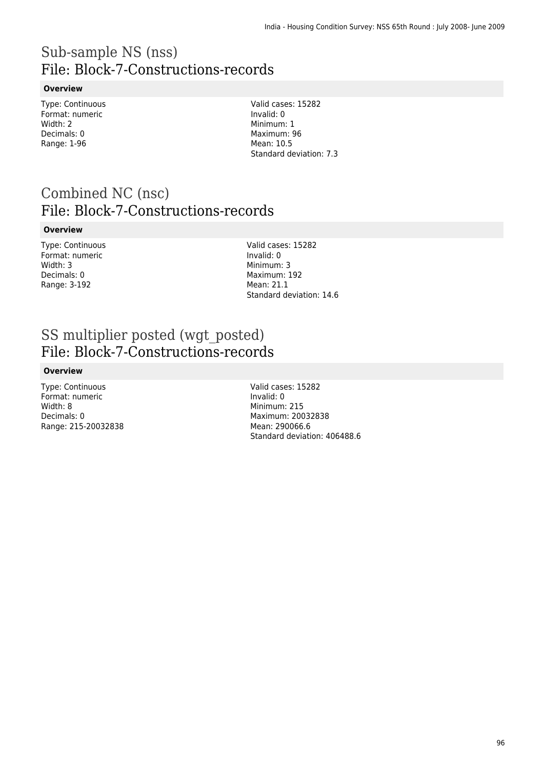# Sub-sample NS (nss) File: Block-7-Constructions-records

## **Overview**

Type: Continuous Format: numeric Width: 2 Decimals: 0 Range: 1-96

Valid cases: 15282 Invalid: 0 Minimum: 1 Maximum: 96 Mean: 10.5 Standard deviation: 7.3

## Combined NC (nsc) File: Block-7-Constructions-records

## **Overview**

Type: Continuous Format: numeric Width: 3 Decimals: 0 Range: 3-192

Valid cases: 15282 Invalid: 0 Minimum: 3 Maximum: 192 Mean: 21.1 Standard deviation: 14.6

## SS multiplier posted (wgt\_posted) File: Block-7-Constructions-records

### **Overview**

Type: Continuous Format: numeric Width: 8 Decimals: 0 Range: 215-20032838 Valid cases: 15282 Invalid: 0 Minimum: 215 Maximum: 20032838 Mean: 290066.6 Standard deviation: 406488.6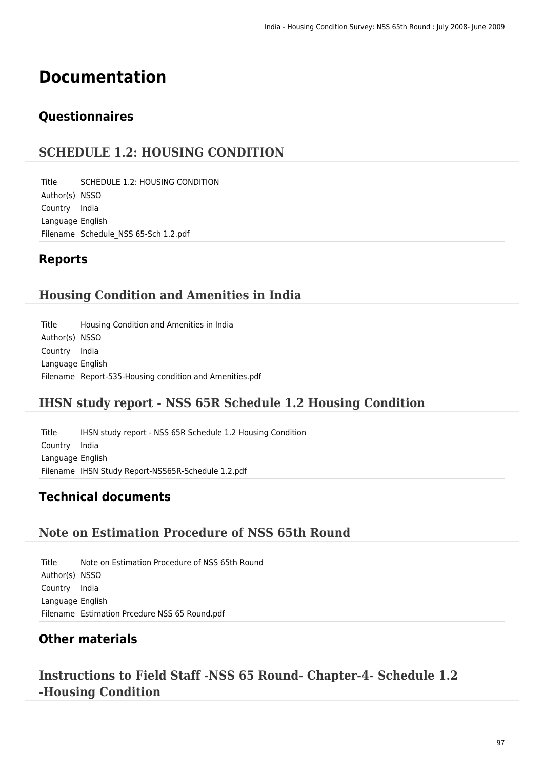# **Documentation**

## **Questionnaires**

## **SCHEDULE 1.2: HOUSING CONDITION**

Title SCHEDULE 1.2: HOUSING CONDITION Author(s) NSSO Country India Language English Filename Schedule\_NSS 65-Sch 1.2.pdf

## **Reports**

## **Housing Condition and Amenities in India**

Title Housing Condition and Amenities in India Author(s) NSSO Country India Language English Filename Report-535-Housing condition and Amenities.pdf

## **IHSN study report - NSS 65R Schedule 1.2 Housing Condition**

Title IHSN study report - NSS 65R Schedule 1.2 Housing Condition Country India Language English Filename IHSN Study Report-NSS65R-Schedule 1.2.pdf

## **Technical documents**

## **Note on Estimation Procedure of NSS 65th Round**

Title Note on Estimation Procedure of NSS 65th Round Author(s) NSSO Country India Language English Filename Estimation Prcedure NSS 65 Round.pdf

## **Other materials**

## **Instructions to Field Staff -NSS 65 Round- Chapter-4- Schedule 1.2 -Housing Condition**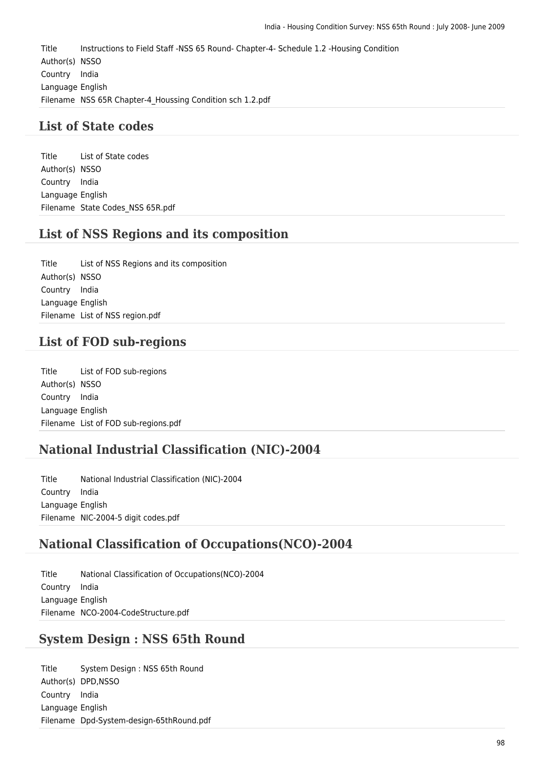Title Instructions to Field Staff -NSS 65 Round- Chapter-4- Schedule 1.2 -Housing Condition Author(s) NSSO Country India Language English Filename NSS 65R Chapter-4\_Houssing Condition sch 1.2.pdf

## **List of State codes**

Title List of State codes Author(s) NSSO Country India Language English Filename State Codes NSS 65R.pdf

## **List of NSS Regions and its composition**

Title List of NSS Regions and its composition Author(s) NSSO Country India Language English Filename List of NSS region.pdf

## **List of FOD sub-regions**

Title List of FOD sub-regions Author(s) NSSO Country India Language English Filename List of FOD sub-regions.pdf

## **National Industrial Classification (NIC)-2004**

Title National Industrial Classification (NIC)-2004 Country India Language English Filename NIC-2004-5 digit codes.pdf

## **National Classification of Occupations(NCO)-2004**

Title National Classification of Occupations(NCO)-2004 Country India Language English Filename NCO-2004-CodeStructure.pdf

## **System Design : NSS 65th Round**

Title System Design : NSS 65th Round Author(s) DPD,NSSO Country India Language English Filename Dpd-System-design-65thRound.pdf